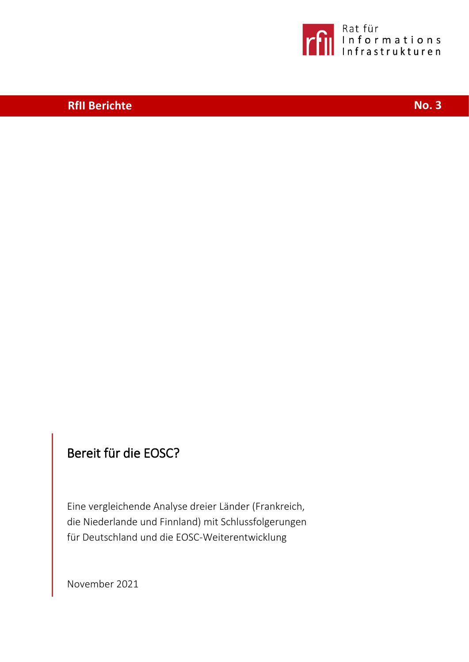

# **RfII Berichte No. 3**

# Bereit für die EOSC?

Eine vergleichende Analyse dreier Länder (Frankreich, die Niederlande und Finnland) mit Schlussfolgerungen für Deutschland und die EOSC-Weiterentwicklung

November 2021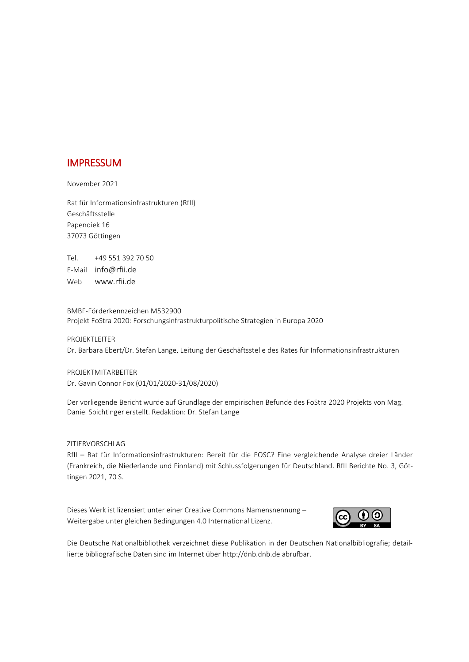## IMPRESSUM

November 2021

Rat für Informationsinfrastrukturen (RfII) Geschäftsstelle Papendiek 16 37073 Göttingen

Tel. +49 551 392 70 50 E-Mail [info@rfii.de](mailto:info@rfii.de) Web [www.rfii.de](http://www.rfii.de/)

BMBF-Förderkennzeichen M532900 Projekt FoStra 2020: Forschungsinfrastrukturpolitische Strategien in Europa 2020

PROJEKTLEITER Dr. Barbara Ebert/Dr. Stefan Lange, Leitung der Geschäftsstelle des Rates für Informationsinfrastrukturen

PROJEKTMITARBEITER Dr. Gavin Connor Fox (01/01/2020-31/08/2020)

Der vorliegende Bericht wurde auf Grundlage der empirischen Befunde des FoStra 2020 Projekts von Mag. Daniel Spichtinger erstellt. Redaktion: Dr. Stefan Lange

#### ZITIERVORSCHLAG

RfII – Rat für Informationsinfrastrukturen: Bereit für die EOSC? Eine vergleichende Analyse dreier Länder (Frankreich, die Niederlande und Finnland) mit Schlussfolgerungen für Deutschland. RfII Berichte No. 3, Göttingen 2021, 70 S.

[Dieses Werk ist lizensiert unter einer Creative Commons Namensnennung](https://creativecommons.org/licenses/by-sa/4.0/) – [Weitergabe unter gleichen Bedingungen 4.0 International Lizenz.](https://creativecommons.org/licenses/by-sa/4.0/)



Die Deutsche Nationalbibliothek verzeichnet diese Publikation in der Deutschen Nationalbibliografie; detaillierte bibliografische Daten sind im Internet übe[r http://dnb.dnb.de](http://dnb.dnb.de/) abrufbar.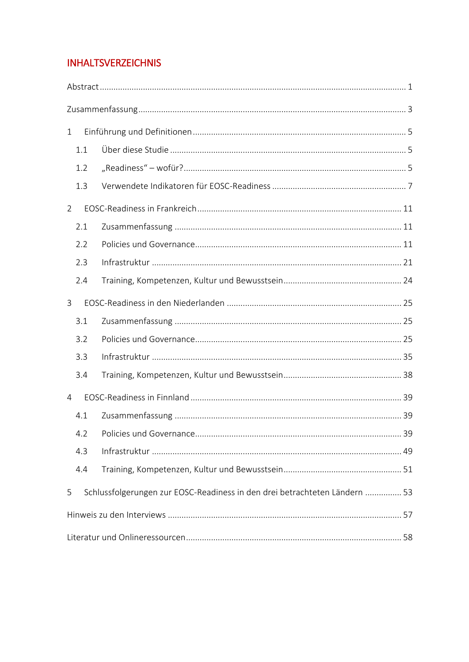# **INHALTSVERZEICHNIS**

| 1   |  |                                                                            |  |  |  |  |  |  |
|-----|--|----------------------------------------------------------------------------|--|--|--|--|--|--|
| 1.1 |  |                                                                            |  |  |  |  |  |  |
| 1.2 |  |                                                                            |  |  |  |  |  |  |
| 1.3 |  |                                                                            |  |  |  |  |  |  |
| 2   |  |                                                                            |  |  |  |  |  |  |
| 2.1 |  |                                                                            |  |  |  |  |  |  |
| 2.2 |  |                                                                            |  |  |  |  |  |  |
| 2.3 |  |                                                                            |  |  |  |  |  |  |
| 2.4 |  |                                                                            |  |  |  |  |  |  |
| 3   |  |                                                                            |  |  |  |  |  |  |
| 3.1 |  |                                                                            |  |  |  |  |  |  |
| 3.2 |  |                                                                            |  |  |  |  |  |  |
| 3.3 |  |                                                                            |  |  |  |  |  |  |
| 3.4 |  |                                                                            |  |  |  |  |  |  |
| 4   |  |                                                                            |  |  |  |  |  |  |
| 4.1 |  |                                                                            |  |  |  |  |  |  |
|     |  |                                                                            |  |  |  |  |  |  |
| 4.3 |  |                                                                            |  |  |  |  |  |  |
| 4.4 |  |                                                                            |  |  |  |  |  |  |
| 5   |  | Schlussfolgerungen zur EOSC-Readiness in den drei betrachteten Ländern  53 |  |  |  |  |  |  |
|     |  |                                                                            |  |  |  |  |  |  |
|     |  |                                                                            |  |  |  |  |  |  |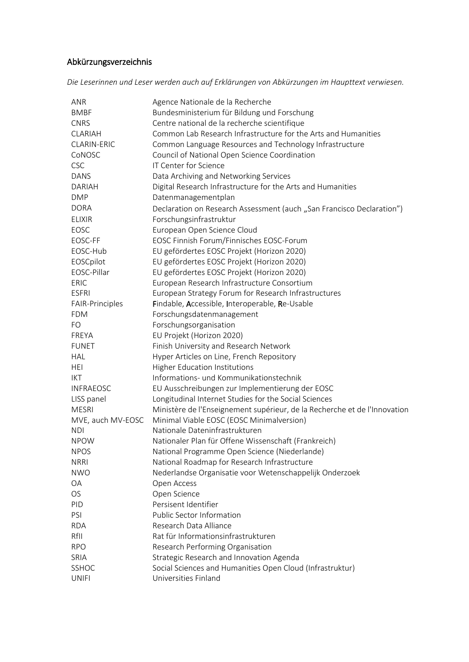# Abkürzungsverzeichnis

*Die Leserinnen und Leser werden auch auf Erklärungen von Abkürzungen im Haupttext verwiesen.* 

| <b>ANR</b>         | Agence Nationale de la Recherche                                          |
|--------------------|---------------------------------------------------------------------------|
| <b>BMBF</b>        | Bundesministerium für Bildung und Forschung                               |
| <b>CNRS</b>        | Centre national de la recherche scientifique                              |
| <b>CLARIAH</b>     | Common Lab Research Infrastructure for the Arts and Humanities            |
| <b>CLARIN-ERIC</b> | Common Language Resources and Technology Infrastructure                   |
| CoNOSC             | Council of National Open Science Coordination                             |
| <b>CSC</b>         | IT Center for Science                                                     |
| <b>DANS</b>        | Data Archiving and Networking Services                                    |
| <b>DARIAH</b>      | Digital Research Infrastructure for the Arts and Humanities               |
| <b>DMP</b>         | Datenmanagementplan                                                       |
| <b>DORA</b>        | Declaration on Research Assessment (auch "San Francisco Declaration")     |
| <b>ELIXIR</b>      | Forschungsinfrastruktur                                                   |
| <b>EOSC</b>        | European Open Science Cloud                                               |
| EOSC-FF            | EOSC Finnish Forum/Finnisches EOSC-Forum                                  |
| EOSC-Hub           | EU gefördertes EOSC Projekt (Horizon 2020)                                |
| EOSCpilot          | EU gefördertes EOSC Projekt (Horizon 2020)                                |
| EOSC-Pillar        | EU gefördertes EOSC Projekt (Horizon 2020)                                |
| ERIC               |                                                                           |
|                    | European Research Infrastructure Consortium                               |
| <b>ESFRI</b>       | European Strategy Forum for Research Infrastructures                      |
| FAIR-Principles    | Findable, Accessible, Interoperable, Re-Usable                            |
| <b>FDM</b>         | Forschungsdatenmanagement                                                 |
| FO                 | Forschungsorganisation                                                    |
| <b>FREYA</b>       | EU Projekt (Horizon 2020)                                                 |
| <b>FUNET</b>       | Finish University and Research Network                                    |
| <b>HAL</b>         | Hyper Articles on Line, French Repository                                 |
| <b>HEI</b>         | <b>Higher Education Institutions</b>                                      |
| <b>IKT</b>         | Informations- und Kommunikationstechnik                                   |
| <b>INFRAEOSC</b>   | EU Ausschreibungen zur Implementierung der EOSC                           |
| LISS panel         | Longitudinal Internet Studies for the Social Sciences                     |
| <b>MESRI</b>       | Ministère de l'Enseignement supérieur, de la Recherche et de l'Innovation |
| MVE, auch MV-EOSC  | Minimal Viable EOSC (EOSC Minimalversion)                                 |
| <b>NDI</b>         | Nationale Dateninfrastrukturen                                            |
| <b>NPOW</b>        | Nationaler Plan für Offene Wissenschaft (Frankreich)                      |
| <b>NPOS</b>        | National Programme Open Science (Niederlande)                             |
| <b>NRRI</b>        | National Roadmap for Research Infrastructure                              |
| <b>NWO</b>         | Nederlandse Organisatie voor Wetenschappelijk Onderzoek                   |
| OA                 | Open Access                                                               |
| <b>OS</b>          | Open Science                                                              |
| PID                | Persisent Identifier                                                      |
| PSI                | Public Sector Information                                                 |
| <b>RDA</b>         | Research Data Alliance                                                    |
| RfII               | Rat für Informationsinfrastrukturen                                       |
| <b>RPO</b>         | Research Performing Organisation                                          |
| SRIA               | Strategic Research and Innovation Agenda                                  |
| SSHOC              | Social Sciences and Humanities Open Cloud (Infrastruktur)                 |
|                    |                                                                           |
| <b>UNIFI</b>       | Universities Finland                                                      |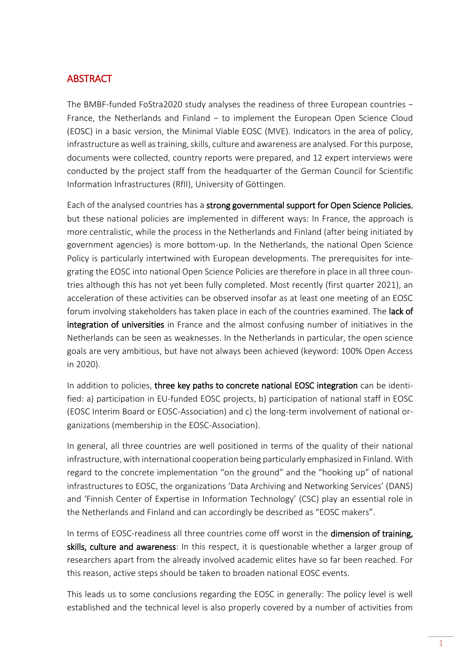## <span id="page-4-0"></span>**ABSTRACT**

The BMBF-funded FoStra2020 study analyses the readiness of three European countries − France, the Netherlands and Finland − to implement the European Open Science Cloud (EOSC) in a basic version, the Minimal Viable EOSC (MVE). Indicators in the area of policy, infrastructure as well as training, skills, culture and awareness are analysed. For this purpose, documents were collected, country reports were prepared, and 12 expert interviews were conducted by the project staff from the headquarter of the German Council for Scientific Information Infrastructures (RfII), University of Göttingen.

Each of the analysed countries has a strong governmental support for Open Science Policies, but these national policies are implemented in different ways: In France, the approach is more centralistic, while the process in the Netherlands and Finland (after being initiated by government agencies) is more bottom-up. In the Netherlands, the national Open Science Policy is particularly intertwined with European developments. The prerequisites for integrating the EOSC into national Open Science Policies are therefore in place in all three countries although this has not yet been fully completed. Most recently (first quarter 2021), an acceleration of these activities can be observed insofar as at least one meeting of an EOSC forum involving stakeholders has taken place in each of the countries examined. The lack of integration of universities in France and the almost confusing number of initiatives in the Netherlands can be seen as weaknesses. In the Netherlands in particular, the open science goals are very ambitious, but have not always been achieved (keyword: 100% Open Access in 2020).

In addition to policies, three key paths to concrete national EOSC integration can be identified: a) participation in EU-funded EOSC projects, b) participation of national staff in EOSC (EOSC Interim Board or EOSC-Association) and c) the long-term involvement of national organizations (membership in the EOSC-Association).

In general, all three countries are well positioned in terms of the quality of their national infrastructure, with international cooperation being particularly emphasized in Finland. With regard to the concrete implementation "on the ground" and the "hooking up" of national infrastructures to EOSC, the organizations 'Data Archiving and Networking Services' (DANS) and 'Finnish Center of Expertise in Information Technology' (CSC) play an essential role in the Netherlands and Finland and can accordingly be described as "EOSC makers".

In terms of EOSC-readiness all three countries come off worst in the dimension of training, skills, culture and awareness: In this respect, it is questionable whether a larger group of researchers apart from the already involved academic elites have so far been reached. For this reason, active steps should be taken to broaden national EOSC events.

This leads us to some conclusions regarding the EOSC in generally: The policy level is well established and the technical level is also properly covered by a number of activities from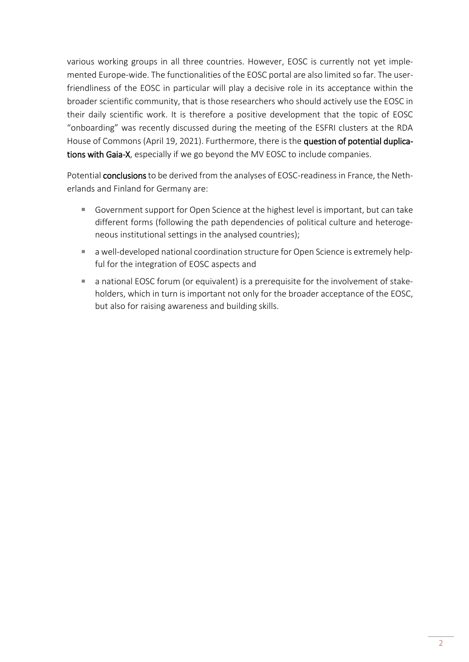various working groups in all three countries. However, EOSC is currently not yet implemented Europe-wide. The functionalities of the EOSC portal are also limited so far. The userfriendliness of the EOSC in particular will play a decisive role in its acceptance within the broader scientific community, that is those researchers who should actively use the EOSC in their daily scientific work. It is therefore a positive development that the topic of EOSC "onboarding" was recently discussed during the meeting of the ESFRI clusters at the RDA House of Commons (April 19, 2021). Furthermore, there is the question of potential duplications with Gaia-X, especially if we go beyond the MV EOSC to include companies.

Potential conclusions to be derived from the analyses of EOSC-readiness in France, the Netherlands and Finland for Germany are:

- Government support for Open Science at the highest level is important, but can take different forms (following the path dependencies of political culture and heterogeneous institutional settings in the analysed countries);
- a well-developed national coordination structure for Open Science is extremely helpful for the integration of EOSC aspects and
- a national EOSC forum (or equivalent) is a prerequisite for the involvement of stakeholders, which in turn is important not only for the broader acceptance of the EOSC, but also for raising awareness and building skills.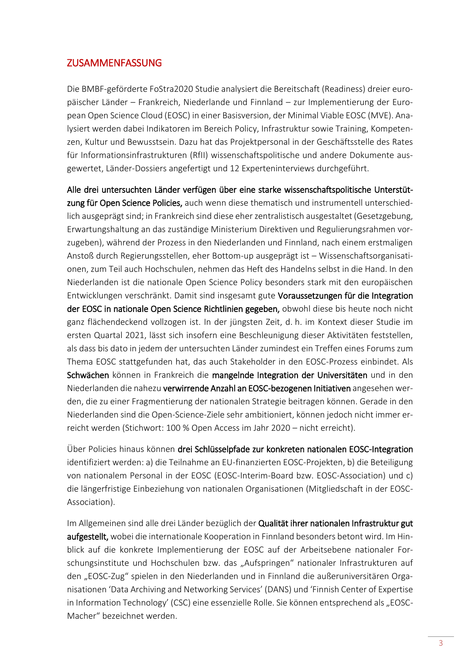## <span id="page-6-0"></span>ZUSAMMENFASSUNG

Die BMBF-geförderte FoStra2020 Studie analysiert die Bereitschaft (Readiness) dreier europäischer Länder – Frankreich, Niederlande und Finnland – zur Implementierung der European Open Science Cloud (EOSC) in einer Basisversion, der Minimal Viable EOSC (MVE). Analysiert werden dabei Indikatoren im Bereich Policy, Infrastruktur sowie Training, Kompetenzen, Kultur und Bewusstsein. Dazu hat das Projektpersonal in der Geschäftsstelle des Rates für Informationsinfrastrukturen (RfII) wissenschaftspolitische und andere Dokumente ausgewertet, Länder-Dossiers angefertigt und 12 Experteninterviews durchgeführt.

Alle drei untersuchten Länder verfügen über eine starke wissenschaftspolitische Unterstützung für Open Science Policies, auch wenn diese thematisch und instrumentell unterschiedlich ausgeprägt sind; in Frankreich sind diese eher zentralistisch ausgestaltet (Gesetzgebung, Erwartungshaltung an das zuständige Ministerium Direktiven und Regulierungsrahmen vorzugeben), während der Prozess in den Niederlanden und Finnland, nach einem erstmaligen Anstoß durch Regierungsstellen, eher Bottom-up ausgeprägt ist – Wissenschaftsorganisationen, zum Teil auch Hochschulen, nehmen das Heft des Handelns selbst in die Hand. In den Niederlanden ist die nationale Open Science Policy besonders stark mit den europäischen Entwicklungen verschränkt. Damit sind insgesamt gute Voraussetzungen für die Integration der EOSC in nationale Open Science Richtlinien gegeben, obwohl diese bis heute noch nicht ganz flächendeckend vollzogen ist. In der jüngsten Zeit, d. h. im Kontext dieser Studie im ersten Quartal 2021, lässt sich insofern eine Beschleunigung dieser Aktivitäten feststellen, als dass bis dato in jedem der untersuchten Länder zumindest ein Treffen eines Forums zum Thema EOSC stattgefunden hat, das auch Stakeholder in den EOSC-Prozess einbindet. Als Schwächen können in Frankreich die mangelnde Integration der Universitäten und in den Niederlanden die nahezu verwirrende Anzahl an EOSC-bezogenen Initiativen angesehen werden, die zu einer Fragmentierung der nationalen Strategie beitragen können. Gerade in den Niederlanden sind die Open-Science-Ziele sehr ambitioniert, können jedoch nicht immer erreicht werden (Stichwort: 100 % Open Access im Jahr 2020 – nicht erreicht).

Über Policies hinaus können drei Schlüsselpfade zur konkreten nationalen EOSC-Integration identifiziert werden: a) die Teilnahme an EU-finanzierten EOSC-Projekten, b) die Beteiligung von nationalem Personal in der EOSC (EOSC-Interim-Board bzw. EOSC-Association) und c) die längerfristige Einbeziehung von nationalen Organisationen (Mitgliedschaft in der EOSC-Association).

Im Allgemeinen sind alle drei Länder bezüglich der Qualität ihrer nationalen Infrastruktur gut aufgestellt, wobei die internationale Kooperation in Finnland besonders betont wird. Im Hinblick auf die konkrete Implementierung der EOSC auf der Arbeitsebene nationaler Forschungsinstitute und Hochschulen bzw. das "Aufspringen" nationaler Infrastrukturen auf den "EOSC-Zug" spielen in den Niederlanden und in Finnland die außeruniversitären Organisationen 'Data Archiving and Networking Services' (DANS) und 'Finnish Center of Expertise in Information Technology' (CSC) eine essenzielle Rolle. Sie können entsprechend als "EOSC-Macher" bezeichnet werden.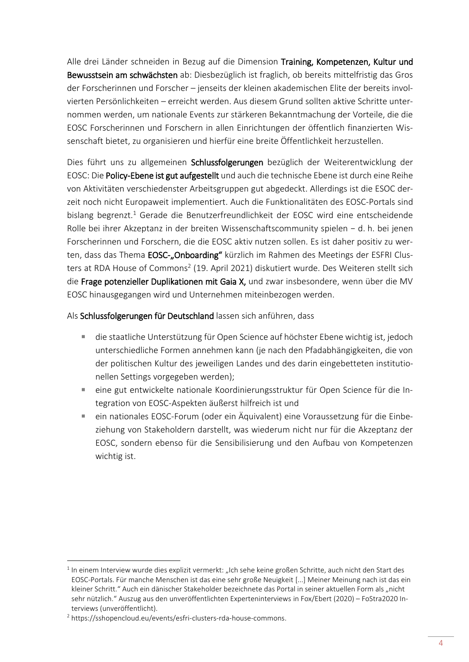Alle drei Länder schneiden in Bezug auf die Dimension Training, Kompetenzen, Kultur und Bewusstsein am schwächsten ab: Diesbezüglich ist fraglich, ob bereits mittelfristig das Gros der Forscherinnen und Forscher – jenseits der kleinen akademischen Elite der bereits involvierten Persönlichkeiten – erreicht werden. Aus diesem Grund sollten aktive Schritte unternommen werden, um nationale Events zur stärkeren Bekanntmachung der Vorteile, die die EOSC Forscherinnen und Forschern in allen Einrichtungen der öffentlich finanzierten Wissenschaft bietet, zu organisieren und hierfür eine breite Öffentlichkeit herzustellen.

Dies führt uns zu allgemeinen Schlussfolgerungen bezüglich der Weiterentwicklung der EOSC: Die Policy-Ebene ist gut aufgestellt und auch die technische Ebene ist durch eine Reihe von Aktivitäten verschiedenster Arbeitsgruppen gut abgedeckt. Allerdings ist die ESOC derzeit noch nicht Europaweit implementiert. Auch die Funktionalitäten des EOSC-Portals sind bislang begrenzt.<sup>1</sup> Gerade die Benutzerfreundlichkeit der EOSC wird eine entscheidende Rolle bei ihrer Akzeptanz in der breiten Wissenschaftscommunity spielen − d. h. bei jenen Forscherinnen und Forschern, die die EOSC aktiv nutzen sollen. Es ist daher positiv zu werten, dass das Thema EOSC-"Onboarding" kürzlich im Rahmen des Meetings der ESFRI Clusters at RDA House of Commons<sup>2</sup> (19. April 2021) diskutiert wurde. Des Weiteren stellt sich die Frage potenzieller Duplikationen mit Gaia X, und zwar insbesondere, wenn über die MV EOSC hinausgegangen wird und Unternehmen miteinbezogen werden.

Als Schlussfolgerungen für Deutschland lassen sich anführen, dass

- die staatliche Unterstützung für Open Science auf höchster Ebene wichtig ist, jedoch unterschiedliche Formen annehmen kann (je nach den Pfadabhängigkeiten, die von der politischen Kultur des jeweiligen Landes und des darin eingebetteten institutionellen Settings vorgegeben werden);
- eine gut entwickelte nationale Koordinierungsstruktur für Open Science für die Integration von EOSC-Aspekten äußerst hilfreich ist und
- ein nationales EOSC-Forum (oder ein Äquivalent) eine Voraussetzung für die Einbeziehung von Stakeholdern darstellt, was wiederum nicht nur für die Akzeptanz der EOSC, sondern ebenso für die Sensibilisierung und den Aufbau von Kompetenzen wichtig ist.

 $<sup>1</sup>$  In einem Interview wurde dies explizit vermerkt: "Ich sehe keine großen Schritte, auch nicht den Start des</sup> EOSC-Portals. Für manche Menschen ist das eine sehr große Neuigkeit [...] Meiner Meinung nach ist das ein kleiner Schritt." Auch ein dänischer Stakeholder bezeichnete das Portal in seiner aktuellen Form als "nicht sehr nützlich." Auszug aus den unveröffentlichten Experteninterviews in Fox/Ebert (2020) – FoStra2020 Interviews (unveröffentlicht).

<sup>2</sup> [https://sshopencloud.eu/events/esfri-clusters-rda-house-commons.](https://sshopencloud.eu/events/esfri-clusters-rda-house-commons)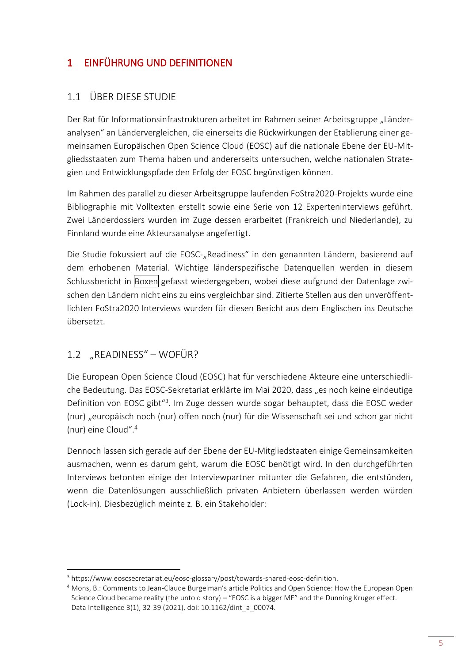# <span id="page-8-0"></span>1 EINFÜHRUNG UND DEFINITIONEN

# <span id="page-8-1"></span>1.1 ÜBER DIESE STUDIE

Der Rat für Informationsinfrastrukturen arbeitet im Rahmen seiner Arbeitsgruppe "Länderanalysen" an Ländervergleichen, die einerseits die Rückwirkungen der Etablierung einer gemeinsamen Europäischen Open Science Cloud (EOSC) auf die nationale Ebene der EU-Mitgliedsstaaten zum Thema haben und andererseits untersuchen, welche nationalen Strategien und Entwicklungspfade den Erfolg der EOSC begünstigen können.

Im Rahmen des parallel zu dieser Arbeitsgruppe laufenden FoStra2020-Projekts wurde eine Bibliographie mit Volltexten erstellt sowie eine Serie von 12 Experteninterviews geführt. Zwei Länderdossiers wurden im Zuge dessen erarbeitet (Frankreich und Niederlande), zu Finnland wurde eine Akteursanalyse angefertigt.

Die Studie fokussiert auf die EOSC-"Readiness" in den genannten Ländern, basierend auf dem erhobenen Material. Wichtige länderspezifische Datenquellen werden in diesem Schlussbericht in Boxen gefasst wiedergegeben, wobei diese aufgrund der Datenlage zwischen den Ländern nicht eins zu eins vergleichbar sind. Zitierte Stellen aus den unveröffentlichten FoStra2020 Interviews wurden für diesen Bericht aus dem Englischen ins Deutsche übersetzt.

# <span id="page-8-2"></span>1.2 "READINESS" – WOFÜR?

1

Die European Open Science Cloud (EOSC) hat für verschiedene Akteure eine unterschiedliche Bedeutung. Das EOSC-Sekretariat erklärte im Mai 2020, dass "es noch keine eindeutige Definition von EOSC gibt<sup>"3</sup>. Im Zuge dessen wurde sogar behauptet, dass die EOSC weder (nur) "europäisch noch (nur) offen noch (nur) für die Wissenschaft sei und schon gar nicht (nur) eine Cloud".<sup>4</sup>

Dennoch lassen sich gerade auf der Ebene der EU-Mitgliedstaaten einige Gemeinsamkeiten ausmachen, wenn es darum geht, warum die EOSC benötigt wird. In den durchgeführten Interviews betonten einige der Interviewpartner mitunter die Gefahren, die entstünden, wenn die Datenlösungen ausschließlich privaten Anbietern überlassen werden würden (Lock-in). Diesbezüglich meinte z. B. ein Stakeholder:

<sup>&</sup>lt;sup>3</sup> [https://www.eoscsecretariat.eu/eosc-glossary/post/towards-shared-eosc-definition.](https://www.eoscsecretariat.eu/eosc-glossary/post/towards-shared-eosc-definition)

<sup>4</sup> Mons, B.: Comments to Jean-Claude Burgelman's article Politics and Open Science: How the European Open Science Cloud became reality (the untold story) – "EOSC is a bigger ME" and the Dunning Kruger effect. Data Intelligence 3(1), 32-39 (2021). doi: 10.1162/dint\_a\_00074.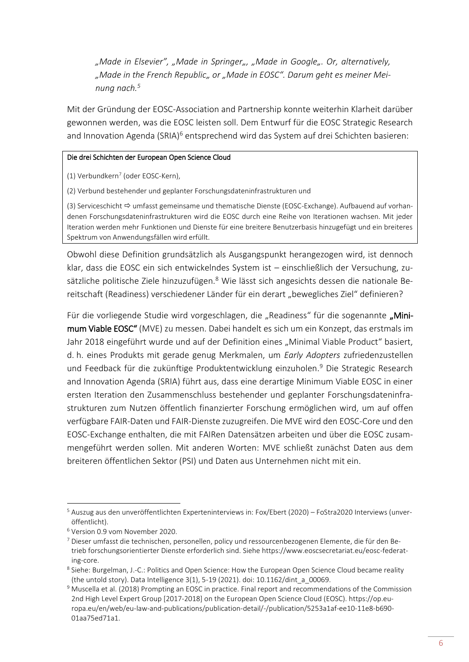"Made in Elsevier", "Made in Springer", "Made in Google". Or, alternatively, "Made in the French Republic" or "Made in EOSC". Darum geht es meiner Mei*nung nach.<sup>5</sup>*

Mit der Gründung der EOSC-Association and Partnership konnte weiterhin Klarheit darüber gewonnen werden, was die EOSC leisten soll. Dem Entwurf für die EOSC Strategic Research and Innovation Agenda (SRIA)<sup>6</sup> entsprechend wird das System auf drei Schichten basieren:

#### Die drei Schichten der European Open Science Cloud

(1) Verbundkern<sup>7</sup> (oder EOSC-Kern),

(2) Verbund bestehender und geplanter Forschungsdateninfrastrukturen und

(3) Serviceschicht umfasst gemeinsame und thematische Dienste (EOSC-Exchange). Aufbauend auf vorhandenen Forschungsdateninfrastrukturen wird die EOSC durch eine Reihe von Iterationen wachsen. Mit jeder Iteration werden mehr Funktionen und Dienste für eine breitere Benutzerbasis hinzugefügt und ein breiteres Spektrum von Anwendungsfällen wird erfüllt.

Obwohl diese Definition grundsätzlich als Ausgangspunkt herangezogen wird, ist dennoch klar, dass die EOSC ein sich entwickelndes System ist – einschließlich der Versuchung, zusätzliche politische Ziele hinzuzufügen.<sup>8</sup> Wie lässt sich angesichts dessen die nationale Bereitschaft (Readiness) verschiedener Länder für ein derart "bewegliches Ziel" definieren?

Für die vorliegende Studie wird vorgeschlagen, die "Readiness" für die sogenannte "Minimum Viable EOSC" (MVE) zu messen. Dabei handelt es sich um ein Konzept, das erstmals im Jahr 2018 eingeführt wurde und auf der Definition eines "Minimal Viable Product" basiert, d. h. eines Produkts mit gerade genug Merkmalen, um *Early Adopters* zufriedenzustellen und Feedback für die zukünftige Produktentwicklung einzuholen.<sup>9</sup> Die Strategic Research and Innovation Agenda (SRIA) führt aus, dass eine derartige Minimum Viable EOSC in einer ersten Iteration den Zusammenschluss bestehender und geplanter Forschungsdateninfrastrukturen zum Nutzen öffentlich finanzierter Forschung ermöglichen wird, um auf offen verfügbare FAIR-Daten und FAIR-Dienste zuzugreifen. Die MVE wird den EOSC-Core und den EOSC-Exchange enthalten, die mit FAIRen Datensätzen arbeiten und über die EOSC zusammengeführt werden sollen. Mit anderen Worten: MVE schließt zunächst Daten aus dem breiteren öffentlichen Sektor (PSI) und Daten aus Unternehmen nicht mit ein.

<sup>&</sup>lt;sup>5</sup> Auszug aus den unveröffentlichten Experteninterviews in: Fox/Ebert (2020) – FoStra2020 Interviews (unveröffentlicht).

<sup>6</sup> Version 0.9 vom November 2020.

<sup>7</sup> Dieser umfasst die technischen, personellen, policy und ressourcenbezogenen Elemente, die für den Betrieb forschungsorientierter Dienste erforderlich sind. Sieh[e https://www.eoscsecretariat.eu/eosc-federat](https://www.eoscsecretariat.eu/eosc-federating-core)[ing-core.](https://www.eoscsecretariat.eu/eosc-federating-core)

<sup>&</sup>lt;sup>8</sup> Siehe: Burgelman, J.-C.: Politics and Open Science: How the European Open Science Cloud became reality (the untold story). Data Intelligence 3(1), 5-19 (2021). doi: 10.1162/dint\_a\_00069.

<sup>&</sup>lt;sup>9</sup> Muscella et al. (2018) Prompting an EOSC in practice. Final report and recommendations of the Commission 2nd High Level Expert Group [2017-2018] on the European Open Science Cloud (EOSC). [https://op.eu](https://op.europa.eu/en/web/eu-law-and-publications/publication-detail/-/publication/5253a1af-ee10-11e8-b690-01aa75ed71a1)[ropa.eu/en/web/eu-law-and-publications/publication-detail/-/publication/5253a1af-ee10-11e8-b690-](https://op.europa.eu/en/web/eu-law-and-publications/publication-detail/-/publication/5253a1af-ee10-11e8-b690-01aa75ed71a1) [01aa75ed71a1.](https://op.europa.eu/en/web/eu-law-and-publications/publication-detail/-/publication/5253a1af-ee10-11e8-b690-01aa75ed71a1)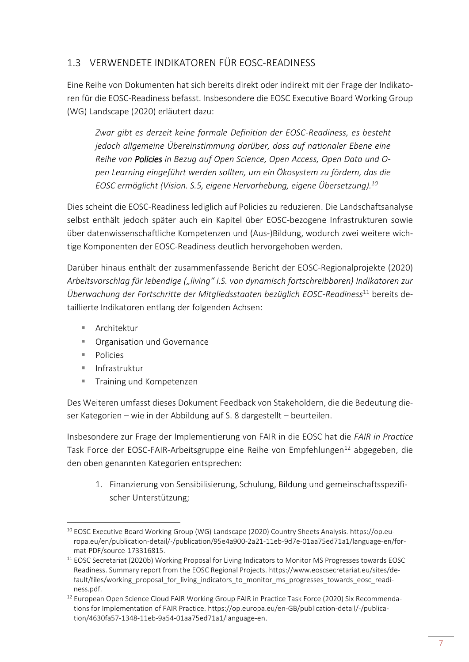# <span id="page-10-0"></span>1.3 VERWENDETE INDIKATOREN FÜR EOSC-READINESS

Eine Reihe von Dokumenten hat sich bereits direkt oder indirekt mit der Frage der Indikatoren für die EOSC-Readiness befasst. Insbesondere die EOSC Executive Board Working Group (WG) Landscape (2020) erläutert dazu:

*Zwar gibt es derzeit keine formale Definition der EOSC-Readiness, es besteht jedoch allgemeine Übereinstimmung darüber, dass auf nationaler Ebene eine Reihe von Policies in Bezug auf Open Science, Open Access, Open Data und Open Learning eingeführt werden sollten, um ein Ökosystem zu fördern, das die EOSC ermöglicht (Vision. S.5, eigene Hervorhebung, eigene Übersetzung).<sup>10</sup>*

Dies scheint die EOSC-Readiness lediglich auf Policies zu reduzieren. Die Landschaftsanalyse selbst enthält jedoch später auch ein Kapitel über EOSC-bezogene Infrastrukturen sowie über datenwissenschaftliche Kompetenzen und (Aus-)Bildung, wodurch zwei weitere wichtige Komponenten der EOSC-Readiness deutlich hervorgehoben werden.

Darüber hinaus enthält der zusammenfassende Bericht der EOSC-Regionalprojekte (2020) *Arbeitsvorschlag für lebendige ("living" i.S. von dynamisch fortschreibbaren) Indikatoren zur Überwachung der Fortschritte der Mitgliedsstaaten bezüglich EOSC-Readiness*<sup>11</sup> bereits detaillierte Indikatoren entlang der folgenden Achsen:

- Architektur
- Organisation und Governance
- Policies
- Infrastruktur
- Training und Kompetenzen

Des Weiteren umfasst dieses Dokument Feedback von Stakeholdern, die die Bedeutung dieser Kategorien – wie in der Abbildung auf S. 8 dargestellt – beurteilen.

Insbesondere zur Frage der Implementierung von FAIR in die EOSC hat die *FAIR in Practice*  Task Force der EOSC-FAIR-Arbeitsgruppe eine Reihe von Empfehlungen<sup>12</sup> abgegeben, die den oben genannten Kategorien entsprechen:

1. Finanzierung von Sensibilisierung, Schulung, Bildung und gemeinschaftsspezifischer Unterstützung;

<sup>1</sup> <sup>10</sup> EOSC Executive Board Working Group (WG) Landscape (2020) Country Sheets Analysis[. https://op.eu](https://op.europa.eu/en/publication-detail/-/publication/95e4a900-2a21-11eb-9d7e-01aa75ed71a1/language-en/format-PDF/source-173316815)[ropa.eu/en/publication-detail/-/publication/95e4a900-2a21-11eb-9d7e-01aa75ed71a1/language-en/for](https://op.europa.eu/en/publication-detail/-/publication/95e4a900-2a21-11eb-9d7e-01aa75ed71a1/language-en/format-PDF/source-173316815)[mat-PDF/source-173316815.](https://op.europa.eu/en/publication-detail/-/publication/95e4a900-2a21-11eb-9d7e-01aa75ed71a1/language-en/format-PDF/source-173316815)

<sup>&</sup>lt;sup>11</sup> EOSC Secretariat (2020b) Working Proposal for Living Indicators to Monitor MS Progresses towards EOSC Readiness. Summary report from the EOSC Regional Projects[. https://www.eoscsecretariat.eu/sites/de](https://www.eoscsecretariat.eu/sites/default/files/working_proposal_for_living_indicators_to_monitor_ms_progresses_towards_eosc_readiness.pdf)[fault/files/working\\_proposal\\_for\\_living\\_indicators\\_to\\_monitor\\_ms\\_progresses\\_towards\\_eosc\\_readi](https://www.eoscsecretariat.eu/sites/default/files/working_proposal_for_living_indicators_to_monitor_ms_progresses_towards_eosc_readiness.pdf)[ness.pdf.](https://www.eoscsecretariat.eu/sites/default/files/working_proposal_for_living_indicators_to_monitor_ms_progresses_towards_eosc_readiness.pdf)

<sup>&</sup>lt;sup>12</sup> European Open Science Cloud FAIR Working Group FAIR in Practice Task Force (2020) Six Recommendations for Implementation of FAIR Practice. [https://op.europa.eu/en-GB/publication-detail/-/publica](https://op.europa.eu/en-GB/publication-detail/-/publication/4630fa57-1348-11eb-9a54-01aa75ed71a1/language-en)[tion/4630fa57-1348-11eb-9a54-01aa75ed71a1/language-en.](https://op.europa.eu/en-GB/publication-detail/-/publication/4630fa57-1348-11eb-9a54-01aa75ed71a1/language-en)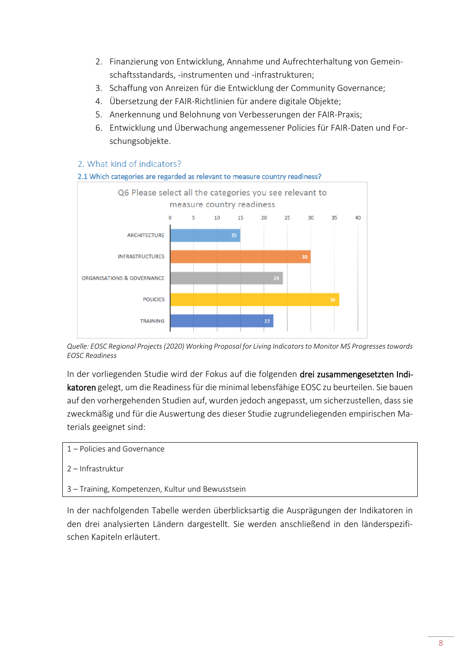- 2. Finanzierung von Entwicklung, Annahme und Aufrechterhaltung von Gemeinschaftsstandards, -instrumenten und -infrastrukturen;
- 3. Schaffung von Anreizen für die Entwicklung der Community Governance;
- 4. Übersetzung der FAIR-Richtlinien für andere digitale Objekte;
- 5. Anerkennung und Belohnung von Verbesserungen der FAIR-Praxis;
- 6. Entwicklung und Überwachung angemessener Policies für FAIR-Daten und Forschungsobjekte.

#### 2. What kind of indicators?



*Quelle: EOSC Regional Projects (2020) Working Proposal for Living Indicators to Monitor MS Progresses towards EOSC Readiness*

In der vorliegenden Studie wird der Fokus auf die folgenden drei zusammengesetzten Indikatoren gelegt, um die Readiness für die minimal lebensfähige EOSC zu beurteilen. Sie bauen auf den vorhergehenden Studien auf, wurden jedoch angepasst, um sicherzustellen, dass sie zweckmäßig und für die Auswertung des dieser Studie zugrundeliegenden empirischen Materials geeignet sind:

- 1 Policies and Governance
- 2 Infrastruktur
- 3 Training, Kompetenzen, Kultur und Bewusstsein

In der nachfolgenden Tabelle werden überblicksartig die Ausprägungen der Indikatoren in den drei analysierten Ländern dargestellt. Sie werden anschließend in den länderspezifischen Kapiteln erläutert.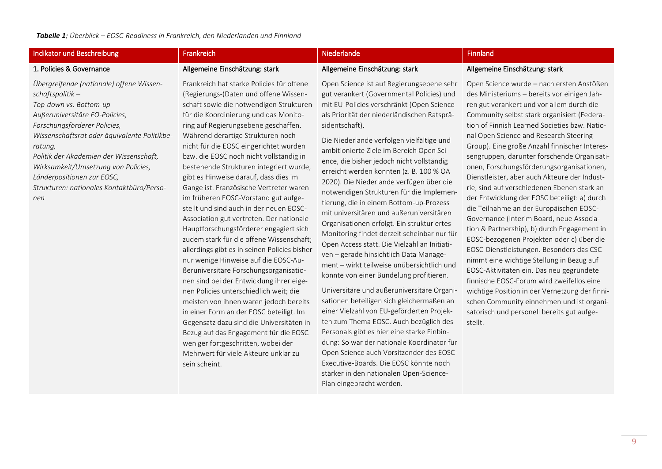#### Indikator und Beschreibung **Frankreich Einfland** Frankreich Niederlande Niederlande **Niederlande** Finnland

#### 1. Policies & Governance

*nen*

Allgemeine Einschätzung: stark

*Übergreifende (nationale) offene Wissenschaftspolitik – Top-down vs. Bottom-up Außeruniversitäre FO-Policies, Forschungsförderer Policies, Wissenschaftsrat oder äquivalente Politikberatung, Politik der Akademien der Wissenschaft, Wirksamkeit/Umsetzung von Policies, Länderpositionen zur EOSC, Strukturen: nationales Kontaktbüro/Perso-*

für die Koordinierung und das Monitoring auf Regierungsebene geschaffen. Während derartige Strukturen noch nicht für die EOSC eingerichtet wurden bzw. die EOSC noch nicht vollständig in bestehende Strukturen integriert wurde, gibt es Hinweise darauf, dass dies im Gange ist. Französische Vertreter waren im früheren EOSC-Vorstand gut aufgestellt und sind auch in der neuen EOSC-Association gut vertreten. Der nationale Hauptforschungsförderer engagiert sich zudem stark für die offene Wissenschaft; allerdings gibt es in seinen Policies bisher nur wenige Hinweise auf die EOSC-Außeruniversitäre Forschungsorganisationen sind bei der Entwicklung ihrer eigenen Policies unterschiedlich weit; die meisten von ihnen waren jedoch bereits in einer Form an der EOSC beteiligt. Im Gegensatz dazu sind die Universitäten in Bezug auf das Engagement für die EOSC weniger fortgeschritten, wobei der Mehrwert für viele Akteure unklar zu sein scheint.

Frankreich hat starke Policies für offene (Regierungs-)Daten und offene Wissenschaft sowie die notwendigen Strukturen

#### Open Science ist auf Regierungsebene sehr gut verankert (Governmental Policies) und mit EU-Policies verschränkt (Open Science als Priorität der niederländischen Ratspräsidentschaft).

Allgemeine Einschätzung: stark

Die Niederlande verfolgen vielfältige und ambitionierte Ziele im Bereich Open Science, die bisher jedoch nicht vollständig erreicht werden konnten (z. B. 100 % OA 2020). Die Niederlande verfügen über die notwendigen Strukturen für die Implementierung, die in einem Bottom-up-Prozess mit universitären und außeruniversitären Organisationen erfolgt. Ein strukturiertes Monitoring findet derzeit scheinbar nur für Open Access statt. Die Vielzahl an Initiativen – gerade hinsichtlich Data Management – wirkt teilweise unübersichtlich und könnte von einer Bündelung profitieren.

Universitäre und außeruniversitäre Organisationen beteiligen sich gleichermaßen an einer Vielzahl von EU-geförderten Projekten zum Thema EOSC. Auch bezüglich des Personals gibt es hier eine starke Einbindung: So war der nationale Koordinator für Open Science auch Vorsitzender des EOSC-Executive-Boards. Die EOSC könnte noch stärker in den nationalen Open-Science-Plan eingebracht werden.

#### Allgemeine Einschätzung: stark

Open Science wurde – nach ersten Anstößen des Ministeriums – bereits vor einigen Jahren gut verankert und vor allem durch die Community selbst stark organisiert (Federation of Finnish Learned Societies bzw. National Open Science and Research Steering Group). Eine große Anzahl finnischer Interessengruppen, darunter forschende Organisationen, Forschungsförderungsorganisationen, Dienstleister, aber auch Akteure der Industrie, sind auf verschiedenen Ebenen stark an der Entwicklung der EOSC beteiligt: a) durch die Teilnahme an der Europäischen EOSC-Governance (Interim Board, neue Association & Partnership), b) durch Engagement in EOSC-bezogenen Projekten oder c) über die EOSC-Dienstleistungen. Besonders das CSC nimmt eine wichtige Stellung in Bezug auf EOSC-Aktivitäten ein. Das neu gegründete finnische EOSC-Forum wird zweifellos eine wichtige Position in der Vernetzung der finnischen Community einnehmen und ist organisatorisch und personell bereits gut aufgestellt.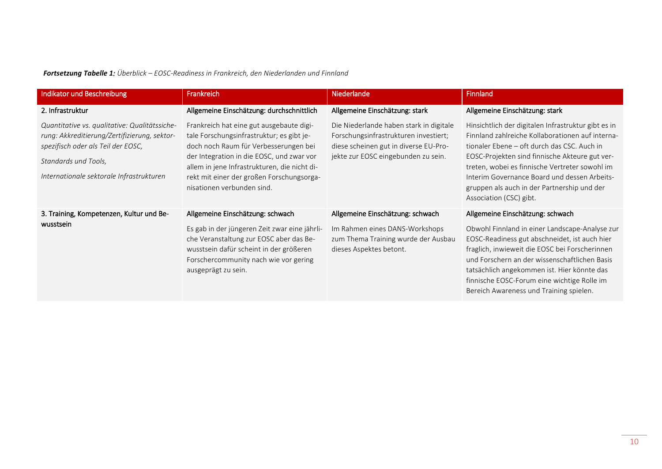*Fortsetzung Tabelle 1: Überblick – EOSC-Readiness in Frankreich, den Niederlanden und Finnland* 

| Indikator und Beschreibung                                                                                                                                                                              | Frankreich                                                                                                                                                                                                                                                                                             | <b>Niederlande</b>                                                                                                                                               | <b>Finnland</b>                                                                                                                                                                                                                                                                                                                                                                      |
|---------------------------------------------------------------------------------------------------------------------------------------------------------------------------------------------------------|--------------------------------------------------------------------------------------------------------------------------------------------------------------------------------------------------------------------------------------------------------------------------------------------------------|------------------------------------------------------------------------------------------------------------------------------------------------------------------|--------------------------------------------------------------------------------------------------------------------------------------------------------------------------------------------------------------------------------------------------------------------------------------------------------------------------------------------------------------------------------------|
| 2. Infrastruktur                                                                                                                                                                                        | Allgemeine Einschätzung: durchschnittlich                                                                                                                                                                                                                                                              | Allgemeine Einschätzung: stark                                                                                                                                   | Allgemeine Einschätzung: stark                                                                                                                                                                                                                                                                                                                                                       |
| Quantitative vs. qualitative: Qualitätssiche-<br>rung: Akkreditierung/Zertifizierung, sektor-<br>spezifisch oder als Teil der EOSC,<br>Standards und Tools,<br>Internationale sektorale Infrastrukturen | Frankreich hat eine gut ausgebaute digi-<br>tale Forschungsinfrastruktur; es gibt je-<br>doch noch Raum für Verbesserungen bei<br>der Integration in die EOSC, und zwar vor<br>allem in jene Infrastrukturen, die nicht di-<br>rekt mit einer der großen Forschungsorga-<br>nisationen verbunden sind. | Die Niederlande haben stark in digitale<br>Forschungsinfrastrukturen investiert;<br>diese scheinen gut in diverse EU-Pro-<br>jekte zur EOSC eingebunden zu sein. | Hinsichtlich der digitalen Infrastruktur gibt es in<br>Finnland zahlreiche Kollaborationen auf interna-<br>tionaler Ebene - oft durch das CSC. Auch in<br>EOSC-Projekten sind finnische Akteure gut ver-<br>treten, wobei es finnische Vertreter sowohl im<br>Interim Governance Board und dessen Arbeits-<br>gruppen als auch in der Partnership und der<br>Association (CSC) gibt. |
| 3. Training, Kompetenzen, Kultur und Be-<br>wusstsein                                                                                                                                                   | Allgemeine Einschätzung: schwach<br>Es gab in der jüngeren Zeit zwar eine jährli-<br>che Veranstaltung zur EOSC aber das Be-<br>wusstsein dafür scheint in der größeren<br>Forschercommunity nach wie vor gering<br>ausgeprägt zu sein.                                                                | Allgemeine Einschätzung: schwach<br>Im Rahmen eines DANS-Workshops<br>zum Thema Training wurde der Ausbau<br>dieses Aspektes betont.                             | Allgemeine Einschätzung: schwach<br>Obwohl Finnland in einer Landscape-Analyse zur<br>EOSC-Readiness gut abschneidet, ist auch hier<br>fraglich, inwieweit die EOSC bei Forscherinnen<br>und Forschern an der wissenschaftlichen Basis<br>tatsächlich angekommen ist. Hier könnte das<br>finnische EOSC-Forum eine wichtige Rolle im<br>Bereich Awareness und Training spielen.      |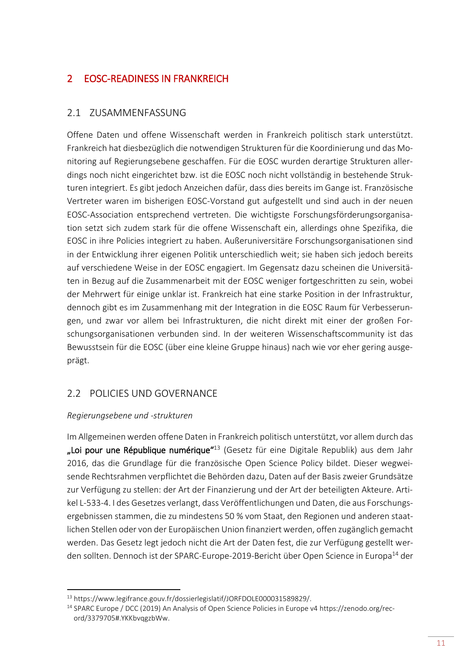# <span id="page-14-0"></span>2 EOSC-READINESS IN FRANKREICH

# <span id="page-14-1"></span>2.1 ZUSAMMENFASSUNG

Offene Daten und offene Wissenschaft werden in Frankreich politisch stark unterstützt. Frankreich hat diesbezüglich die notwendigen Strukturen für die Koordinierung und das Monitoring auf Regierungsebene geschaffen. Für die EOSC wurden derartige Strukturen allerdings noch nicht eingerichtet bzw. ist die EOSC noch nicht vollständig in bestehende Strukturen integriert. Es gibt jedoch Anzeichen dafür, dass dies bereits im Gange ist. Französische Vertreter waren im bisherigen EOSC-Vorstand gut aufgestellt und sind auch in der neuen EOSC-Association entsprechend vertreten. Die wichtigste Forschungsförderungsorganisation setzt sich zudem stark für die offene Wissenschaft ein, allerdings ohne Spezifika, die EOSC in ihre Policies integriert zu haben. Außeruniversitäre Forschungsorganisationen sind in der Entwicklung ihrer eigenen Politik unterschiedlich weit; sie haben sich jedoch bereits auf verschiedene Weise in der EOSC engagiert. Im Gegensatz dazu scheinen die Universitäten in Bezug auf die Zusammenarbeit mit der EOSC weniger fortgeschritten zu sein, wobei der Mehrwert für einige unklar ist. Frankreich hat eine starke Position in der Infrastruktur, dennoch gibt es im Zusammenhang mit der Integration in die EOSC Raum für Verbesserungen, und zwar vor allem bei Infrastrukturen, die nicht direkt mit einer der großen Forschungsorganisationen verbunden sind. In der weiteren Wissenschaftscommunity ist das Bewusstsein für die EOSC (über eine kleine Gruppe hinaus) nach wie vor eher gering ausgeprägt.

# <span id="page-14-2"></span>2.2 POLICIES UND GOVERNANCE

## *Regierungsebene und -strukturen*

1

Im Allgemeinen werden offene Daten in Frankreich politisch unterstützt, vor allem durch das "Loi pour une République numérique"<sup>13</sup> (Gesetz für eine Digitale Republik) aus dem Jahr 2016, das die Grundlage für die französische Open Science Policy bildet. Dieser wegweisende Rechtsrahmen verpflichtet die Behörden dazu, Daten auf der Basis zweier Grundsätze zur Verfügung zu stellen: der Art der Finanzierung und der Art der beteiligten Akteure. Artikel L-533-4. I des Gesetzes verlangt, dass Veröffentlichungen und Daten, die aus Forschungsergebnissen stammen, die zu mindestens 50 % vom Staat, den Regionen und anderen staatlichen Stellen oder von der Europäischen Union finanziert werden, offen zugänglich gemacht werden. Das Gesetz legt jedoch nicht die Art der Daten fest, die zur Verfügung gestellt werden sollten. Dennoch ist der SPARC-Europe-2019-Bericht über Open Science in Europa<sup>14</sup> der

<sup>13</sup> [https://www.legifrance.gouv.fr/dossierlegislatif/JORFDOLE000031589829/.](https://www.legifrance.gouv.fr/dossierlegislatif/JORFDOLE000031589829/)

<sup>14</sup> SPARC Europe / DCC (2019) An Analysis of Open Science Policies in Europe v4 [https://zenodo.org/rec](https://zenodo.org/record/3379705#.YKKbvqgzbWw)[ord/3379705#.YKKbvqgzbWw.](https://zenodo.org/record/3379705#.YKKbvqgzbWw)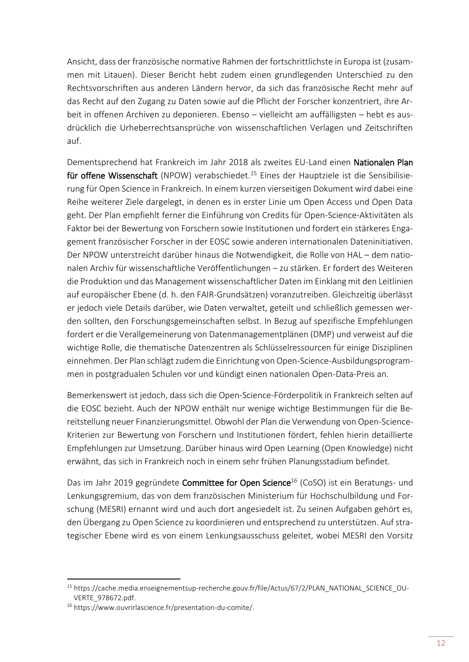Ansicht, dass der französische normative Rahmen der fortschrittlichste in Europa ist (zusammen mit Litauen). Dieser Bericht hebt zudem einen grundlegenden Unterschied zu den Rechtsvorschriften aus anderen Ländern hervor, da sich das französische Recht mehr auf das Recht auf den Zugang zu Daten sowie auf die Pflicht der Forscher konzentriert, ihre Arbeit in offenen Archiven zu deponieren. Ebenso – vielleicht am auffälligsten – hebt es ausdrücklich die Urheberrechtsansprüche von wissenschaftlichen Verlagen und Zeitschriften auf.

Dementsprechend hat Frankreich im Jahr 2018 als zweites EU-Land einen Nationalen Plan für offene Wissenschaft (NPOW) verabschiedet.<sup>15</sup> Eines der Hauptziele ist die Sensibilisierung für Open Science in Frankreich. In einem kurzen vierseitigen Dokument wird dabei eine Reihe weiterer Ziele dargelegt, in denen es in erster Linie um Open Access und Open Data geht. Der Plan empfiehlt ferner die Einführung von Credits für Open-Science-Aktivitäten als Faktor bei der Bewertung von Forschern sowie Institutionen und fordert ein stärkeres Engagement französischer Forscher in der EOSC sowie anderen internationalen Dateninitiativen. Der NPOW unterstreicht darüber hinaus die Notwendigkeit, die Rolle von HAL – dem nationalen Archiv für wissenschaftliche Veröffentlichungen – zu stärken. Er fordert des Weiteren die Produktion und das Management wissenschaftlicher Daten im Einklang mit den Leitlinien auf europäischer Ebene (d. h. den FAIR-Grundsätzen) voranzutreiben. Gleichzeitig überlässt er jedoch viele Details darüber, wie Daten verwaltet, geteilt und schließlich gemessen werden sollten, den Forschungsgemeinschaften selbst. In Bezug auf spezifische Empfehlungen fordert er die Verallgemeinerung von Datenmanagementplänen (DMP) und verweist auf die wichtige Rolle, die thematische Datenzentren als Schlüsselressourcen für einige Disziplinen einnehmen. Der Plan schlägt zudem die Einrichtung von Open-Science-Ausbildungsprogrammen in postgradualen Schulen vor und kündigt einen nationalen Open-Data-Preis an.

Bemerkenswert ist jedoch, dass sich die Open-Science-Förderpolitik in Frankreich selten auf die EOSC bezieht. Auch der NPOW enthält nur wenige wichtige Bestimmungen für die Bereitstellung neuer Finanzierungsmittel. Obwohl der Plan die Verwendung von Open-Science-Kriterien zur Bewertung von Forschern und Institutionen fördert, fehlen hierin detaillierte Empfehlungen zur Umsetzung. Darüber hinaus wird Open Learning (Open Knowledge) nicht erwähnt, das sich in Frankreich noch in einem sehr frühen Planungsstadium befindet.

Das im Jahr 2019 gegründete Committee for Open Science<sup>16</sup> (CoSO) ist ein Beratungs- und Lenkungsgremium, das von dem französischen Ministerium für Hochschulbildung und Forschung (MESRI) ernannt wird und auch dort angesiedelt ist. Zu seinen Aufgaben gehört es, den Übergang zu Open Science zu koordinieren und entsprechend zu unterstützen. Auf strategischer Ebene wird es von einem Lenkungsausschuss geleitet, wobei MESRI den Vorsitz

 $\overline{a}$ 

<sup>15</sup> [https://cache.media.enseignementsup-recherche.gouv.fr/file/Actus/67/2/PLAN\\_NATIONAL\\_SCIENCE\\_OU-](https://cache.media.enseignementsup-recherche.gouv.fr/file/Actus/67/2/PLAN_NATIONAL_SCIENCE_OUVERTE_978672.pdf)[VERTE\\_978672.pdf.](https://cache.media.enseignementsup-recherche.gouv.fr/file/Actus/67/2/PLAN_NATIONAL_SCIENCE_OUVERTE_978672.pdf)

<sup>16</sup> [https://www.ouvrirlascience.fr/presentation-du-comite/.](https://www.ouvrirlascience.fr/presentation-du-comite/)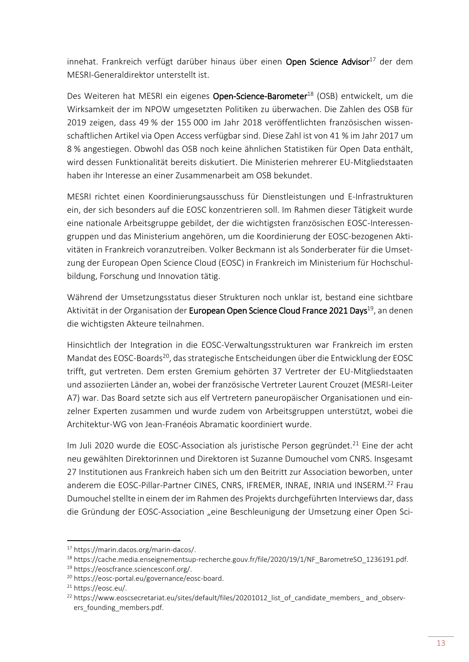innehat. Frankreich verfügt darüber hinaus über einen Open Science Advisor<sup>17</sup> der dem MESRI-Generaldirektor unterstellt ist.

Des Weiteren hat MESRI ein eigenes Open-Science-Barometer<sup>18</sup> (OSB) entwickelt, um die Wirksamkeit der im NPOW umgesetzten Politiken zu überwachen. Die Zahlen des OSB für 2019 zeigen, dass 49 % der 155 000 im Jahr 2018 veröffentlichten französischen wissenschaftlichen Artikel via Open Access verfügbar sind. Diese Zahl ist von 41 % im Jahr 2017 um 8 % angestiegen. Obwohl das OSB noch keine ähnlichen Statistiken für Open Data enthält, wird dessen Funktionalität bereits diskutiert. Die Ministerien mehrerer EU-Mitgliedstaaten haben ihr Interesse an einer Zusammenarbeit am OSB bekundet.

MESRI richtet einen Koordinierungsausschuss für Dienstleistungen und E-Infrastrukturen ein, der sich besonders auf die EOSC konzentrieren soll. Im Rahmen dieser Tätigkeit wurde eine nationale Arbeitsgruppe gebildet, der die wichtigsten französischen EOSC-Interessengruppen und das Ministerium angehören, um die Koordinierung der EOSC-bezogenen Aktivitäten in Frankreich voranzutreiben. Volker Beckmann ist als Sonderberater für die Umsetzung der European Open Science Cloud (EOSC) in Frankreich im Ministerium für Hochschulbildung, Forschung und Innovation tätig.

Während der Umsetzungsstatus dieser Strukturen noch unklar ist, bestand eine sichtbare Aktivität in der Organisation der European Open Science Cloud France 2021 Days<sup>19</sup>, an denen die wichtigsten Akteure teilnahmen.

Hinsichtlich der Integration in die EOSC-Verwaltungsstrukturen war Frankreich im ersten Mandat des EOSC-Boards<sup>20</sup>, das strategische Entscheidungen über die Entwicklung der EOSC trifft, gut vertreten. Dem ersten Gremium gehörten 37 Vertreter der EU-Mitgliedstaaten und assoziierten Länder an, wobei der französische Vertreter Laurent Crouzet (MESRI-Leiter A7) war. Das Board setzte sich aus elf Vertretern paneuropäischer Organisationen und einzelner Experten zusammen und wurde zudem von Arbeitsgruppen unterstützt, wobei die Architektur-WG von Jean-Franéois Abramatic koordiniert wurde.

Im Juli 2020 wurde die EOSC-Association als juristische Person gegründet.<sup>21</sup> Eine der acht neu gewählten Direktorinnen und Direktoren ist Suzanne Dumouchel vom CNRS. Insgesamt 27 Institutionen aus Frankreich haben sich um den Beitritt zur Association beworben, unter anderem die EOSC-Pillar-Partner CINES, CNRS, IFREMER, INRAE, INRIA und INSERM.<sup>22</sup> Frau Dumouchel stellte in einem der im Rahmen des Projekts durchgeführten Interviews dar, dass die Gründung der EOSC-Association "eine Beschleunigung der Umsetzung einer Open Sci-

<sup>17</sup> [https://marin.dacos.org/marin-dacos/.](https://marin.dacos.org/marin-dacos/)

<sup>18</sup> [https://cache.media.enseignementsup-recherche.gouv.fr/file/2020/19/1/NF\\_BarometreSO\\_1236191.pdf.](https://cache.media.enseignementsup-recherche.gouv.fr/file/2020/19/1/NF_BarometreSO_1236191.pdf)

<sup>19</sup> [https://eoscfrance.sciencesconf.org/.](https://eoscfrance.sciencesconf.org/)

<sup>20</sup> [https://eosc-portal.eu/governance/eosc-board.](https://eosc-portal.eu/governance/eosc-board)

<sup>21</sup> [https://eosc.eu/.](https://eosc.eu/)

<sup>&</sup>lt;sup>22</sup> https://www.eoscsecretariat.eu/sites/default/files/20201012 list of candidate members and observers founding members.pdf.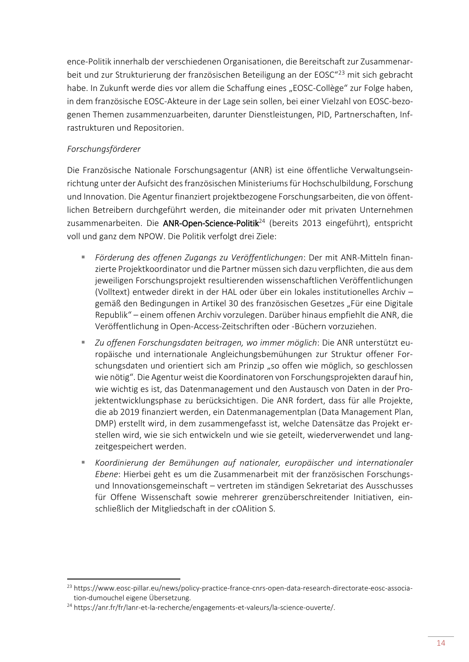ence-Politik innerhalb der verschiedenen Organisationen, die Bereitschaft zur Zusammenarbeit und zur Strukturierung der französischen Beteiligung an der EOSC"<sup>23</sup> mit sich gebracht habe. In Zukunft werde dies vor allem die Schaffung eines "EOSC-Collège" zur Folge haben, in dem französische EOSC-Akteure in der Lage sein sollen, bei einer Vielzahl von EOSC-bezogenen Themen zusammenzuarbeiten, darunter Dienstleistungen, PID, Partnerschaften, Infrastrukturen und Repositorien.

## *Forschungsförderer*

 $\overline{a}$ 

Die Französische Nationale Forschungsagentur (ANR) ist eine öffentliche Verwaltungseinrichtung unter der Aufsicht des französischen Ministeriums für Hochschulbildung, Forschung und Innovation. Die Agentur finanziert projektbezogene Forschungsarbeiten, die von öffentlichen Betreibern durchgeführt werden, die miteinander oder mit privaten Unternehmen zusammenarbeiten. Die ANR-Open-Science-Politik<sup>24</sup> (bereits 2013 eingeführt), entspricht voll und ganz dem NPOW. Die Politik verfolgt drei Ziele:

- *Förderung des offenen Zugangs zu Veröffentlichungen*: Der mit ANR-Mitteln finanzierte Projektkoordinator und die Partner müssen sich dazu verpflichten, die aus dem jeweiligen Forschungsprojekt resultierenden wissenschaftlichen Veröffentlichungen (Volltext) entweder direkt in der HAL oder über ein lokales institutionelles Archiv – gemäß den Bedingungen in Artikel 30 des französischen Gesetzes "Für eine Digitale Republik" – einem offenen Archiv vorzulegen. Darüber hinaus empfiehlt die ANR, die Veröffentlichung in Open-Access-Zeitschriften oder -Büchern vorzuziehen.
- *Zu offenen Forschungsdaten beitragen, wo immer möglich*: Die ANR unterstützt europäische und internationale Angleichungsbemühungen zur Struktur offener Forschungsdaten und orientiert sich am Prinzip "so offen wie möglich, so geschlossen wie nötig". Die Agentur weist die Koordinatoren von Forschungsprojekten darauf hin, wie wichtig es ist, das Datenmanagement und den Austausch von Daten in der Projektentwicklungsphase zu berücksichtigen. Die ANR fordert, dass für alle Projekte, die ab 2019 finanziert werden, ein Datenmanagementplan (Data Management Plan, DMP) erstellt wird, in dem zusammengefasst ist, welche Datensätze das Projekt erstellen wird, wie sie sich entwickeln und wie sie geteilt, wiederverwendet und langzeitgespeichert werden.
- *Koordinierung der Bemühungen auf nationaler, europäischer und internationaler Ebene*: Hierbei geht es um die Zusammenarbeit mit der französischen Forschungsund Innovationsgemeinschaft – vertreten im ständigen Sekretariat des Ausschusses für Offene Wissenschaft sowie mehrerer grenzüberschreitender Initiativen, einschließlich der Mitgliedschaft in der cOAlition S.

<sup>&</sup>lt;sup>23</sup> [https://www.eosc-pillar.eu/news/policy-practice-france-cnrs-open-data-research-directorate-eosc-associa](https://www.eosc-pillar.eu/news/policy-practice-france-cnrs-open-data-research-directorate-eosc-association-dumouchel)[tion-dumouchel](https://www.eosc-pillar.eu/news/policy-practice-france-cnrs-open-data-research-directorate-eosc-association-dumouchel) eigene Übersetzung.

<sup>&</sup>lt;sup>24</sup> [https://anr.fr/fr/lanr-et-la-recherche/engagements-et-valeurs/la-science-ouverte/.](https://anr.fr/fr/lanr-et-la-recherche/engagements-et-valeurs/la-science-ouverte/)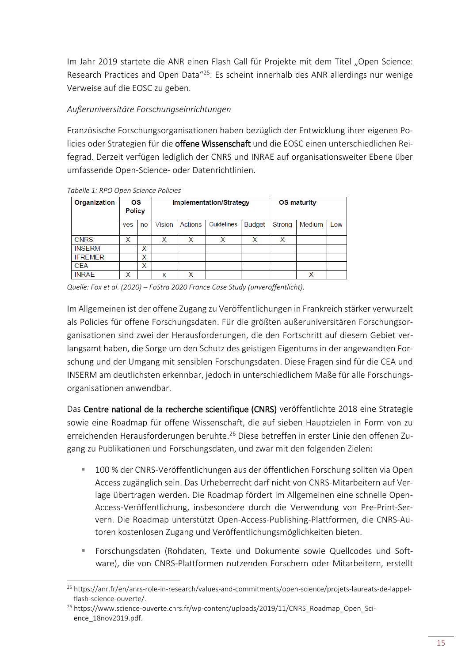Im Jahr 2019 startete die ANR einen Flash Call für Projekte mit dem Titel "Open Science: Research Practices and Open Data"<sup>25</sup>. Es scheint innerhalb des ANR allerdings nur wenige Verweise auf die EOSC zu geben.

## *Außeruniversitäre Forschungseinrichtungen*

Französische Forschungsorganisationen haben bezüglich der Entwicklung ihrer eigenen Policies oder Strategien für die offene Wissenschaft und die EOSC einen unterschiedlichen Reifegrad. Derzeit verfügen lediglich der CNRS und INRAE auf organisationsweiter Ebene über umfassende Open-Science- oder Datenrichtlinien.

| Organization   | OS<br><b>Policy</b> |    | <b>Implementation/Strategy</b> |         |            |               | <b>OS maturity</b> |        |     |
|----------------|---------------------|----|--------------------------------|---------|------------|---------------|--------------------|--------|-----|
|                | yes                 | no | Vision                         | Actions | Guidelines | <b>Budget</b> | Strong             | Medium | Low |
| <b>CNRS</b>    | x                   |    | x                              | x       | x          | x             | X                  |        |     |
| <b>INSERM</b>  |                     | x  |                                |         |            |               |                    |        |     |
| <b>IFREMER</b> |                     | x  |                                |         |            |               |                    |        |     |
| <b>CEA</b>     |                     | X  |                                |         |            |               |                    |        |     |
| <b>INRAE</b>   | X                   |    | x                              | x       |            |               |                    | x      |     |

*Tabelle 1: RPO Open Science Policies* 

**.** 

*Quelle: Fox et al. (2020) – FoStra 2020 France Case Study (unveröffentlicht).*

Im Allgemeinen ist der offene Zugang zu Veröffentlichungen in Frankreich stärker verwurzelt als Policies für offene Forschungsdaten. Für die größten außeruniversitären Forschungsorganisationen sind zwei der Herausforderungen, die den Fortschritt auf diesem Gebiet verlangsamt haben, die Sorge um den Schutz des geistigen Eigentums in der angewandten Forschung und der Umgang mit sensiblen Forschungsdaten. Diese Fragen sind für die CEA und INSERM am deutlichsten erkennbar, jedoch in unterschiedlichem Maße für alle Forschungsorganisationen anwendbar.

Das Centre national de la recherche scientifique (CNRS) veröffentlichte 2018 eine Strategie sowie eine Roadmap für offene Wissenschaft, die auf sieben Hauptzielen in Form von zu erreichenden Herausforderungen beruhte. <sup>26</sup> Diese betreffen in erster Linie den offenen Zugang zu Publikationen und Forschungsdaten, und zwar mit den folgenden Zielen:

- 100 % der CNRS-Veröffentlichungen aus der öffentlichen Forschung sollten via Open Access zugänglich sein. Das Urheberrecht darf nicht von CNRS-Mitarbeitern auf Verlage übertragen werden. Die Roadmap fördert im Allgemeinen eine schnelle Open-Access-Veröffentlichung, insbesondere durch die Verwendung von Pre-Print-Servern. Die Roadmap unterstützt Open-Access-Publishing-Plattformen, die CNRS-Autoren kostenlosen Zugang und Veröffentlichungsmöglichkeiten bieten.
- Forschungsdaten (Rohdaten, Texte und Dokumente sowie Quellcodes und Software), die von CNRS-Plattformen nutzenden Forschern oder Mitarbeitern, erstellt

<sup>25</sup> [https://anr.fr/en/anrs-role-in-research/values-and-commitments/open-science/projets-laureats-de-lappel](https://anr.fr/en/anrs-role-in-research/values-and-commitments/open-science/projets-laureats-de-lappel-flash-science-ouverte/)[flash-science-ouverte/.](https://anr.fr/en/anrs-role-in-research/values-and-commitments/open-science/projets-laureats-de-lappel-flash-science-ouverte/)

<sup>&</sup>lt;sup>26</sup> [https://www.science-ouverte.cnrs.fr/wp-content/uploads/2019/11/CNRS\\_Roadmap\\_Open\\_Sci](https://www.science-ouverte.cnrs.fr/wp-content/uploads/2019/11/CNRS_Roadmap_Open_Science_18nov2019.pdf)[ence\\_18nov2019.pdf.](https://www.science-ouverte.cnrs.fr/wp-content/uploads/2019/11/CNRS_Roadmap_Open_Science_18nov2019.pdf)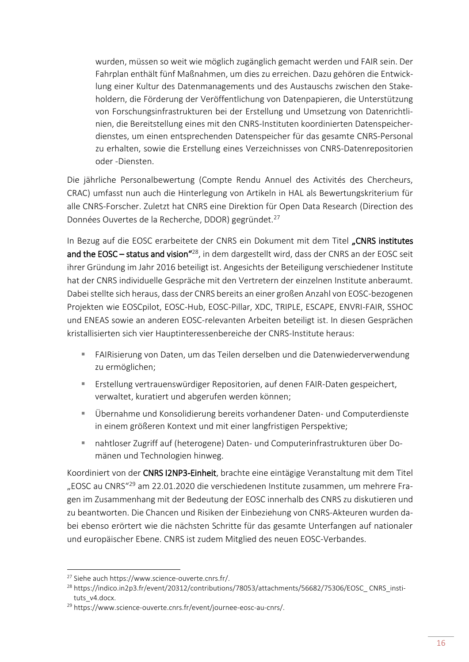wurden, müssen so weit wie möglich zugänglich gemacht werden und FAIR sein. Der Fahrplan enthält fünf Maßnahmen, um dies zu erreichen. Dazu gehören die Entwicklung einer Kultur des Datenmanagements und des Austauschs zwischen den Stakeholdern, die Förderung der Veröffentlichung von Datenpapieren, die Unterstützung von Forschungsinfrastrukturen bei der Erstellung und Umsetzung von Datenrichtlinien, die Bereitstellung eines mit den CNRS-Instituten koordinierten Datenspeicherdienstes, um einen entsprechenden Datenspeicher für das gesamte CNRS-Personal zu erhalten, sowie die Erstellung eines Verzeichnisses von CNRS-Datenrepositorien oder -Diensten.

Die jährliche Personalbewertung (Compte Rendu Annuel des Activités des Chercheurs, CRAC) umfasst nun auch die Hinterlegung von Artikeln in HAL als Bewertungskriterium für alle CNRS-Forscher. Zuletzt hat CNRS eine Direktion für Open Data Research (Direction des Données Ouvertes de la Recherche, DDOR) gegründet.<sup>27</sup>

In Bezug auf die EOSC erarbeitete der CNRS ein Dokument mit dem Titel "CNRS institutes and the EOSC – status and vision<sup> $428$ </sup>, in dem dargestellt wird, dass der CNRS an der EOSC seit ihrer Gründung im Jahr 2016 beteiligt ist. Angesichts der Beteiligung verschiedener Institute hat der CNRS individuelle Gespräche mit den Vertretern der einzelnen Institute anberaumt. Dabei stellte sich heraus, dass der CNRS bereits an einer großen Anzahl von EOSC-bezogenen Projekten wie EOSCpilot, EOSC-Hub, EOSC-Pillar, XDC, TRIPLE, ESCAPE, ENVRI-FAIR, SSHOC und ENEAS sowie an anderen EOSC-relevanten Arbeiten beteiligt ist. In diesen Gesprächen kristallisierten sich vier Hauptinteressenbereiche der CNRS-Institute heraus:

- FAIRisierung von Daten, um das Teilen derselben und die Datenwiederverwendung zu ermöglichen;
- Erstellung vertrauenswürdiger Repositorien, auf denen FAIR-Daten gespeichert, verwaltet, kuratiert und abgerufen werden können;
- Übernahme und Konsolidierung bereits vorhandener Daten- und Computerdienste in einem größeren Kontext und mit einer langfristigen Perspektive;
- nahtloser Zugriff auf (heterogene) Daten- und Computerinfrastrukturen über Domänen und Technologien hinweg.

Koordiniert von der CNRS I2NP3-Einheit, brachte eine eintägige Veranstaltung mit dem Titel "EOSC au CNRS<sup>"29</sup> am 22.01.2020 die verschiedenen Institute zusammen, um mehrere Fragen im Zusammenhang mit der Bedeutung der EOSC innerhalb des CNRS zu diskutieren und zu beantworten. Die Chancen und Risiken der Einbeziehung von CNRS-Akteuren wurden dabei ebenso erörtert wie die nächsten Schritte für das gesamte Unterfangen auf nationaler und europäischer Ebene. CNRS ist zudem Mitglied des neuen EOSC-Verbandes.

<sup>27</sup> Siehe auc[h https://www.science-ouverte.cnrs.fr/.](https://www.science-ouverte.cnrs.fr/)

<sup>&</sup>lt;sup>28</sup> [https://indico.in2p3.fr/event/20312/contributions/78053/attachments/56682/75306/EOSC\\_ CNRS\\_insti](https://indico.in2p3.fr/event/20312/contributions/78053/attachments/56682/75306/EOSC_CNRS_instituts_v4.docx)[tuts\\_v4.docx.](https://indico.in2p3.fr/event/20312/contributions/78053/attachments/56682/75306/EOSC_CNRS_instituts_v4.docx)

<sup>&</sup>lt;sup>29</sup> [https://www.science-ouverte.cnrs.fr/event/journee-eosc-au-cnrs/.](https://www.science-ouverte.cnrs.fr/event/journee-eosc-au-cnrs/)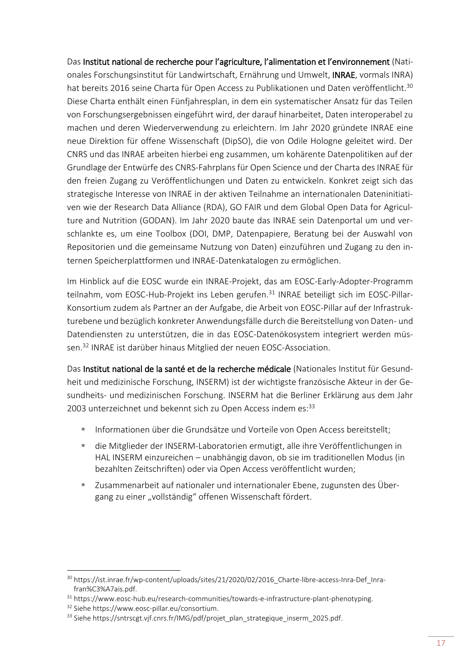Das Institut national de recherche pour l'agriculture, l'alimentation et l'environnement (Nationales Forschungsinstitut für Landwirtschaft, Ernährung und Umwelt, INRAE, vormals INRA) hat bereits 2016 seine Charta für Open Access zu Publikationen und Daten veröffentlicht.<sup>30</sup> Diese Charta enthält einen Fünfjahresplan, in dem ein systematischer Ansatz für das Teilen von Forschungsergebnissen eingeführt wird, der darauf hinarbeitet, Daten interoperabel zu machen und deren Wiederverwendung zu erleichtern. Im Jahr 2020 gründete INRAE eine neue Direktion für offene Wissenschaft (DipSO), die von Odile Hologne geleitet wird. Der CNRS und das INRAE arbeiten hierbei eng zusammen, um kohärente Datenpolitiken auf der Grundlage der Entwürfe des CNRS-Fahrplans für Open Science und der Charta des INRAE für den freien Zugang zu Veröffentlichungen und Daten zu entwickeln. Konkret zeigt sich das strategische Interesse von INRAE in der aktiven Teilnahme an internationalen Dateninitiativen wie der Research Data Alliance (RDA), GO FAIR und dem Global Open Data for Agriculture and Nutrition (GODAN). Im Jahr 2020 baute das INRAE sein Datenportal um und verschlankte es, um eine Toolbox (DOI, DMP, Datenpapiere, Beratung bei der Auswahl von Repositorien und die gemeinsame Nutzung von Daten) einzuführen und Zugang zu den internen Speicherplattformen und INRAE-Datenkatalogen zu ermöglichen.

Im Hinblick auf die EOSC wurde ein INRAE-Projekt, das am EOSC-Early-Adopter-Programm teilnahm, vom EOSC-Hub-Projekt ins Leben gerufen.<sup>31</sup> INRAE beteiligt sich im EOSC-Pillar-Konsortium zudem als Partner an der Aufgabe, die Arbeit von EOSC-Pillar auf der Infrastrukturebene und bezüglich konkreter Anwendungsfälle durch die Bereitstellung von Daten- und Datendiensten zu unterstützen, die in das EOSC-Datenökosystem integriert werden müssen.<sup>32</sup> INRAE ist darüber hinaus Mitglied der neuen EOSC-Association.

Das Institut national de la santé et de la recherche médicale (Nationales Institut für Gesundheit und medizinische Forschung, INSERM) ist der wichtigste französische Akteur in der Gesundheits- und medizinischen Forschung. INSERM hat die Berliner Erklärung aus dem Jahr 2003 unterzeichnet und bekennt sich zu Open Access indem es: 33

- Informationen über die Grundsätze und Vorteile von Open Access bereitstellt;
- die Mitglieder der INSERM-Laboratorien ermutigt, alle ihre Veröffentlichungen in HAL INSERM einzureichen – unabhängig davon, ob sie im traditionellen Modus (in bezahlten Zeitschriften) oder via Open Access veröffentlicht wurden;
- Zusammenarbeit auf nationaler und internationaler Ebene, zugunsten des Übergang zu einer "vollständig" offenen Wissenschaft fördert.

<sup>30</sup> [https://ist.inrae.fr/wp-content/uploads/sites/21/2020/02/2016\\_Charte-libre-access-Inra-Def\\_Inra](https://ist.inrae.fr/wp-content/uploads/sites/21/2020/02/2016_Charte-libre-access-Inra-Def_Inra-fran%C3%A7ais.pdf)[fran%C3%A7ais.pdf.](https://ist.inrae.fr/wp-content/uploads/sites/21/2020/02/2016_Charte-libre-access-Inra-Def_Inra-fran%C3%A7ais.pdf)

<sup>31</sup> [https://www.eosc-hub.eu/research-communities/towards-e-infrastructure-plant-phenotyping.](https://www.eosc-hub.eu/research-communities/towards-e-infrastructure-plant-phenotyping)

<sup>32</sup> Siehe [https://www.eosc-pillar.eu/consortium.](https://www.eosc-pillar.eu/consortium)

<sup>33</sup> Siehe [https://sntrscgt.vjf.cnrs.fr/IMG/pdf/projet\\_plan\\_strategique\\_inserm\\_2025.pdf.](https://sntrscgt.vjf.cnrs.fr/IMG/pdf/projet_plan_strategique_inserm_2025.pdf)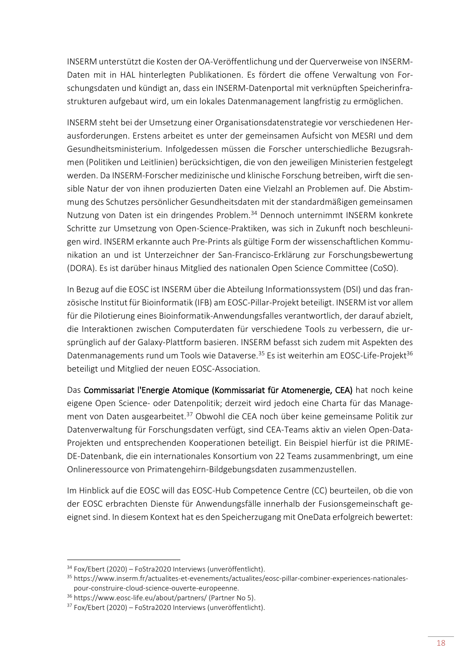INSERM unterstützt die Kosten der OA-Veröffentlichung und der Querverweise von INSERM-Daten mit in HAL hinterlegten Publikationen. Es fördert die offene Verwaltung von Forschungsdaten und kündigt an, dass ein INSERM-Datenportal mit verknüpften Speicherinfrastrukturen aufgebaut wird, um ein lokales Datenmanagement langfristig zu ermöglichen.

INSERM steht bei der Umsetzung einer Organisationsdatenstrategie vor verschiedenen Herausforderungen. Erstens arbeitet es unter der gemeinsamen Aufsicht von MESRI und dem Gesundheitsministerium. Infolgedessen müssen die Forscher unterschiedliche Bezugsrahmen (Politiken und Leitlinien) berücksichtigen, die von den jeweiligen Ministerien festgelegt werden. Da INSERM-Forscher medizinische und klinische Forschung betreiben, wirft die sensible Natur der von ihnen produzierten Daten eine Vielzahl an Problemen auf. Die Abstimmung des Schutzes persönlicher Gesundheitsdaten mit der standardmäßigen gemeinsamen Nutzung von Daten ist ein dringendes Problem.<sup>34</sup> Dennoch unternimmt INSERM konkrete Schritte zur Umsetzung von Open-Science-Praktiken, was sich in Zukunft noch beschleunigen wird. INSERM erkannte auch Pre-Prints als gültige Form der wissenschaftlichen Kommunikation an und ist Unterzeichner der San-Francisco-Erklärung zur Forschungsbewertung (DORA). Es ist darüber hinaus Mitglied des nationalen Open Science Committee (CoSO).

In Bezug auf die EOSC ist INSERM über die Abteilung Informationssystem (DSI) und das französische Institut für Bioinformatik (IFB) am EOSC-Pillar-Projekt beteiligt. INSERM ist vor allem für die Pilotierung eines Bioinformatik-Anwendungsfalles verantwortlich, der darauf abzielt, die Interaktionen zwischen Computerdaten für verschiedene Tools zu verbessern, die ursprünglich auf der Galaxy-Plattform basieren. INSERM befasst sich zudem mit Aspekten des Datenmanagements rund um Tools wie Dataverse.<sup>35</sup> Es ist weiterhin am EOSC-Life-Projekt<sup>36</sup> beteiligt und Mitglied der neuen EOSC-Association.

Das Commissariat l'Energie Atomique (Kommissariat für Atomenergie, CEA) hat noch keine eigene Open Science- oder Datenpolitik; derzeit wird jedoch eine Charta für das Management von Daten ausgearbeitet.<sup>37</sup> Obwohl die CEA noch über keine gemeinsame Politik zur Datenverwaltung für Forschungsdaten verfügt, sind CEA-Teams aktiv an vielen Open-Data-Projekten und entsprechenden Kooperationen beteiligt. Ein Beispiel hierfür ist die PRIME-DE-Datenbank, die ein internationales Konsortium von 22 Teams zusammenbringt, um eine Onlineressource von Primatengehirn-Bildgebungsdaten zusammenzustellen.

Im Hinblick auf die EOSC will das EOSC-Hub Competence Centre (CC) beurteilen, ob die von der EOSC erbrachten Dienste für Anwendungsfälle innerhalb der Fusionsgemeinschaft geeignet sind. In diesem Kontext hat es den Speicherzugang mit OneData erfolgreich bewertet:

 $\overline{a}$ 

 $34$  Fox/Ebert (2020) – FoStra2020 Interviews (unveröffentlicht).

<sup>35</sup> [https://www.inserm.fr/actualites-et-evenements/actualites/eosc-pillar-combiner-experiences-nationales](https://www.inserm.fr/actualites-et-evenements/actualites/eosc-pillar-combiner-experiences-nationales-pour-construire-cloud-science-ouverte-europeenne)[pour-construire-cloud-science-ouverte-europeenne.](https://www.inserm.fr/actualites-et-evenements/actualites/eosc-pillar-combiner-experiences-nationales-pour-construire-cloud-science-ouverte-europeenne)

<sup>36</sup> <https://www.eosc-life.eu/about/partners/> (Partner No 5).

 $37$  Fox/Ebert (2020) – FoStra2020 Interviews (unveröffentlicht).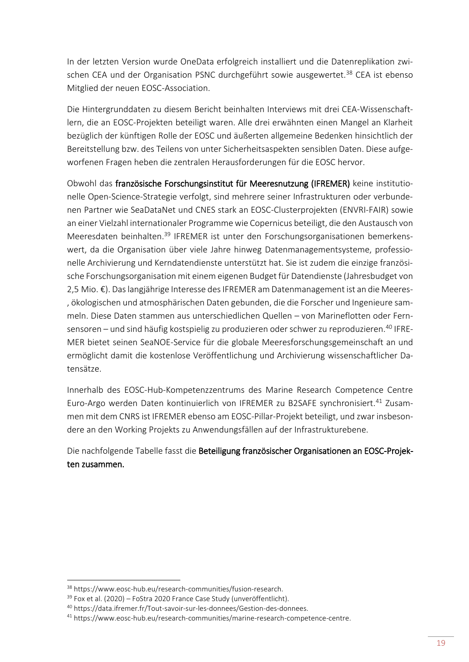In der letzten Version wurde OneData erfolgreich installiert und die Datenreplikation zwischen CEA und der Organisation PSNC durchgeführt sowie ausgewertet.<sup>38</sup> CEA ist ebenso Mitglied der neuen EOSC-Association.

Die Hintergrunddaten zu diesem Bericht beinhalten Interviews mit drei CEA-Wissenschaftlern, die an EOSC-Projekten beteiligt waren. Alle drei erwähnten einen Mangel an Klarheit bezüglich der künftigen Rolle der EOSC und äußerten allgemeine Bedenken hinsichtlich der Bereitstellung bzw. des Teilens von unter Sicherheitsaspekten sensiblen Daten. Diese aufgeworfenen Fragen heben die zentralen Herausforderungen für die EOSC hervor.

Obwohl das französische Forschungsinstitut für Meeresnutzung (IFREMER) keine institutionelle Open-Science-Strategie verfolgt, sind mehrere seiner Infrastrukturen oder verbundenen Partner wie SeaDataNet und CNES stark an EOSC-Clusterprojekten (ENVRI-FAIR) sowie an einer Vielzahl internationaler Programme wie Copernicus beteiligt, die den Austausch von Meeresdaten beinhalten.<sup>39</sup> IFREMER ist unter den Forschungsorganisationen bemerkenswert, da die Organisation über viele Jahre hinweg Datenmanagementsysteme, professionelle Archivierung und Kerndatendienste unterstützt hat. Sie ist zudem die einzige französische Forschungsorganisation mit einem eigenen Budget für Datendienste (Jahresbudget von 2,5 Mio. €). Das langjährige Interesse des IFREMER am Datenmanagement ist an die Meeres- , ökologischen und atmosphärischen Daten gebunden, die die Forscher und Ingenieure sammeln. Diese Daten stammen aus unterschiedlichen Quellen – von Marineflotten oder Fernsensoren – und sind häufig kostspielig zu produzieren oder schwer zu reproduzieren.<sup>40</sup> IFRE-MER bietet seinen SeaNOE-Service für die globale Meeresforschungsgemeinschaft an und ermöglicht damit die kostenlose Veröffentlichung und Archivierung wissenschaftlicher Datensätze.

Innerhalb des EOSC-Hub-Kompetenzzentrums des Marine Research Competence Centre Euro-Argo werden Daten kontinuierlich von IFREMER zu B2SAFE synchronisiert.<sup>41</sup> Zusammen mit dem CNRS ist IFREMER ebenso am EOSC-Pillar-Projekt beteiligt, und zwar insbesondere an den Working Projekts zu Anwendungsfällen auf der Infrastrukturebene.

Die nachfolgende Tabelle fasst die Beteiligung französischer Organisationen an EOSC-Projekten zusammen.

<sup>38</sup> [https://www.eosc-hub.eu/research-communities/fusion-research.](https://www.eosc-hub.eu/research-communities/fusion-research)

<sup>&</sup>lt;sup>39</sup> Fox et al. (2020) – FoStra 2020 France Case Study (unveröffentlicht).

<sup>40</sup> [https://data.ifremer.fr/Tout-savoir-sur-les-donnees/Gestion-des-donnees.](https://data.ifremer.fr/Tout-savoir-sur-les-donnees/Gestion-des-donnees)

<sup>41</sup> [https://www.eosc-hub.eu/research-communities/marine-research-competence-centre.](https://www.eosc-hub.eu/research-communities/marine-research-competence-centre)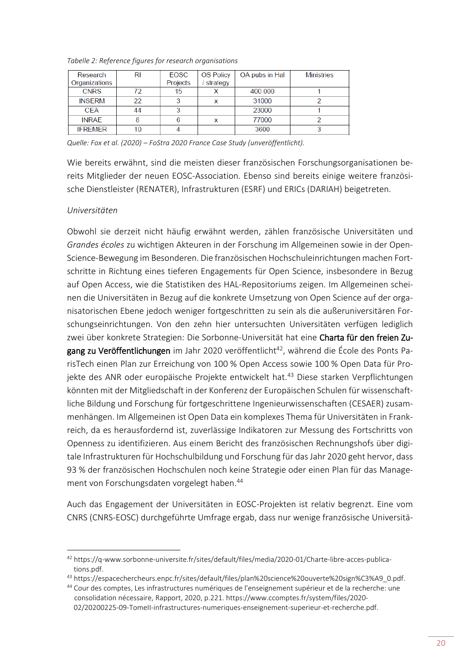| Research       | RI | <b>EOSC</b> | <b>OS Policy</b> | OA pubs in Hal | <b>Ministries</b> |
|----------------|----|-------------|------------------|----------------|-------------------|
| Organizations  |    | Projects    | strategy         |                |                   |
| <b>CNRS</b>    | 72 | 15          |                  | 400 000        |                   |
| <b>INSERM</b>  | 22 |             | x                | 31000          |                   |
| <b>CEA</b>     | 44 |             |                  | 23000          |                   |
| <b>INRAE</b>   |    |             |                  | 77000          |                   |
| <b>IFREMER</b> | 10 |             |                  | 3600           |                   |
|                |    |             |                  |                |                   |

*Tabelle 2: Reference figures for research organisations* 

*Quelle: Fox et al. (2020) – FoStra 2020 France Case Study (unveröffentlicht).*

Wie bereits erwähnt, sind die meisten dieser französischen Forschungsorganisationen bereits Mitglieder der neuen EOSC-Association. Ebenso sind bereits einige weitere französische Dienstleister (RENATER), Infrastrukturen (ESRF) und ERICs (DARIAH) beigetreten.

#### *Universitäten*

**.** 

Obwohl sie derzeit nicht häufig erwähnt werden, zählen französische Universitäten und *Grandes écoles* zu wichtigen Akteuren in der Forschung im Allgemeinen sowie in der Open-Science-Bewegung im Besonderen. Die französischen Hochschuleinrichtungen machen Fortschritte in Richtung eines tieferen Engagements für Open Science, insbesondere in Bezug auf Open Access, wie die Statistiken des HAL-Repositoriums zeigen. Im Allgemeinen scheinen die Universitäten in Bezug auf die konkrete Umsetzung von Open Science auf der organisatorischen Ebene jedoch weniger fortgeschritten zu sein als die außeruniversitären Forschungseinrichtungen. Von den zehn hier untersuchten Universitäten verfügen lediglich zwei über konkrete Strategien: Die Sorbonne-Universität hat eine Charta für den freien Zugang zu Veröffentlichungen im Jahr 2020 veröffentlicht<sup>42</sup>, während die École des Ponts ParisTech einen Plan zur Erreichung von 100 % Open Access sowie 100 % Open Data für Projekte des ANR oder europäische Projekte entwickelt hat.<sup>43</sup> Diese starken Verpflichtungen könnten mit der Mitgliedschaft in der Konferenz der Europäischen Schulen für wissenschaftliche Bildung und Forschung für fortgeschrittene Ingenieurwissenschaften (CESAER) zusammenhängen. Im Allgemeinen ist Open Data ein komplexes Thema für Universitäten in Frankreich, da es herausfordernd ist, zuverlässige Indikatoren zur Messung des Fortschritts von Openness zu identifizieren. Aus einem Bericht des französischen Rechnungshofs über digitale Infrastrukturen für Hochschulbildung und Forschung für das Jahr 2020 geht hervor, dass 93 % der französischen Hochschulen noch keine Strategie oder einen Plan für das Management von Forschungsdaten vorgelegt haben.<sup>44</sup>

Auch das Engagement der Universitäten in EOSC-Projekten ist relativ begrenzt. Eine vom CNRS (CNRS-EOSC) durchgeführte Umfrage ergab, dass nur wenige französische Universitä-

<sup>42</sup> [https://q-www.sorbonne-universite.fr/sites/default/files/media/2020-01/Charte-libre-acces-publica](https://q-www.sorbonne-universite.fr/sites/default/files/media/2020-01/Charte-libre-acces-publications.pdf)[tions.pdf.](https://q-www.sorbonne-universite.fr/sites/default/files/media/2020-01/Charte-libre-acces-publications.pdf)

<sup>43</sup> [https://espacechercheurs.enpc.fr/sites/default/files/plan%20science%20ouverte%20sign%C3%A9\\_0.pdf.](https://espacechercheurs.enpc.fr/sites/default/files/plan%20science%20ouverte%20sign%C3%A9_0.pdf)

<sup>44</sup> Cour des comptes, Les infrastructures numériques de l'enseignement supérieur et de la recherche: une consolidation nécessaire, Rapport, 2020, p.221. [https://www.ccomptes.fr/system/files/2020-](https://www.ccomptes.fr/system/files/2020-02/20200225-09-TomeII-infrastructures-numeriques-enseignement-superieur-et-recherche.pdf)

[<sup>02/20200225-09-</sup>TomeII-infrastructures-numeriques-enseignement-superieur-et-recherche.pdf.](https://www.ccomptes.fr/system/files/2020-02/20200225-09-TomeII-infrastructures-numeriques-enseignement-superieur-et-recherche.pdf)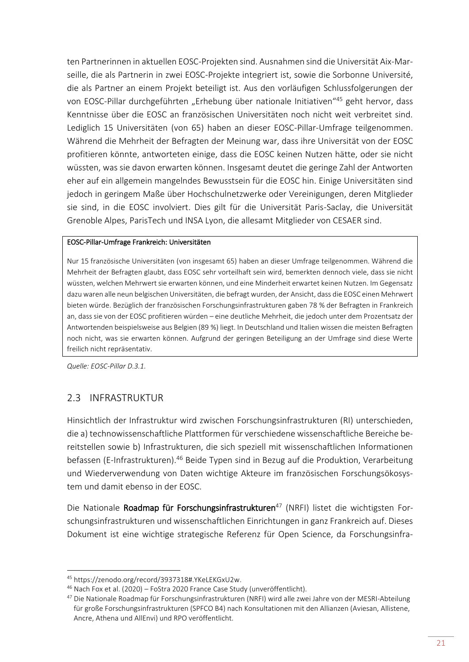ten Partnerinnen in aktuellen EOSC-Projekten sind. Ausnahmen sind die Universität Aix-Marseille, die als Partnerin in zwei EOSC-Projekte integriert ist, sowie die Sorbonne Université, die als Partner an einem Projekt beteiligt ist. Aus den vorläufigen Schlussfolgerungen der von EOSC-Pillar durchgeführten "Erhebung über nationale Initiativen"45 geht hervor, dass Kenntnisse über die EOSC an französischen Universitäten noch nicht weit verbreitet sind. Lediglich 15 Universitäten (von 65) haben an dieser EOSC-Pillar-Umfrage teilgenommen. Während die Mehrheit der Befragten der Meinung war, dass ihre Universität von der EOSC profitieren könnte, antworteten einige, dass die EOSC keinen Nutzen hätte, oder sie nicht wüssten, was sie davon erwarten können. Insgesamt deutet die geringe Zahl der Antworten eher auf ein allgemein mangelndes Bewusstsein für die EOSC hin. Einige Universitäten sind jedoch in geringem Maße über Hochschulnetzwerke oder Vereinigungen, deren Mitglieder sie sind, in die EOSC involviert. Dies gilt für die Universität Paris-Saclay, die Universität Grenoble Alpes, ParisTech und INSA Lyon, die allesamt Mitglieder von CESAER sind.

#### EOSC-Pillar-Umfrage Frankreich: Universitäten

Nur 15 französische Universitäten (von insgesamt 65) haben an dieser Umfrage teilgenommen. Während die Mehrheit der Befragten glaubt, dass EOSC sehr vorteilhaft sein wird, bemerkten dennoch viele, dass sie nicht wüssten, welchen Mehrwert sie erwarten können, und eine Minderheit erwartet keinen Nutzen. Im Gegensatz dazu waren alle neun belgischen Universitäten, die befragt wurden, der Ansicht, dass die EOSC einen Mehrwert bieten würde. Bezüglich der französischen Forschungsinfrastrukturen gaben 78 % der Befragten in Frankreich an, dass sie von der EOSC profitieren würden – eine deutliche Mehrheit, die jedoch unter dem Prozentsatz der Antwortenden beispielsweise aus Belgien (89 %) liegt. In Deutschland und Italien wissen die meisten Befragten noch nicht, was sie erwarten können. Aufgrund der geringen Beteiligung an der Umfrage sind diese Werte freilich nicht repräsentativ.

<span id="page-24-0"></span>*Quelle: EOSC-Pillar D.3.1.* 

1

# 2.3 INFRASTRUKTUR

Hinsichtlich der Infrastruktur wird zwischen Forschungsinfrastrukturen (RI) unterschieden, die a) technowissenschaftliche Plattformen für verschiedene wissenschaftliche Bereiche bereitstellen sowie b) Infrastrukturen, die sich speziell mit wissenschaftlichen Informationen befassen (E-Infrastrukturen).<sup>46</sup> Beide Typen sind in Bezug auf die Produktion, Verarbeitung und Wiederverwendung von Daten wichtige Akteure im französischen Forschungsökosystem und damit ebenso in der EOSC.

Die Nationale Roadmap für Forschungsinfrastrukturen<sup>47</sup> (NRFI) listet die wichtigsten Forschungsinfrastrukturen und wissenschaftlichen Einrichtungen in ganz Frankreich auf. Dieses Dokument ist eine wichtige strategische Referenz für Open Science, da Forschungsinfra-

<sup>45</sup> [https://zenodo.org/record/3937318#.YKeLEKGxU2w.](https://zenodo.org/record/3937318#.YKeLEKGxU2w)

<sup>46</sup> Nach Fox et al. (2020) – FoStra 2020 France Case Study (unveröffentlicht).

<sup>&</sup>lt;sup>47</sup> Die Nationale Roadmap für Forschungsinfrastrukturen (NRFI) wird alle zwei Jahre von der MESRI-Abteilung für große Forschungsinfrastrukturen (SPFCO B4) nach Konsultationen mit den Allianzen (Aviesan, Allistene, Ancre, Athena und AllEnvi) und RPO veröffentlicht.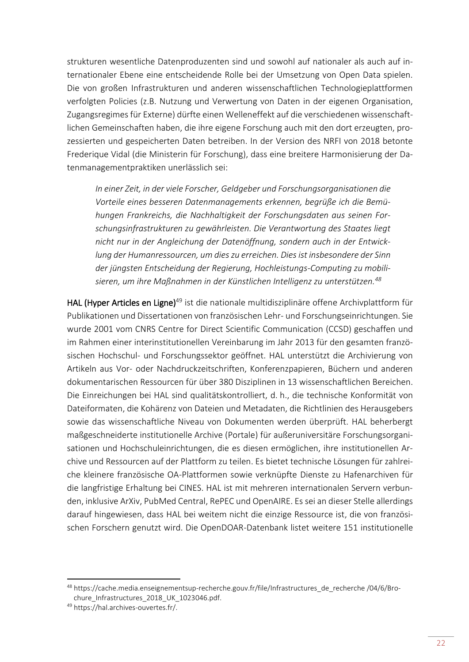strukturen wesentliche Datenproduzenten sind und sowohl auf nationaler als auch auf internationaler Ebene eine entscheidende Rolle bei der Umsetzung von Open Data spielen. Die von großen Infrastrukturen und anderen wissenschaftlichen Technologieplattformen verfolgten Policies (z.B. Nutzung und Verwertung von Daten in der eigenen Organisation, Zugangsregimes für Externe) dürfte einen Welleneffekt auf die verschiedenen wissenschaftlichen Gemeinschaften haben, die ihre eigene Forschung auch mit den dort erzeugten, prozessierten und gespeicherten Daten betreiben. In der Version des NRFI von 2018 betonte Frederique Vidal (die Ministerin für Forschung), dass eine breitere Harmonisierung der Datenmanagementpraktiken unerlässlich sei:

*In einer Zeit, in der viele Forscher, Geldgeber und Forschungsorganisationen die Vorteile eines besseren Datenmanagements erkennen, begrüße ich die Bemühungen Frankreichs, die Nachhaltigkeit der Forschungsdaten aus seinen Forschungsinfrastrukturen zu gewährleisten. Die Verantwortung des Staates liegt nicht nur in der Angleichung der Datenöffnung, sondern auch in der Entwicklung der Humanressourcen, um dies zu erreichen. Dies ist insbesondere der Sinn der jüngsten Entscheidung der Regierung, Hochleistungs-Computing zu mobilisieren, um ihre Maßnahmen in der Künstlichen Intelligenz zu unterstützen.<sup>48</sup>*

HAL (Hyper Articles en Ligne)<sup>49</sup> ist die nationale multidisziplinäre offene Archivplattform für Publikationen und Dissertationen von französischen Lehr- und Forschungseinrichtungen. Sie wurde 2001 vom CNRS Centre for Direct Scientific Communication (CCSD) geschaffen und im Rahmen einer interinstitutionellen Vereinbarung im Jahr 2013 für den gesamten französischen Hochschul- und Forschungssektor geöffnet. HAL unterstützt die Archivierung von Artikeln aus Vor- oder Nachdruckzeitschriften, Konferenzpapieren, Büchern und anderen dokumentarischen Ressourcen für über 380 Disziplinen in 13 wissenschaftlichen Bereichen. Die Einreichungen bei HAL sind qualitätskontrolliert, d. h., die technische Konformität von Dateiformaten, die Kohärenz von Dateien und Metadaten, die Richtlinien des Herausgebers sowie das wissenschaftliche Niveau von Dokumenten werden überprüft. HAL beherbergt maßgeschneiderte institutionelle Archive (Portale) für außeruniversitäre Forschungsorganisationen und Hochschuleinrichtungen, die es diesen ermöglichen, ihre institutionellen Archive und Ressourcen auf der Plattform zu teilen. Es bietet technische Lösungen für zahlreiche kleinere französische OA-Plattformen sowie verknüpfte Dienste zu Hafenarchiven für die langfristige Erhaltung bei CINES. HAL ist mit mehreren internationalen Servern verbunden, inklusive ArXiv, PubMed Central, RePEC und OpenAIRE. Es sei an dieser Stelle allerdings darauf hingewiesen, dass HAL bei weitem nicht die einzige Ressource ist, die von französischen Forschern genutzt wird. Die OpenDOAR-Datenbank listet weitere 151 institutionelle

 $\overline{a}$ 

<sup>48</sup> [https://cache.media.enseignementsup-recherche.gouv.fr/file/Infrastructures\\_de\\_recherche /04/6/Bro](https://cache.media.enseignementsup-recherche.gouv.fr/file/Infrastructures_de_recherche/04/6/Brochure_Infrastructures_2018_UK_1023046.pdf)[chure\\_Infrastructures\\_2018\\_UK\\_1023046.pdf.](https://cache.media.enseignementsup-recherche.gouv.fr/file/Infrastructures_de_recherche/04/6/Brochure_Infrastructures_2018_UK_1023046.pdf)

<sup>49</sup> [https://hal.archives-ouvertes.fr/.](https://hal.archives-ouvertes.fr/)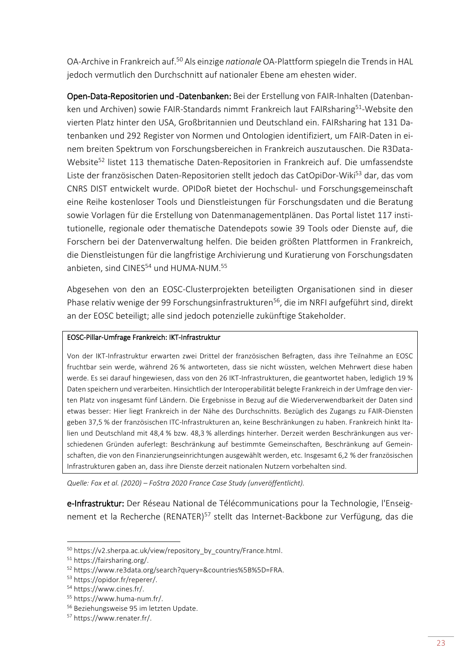OA-Archive in Frankreich auf.<sup>50</sup> Als einzige *nationale* OA-Plattform spiegeln die Trends in HAL jedoch vermutlich den Durchschnitt auf nationaler Ebene am ehesten wider.

Open-Data-Repositorien und -Datenbanken: Bei der Erstellung von FAIR-Inhalten (Datenbanken und Archiven) sowie FAIR-Standards nimmt Frankreich laut FAIRsharing<sup>51</sup>-Website den vierten Platz hinter den USA, Großbritannien und Deutschland ein. FAIRsharing hat 131 Datenbanken und 292 Register von Normen und Ontologien identifiziert, um FAIR-Daten in einem breiten Spektrum von Forschungsbereichen in Frankreich auszutauschen. Die R3Data-Website<sup>52</sup> listet 113 thematische Daten-Repositorien in Frankreich auf. Die umfassendste Liste der französischen Daten-Repositorien stellt jedoch das CatOpiDor-Wiki<sup>53</sup> dar, das vom CNRS DIST entwickelt wurde. OPIDoR bietet der Hochschul- und Forschungsgemeinschaft eine Reihe kostenloser Tools und Dienstleistungen für Forschungsdaten und die Beratung sowie Vorlagen für die Erstellung von Datenmanagementplänen. Das Portal listet 117 institutionelle, regionale oder thematische Datendepots sowie 39 Tools oder Dienste auf, die Forschern bei der Datenverwaltung helfen. Die beiden größten Plattformen in Frankreich, die Dienstleistungen für die langfristige Archivierung und Kuratierung von Forschungsdaten anbieten, sind CINES<sup>54</sup> und HUMA-NUM.<sup>55</sup>

Abgesehen von den an EOSC-Clusterprojekten beteiligten Organisationen sind in dieser Phase relativ wenige der 99 Forschungsinfrastrukturen<sup>56</sup>, die im NRFI aufgeführt sind, direkt an der EOSC beteiligt; alle sind jedoch potenzielle zukünftige Stakeholder.

#### EOSC-Pillar-Umfrage Frankreich: IKT-Infrastruktur

Von der IKT-Infrastruktur erwarten zwei Drittel der französischen Befragten, dass ihre Teilnahme an EOSC fruchtbar sein werde, während 26 % antworteten, dass sie nicht wüssten, welchen Mehrwert diese haben werde. Es sei darauf hingewiesen, dass von den 26 IKT-Infrastrukturen, die geantwortet haben, lediglich 19 % Daten speichern und verarbeiten. Hinsichtlich der Interoperabilität belegte Frankreich in der Umfrage den vierten Platz von insgesamt fünf Ländern. Die Ergebnisse in Bezug auf die Wiederverwendbarkeit der Daten sind etwas besser: Hier liegt Frankreich in der Nähe des Durchschnitts. Bezüglich des Zugangs zu FAIR-Diensten geben 37,5 % der französischen ITC-Infrastrukturen an, keine Beschränkungen zu haben. Frankreich hinkt Italien und Deutschland mit 48,4 % bzw. 48,3 % allerdings hinterher. Derzeit werden Beschränkungen aus verschiedenen Gründen auferlegt: Beschränkung auf bestimmte Gemeinschaften, Beschränkung auf Gemeinschaften, die von den Finanzierungseinrichtungen ausgewählt werden, etc. Insgesamt 6,2 % der französischen Infrastrukturen gaben an, dass ihre Dienste derzeit nationalen Nutzern vorbehalten sind.

*Quelle: Fox et al. (2020) – FoStra 2020 France Case Study (unveröffentlicht).*

e-Infrastruktur: Der Réseau National de Télécommunications pour la Technologie, l'Enseignement et la Recherche (RENATER)<sup>57</sup> stellt das Internet-Backbone zur Verfügung, das die

<sup>50</sup> [https://v2.sherpa.ac.uk/view/repository\\_by\\_country/France.html.](https://v2.sherpa.ac.uk/view/repository_by_country/France.html)

<sup>51</sup> [https://fairsharing.org/.](https://fairsharing.org/)

<sup>52</sup> [https://www.re3data.org/search?query=&countries%5B%5D=FRA.](https://www.re3data.org/search?query=&countries%5B%5D=FRA)

<sup>53</sup> [https://opidor.fr/reperer/.](https://opidor.fr/reperer/)

<sup>54</sup> [https://www.cines.fr/.](https://www.cines.fr/)

<sup>55</sup> [https://www.huma-num.fr/.](https://www.huma-num.fr/)

<sup>56</sup> Beziehungsweise 95 im letzten Update.

<sup>57</sup> [https://www.renater.fr/.](https://www.renater.fr/)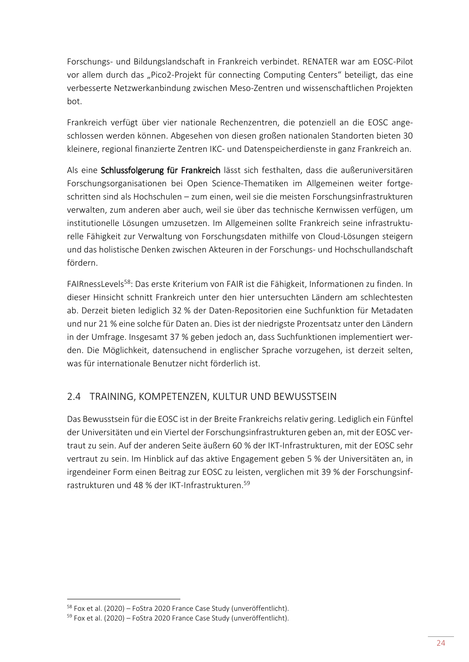Forschungs- und Bildungslandschaft in Frankreich verbindet. RENATER war am EOSC-Pilot vor allem durch das "Pico2-Projekt für connecting Computing Centers" beteiligt, das eine verbesserte Netzwerkanbindung zwischen Meso-Zentren und wissenschaftlichen Projekten bot.

Frankreich verfügt über vier nationale Rechenzentren, die potenziell an die EOSC angeschlossen werden können. Abgesehen von diesen großen nationalen Standorten bieten 30 kleinere, regional finanzierte Zentren IKC- und Datenspeicherdienste in ganz Frankreich an.

Als eine Schlussfolgerung für Frankreich lässt sich festhalten, dass die außeruniversitären Forschungsorganisationen bei Open Science-Thematiken im Allgemeinen weiter fortgeschritten sind als Hochschulen – zum einen, weil sie die meisten Forschungsinfrastrukturen verwalten, zum anderen aber auch, weil sie über das technische Kernwissen verfügen, um institutionelle Lösungen umzusetzen. Im Allgemeinen sollte Frankreich seine infrastrukturelle Fähigkeit zur Verwaltung von Forschungsdaten mithilfe von Cloud-Lösungen steigern und das holistische Denken zwischen Akteuren in der Forschungs- und Hochschullandschaft fördern.

FAIRnessLevels<sup>58</sup>: Das erste Kriterium von FAIR ist die Fähigkeit, Informationen zu finden. In dieser Hinsicht schnitt Frankreich unter den hier untersuchten Ländern am schlechtesten ab. Derzeit bieten lediglich 32 % der Daten-Repositorien eine Suchfunktion für Metadaten und nur 21 % eine solche für Daten an. Dies ist der niedrigste Prozentsatz unter den Ländern in der Umfrage. Insgesamt 37 % geben jedoch an, dass Suchfunktionen implementiert werden. Die Möglichkeit, datensuchend in englischer Sprache vorzugehen, ist derzeit selten, was für internationale Benutzer nicht förderlich ist.

# <span id="page-27-0"></span>2.4 TRAINING, KOMPETENZEN, KULTUR UND BEWUSSTSEIN

Das Bewusstsein für die EOSC ist in der Breite Frankreichs relativ gering. Lediglich ein Fünftel der Universitäten und ein Viertel der Forschungsinfrastrukturen geben an, mit der EOSC vertraut zu sein. Auf der anderen Seite äußern 60 % der IKT-Infrastrukturen, mit der EOSC sehr vertraut zu sein. Im Hinblick auf das aktive Engagement geben 5 % der Universitäten an, in irgendeiner Form einen Beitrag zur EOSC zu leisten, verglichen mit 39 % der Forschungsinfrastrukturen und 48 % der IKT-Infrastrukturen.<sup>59</sup>

<sup>&</sup>lt;sup>58</sup> Fox et al. (2020) – FoStra 2020 France Case Study (unveröffentlicht).

 $59$  Fox et al. (2020) – FoStra 2020 France Case Study (unveröffentlicht).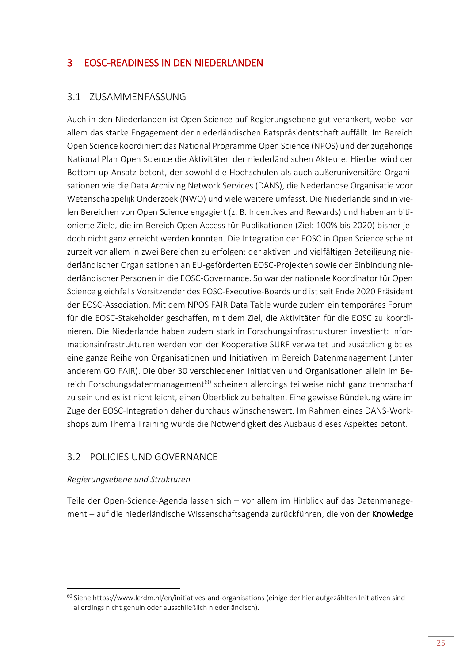# <span id="page-28-0"></span>3 EOSC-READINESS IN DEN NIEDERLANDEN

#### <span id="page-28-1"></span>3.1 ZUSAMMENFASSUNG

Auch in den Niederlanden ist Open Science auf Regierungsebene gut verankert, wobei vor allem das starke Engagement der niederländischen Ratspräsidentschaft auffällt. Im Bereich Open Science koordiniert das National Programme Open Science (NPOS) und der zugehörige National Plan Open Science die Aktivitäten der niederländischen Akteure. Hierbei wird der Bottom-up-Ansatz betont, der sowohl die Hochschulen als auch außeruniversitäre Organisationen wie die Data Archiving Network Services (DANS), die Nederlandse Organisatie voor Wetenschappelijk Onderzoek (NWO) und viele weitere umfasst. Die Niederlande sind in vielen Bereichen von Open Science engagiert (z. B. Incentives and Rewards) und haben ambitionierte Ziele, die im Bereich Open Access für Publikationen (Ziel: 100% bis 2020) bisher jedoch nicht ganz erreicht werden konnten. Die Integration der EOSC in Open Science scheint zurzeit vor allem in zwei Bereichen zu erfolgen: der aktiven und vielfältigen Beteiligung niederländischer Organisationen an EU-geförderten EOSC-Projekten sowie der Einbindung niederländischer Personen in die EOSC-Governance. So war der nationale Koordinator für Open Science gleichfalls Vorsitzender des EOSC-Executive-Boards und ist seit Ende 2020 Präsident der EOSC-Association. Mit dem NPOS FAIR Data Table wurde zudem ein temporäres Forum für die EOSC-Stakeholder geschaffen, mit dem Ziel, die Aktivitäten für die EOSC zu koordinieren. Die Niederlande haben zudem stark in Forschungsinfrastrukturen investiert: Informationsinfrastrukturen werden von der Kooperative SURF verwaltet und zusätzlich gibt es eine ganze Reihe von Organisationen und Initiativen im Bereich Datenmanagement (unter anderem GO FAIR). Die über 30 verschiedenen Initiativen und Organisationen allein im Bereich Forschungsdatenmanagement<sup>60</sup> scheinen allerdings teilweise nicht ganz trennscharf zu sein und es ist nicht leicht, einen Überblick zu behalten. Eine gewisse Bündelung wäre im Zuge der EOSC-Integration daher durchaus wünschenswert. Im Rahmen eines DANS-Workshops zum Thema Training wurde die Notwendigkeit des Ausbaus dieses Aspektes betont.

## <span id="page-28-2"></span>3.2 POLICIES UND GOVERNANCE

#### *Regierungsebene und Strukturen*

**.** 

Teile der Open-Science-Agenda lassen sich – vor allem im Hinblick auf das Datenmanagement – auf die niederländische Wissenschaftsagenda zurückführen, die von der Knowledge

<sup>60</sup> Siehe<https://www.lcrdm.nl/en/initiatives-and-organisations> (einige der hier aufgezählten Initiativen sind allerdings nicht genuin oder ausschließlich niederländisch).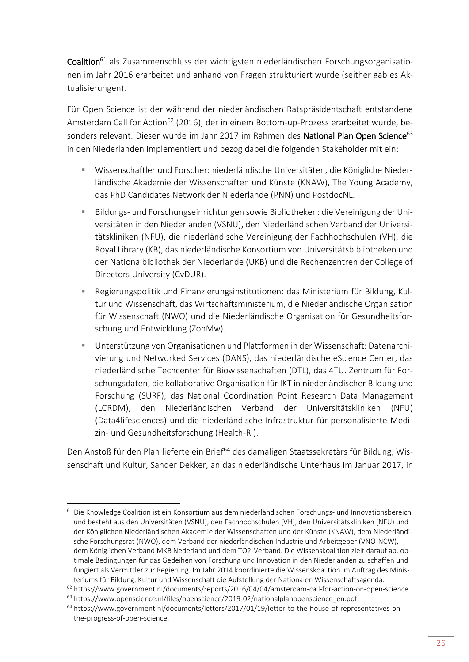Coalition<sup>61</sup> als Zusammenschluss der wichtigsten niederländischen Forschungsorganisationen im Jahr 2016 erarbeitet und anhand von Fragen strukturiert wurde (seither gab es Aktualisierungen).

Für Open Science ist der während der niederländischen Ratspräsidentschaft entstandene Amsterdam Call for Action<sup>62</sup> (2016), der in einem Bottom-up-Prozess erarbeitet wurde, besonders relevant. Dieser wurde im Jahr 2017 im Rahmen des National Plan Open Science<sup>63</sup> in den Niederlanden implementiert und bezog dabei die folgenden Stakeholder mit ein:

- Wissenschaftler und Forscher: niederländische Universitäten, die Königliche Niederländische Akademie der Wissenschaften und Künste (KNAW), The Young Academy, das PhD Candidates Network der Niederlande (PNN) und PostdocNL.
- Bildungs- und Forschungseinrichtungen sowie Bibliotheken: die Vereinigung der Universitäten in den Niederlanden (VSNU), den Niederländischen Verband der Universitätskliniken (NFU), die niederländische Vereinigung der Fachhochschulen (VH), die Royal Library (KB), das niederländische Konsortium von Universitätsbibliotheken und der Nationalbibliothek der Niederlande (UKB) und die Rechenzentren der College of Directors University (CvDUR).
- Regierungspolitik und Finanzierungsinstitutionen: das Ministerium für Bildung, Kultur und Wissenschaft, das Wirtschaftsministerium, die Niederländische Organisation für Wissenschaft (NWO) und die Niederländische Organisation für Gesundheitsforschung und Entwicklung (ZonMw).
- Unterstützung von Organisationen und Plattformen in der Wissenschaft: Datenarchivierung und Networked Services (DANS), das niederländische eScience Center, das niederländische Techcenter für Biowissenschaften (DTL), das 4TU. Zentrum für Forschungsdaten, die kollaborative Organisation für IKT in niederländischer Bildung und Forschung (SURF), das National Coordination Point Research Data Management (LCRDM), den Niederländischen Verband der Universitätskliniken (NFU) (Data4lifesciences) und die niederländische Infrastruktur für personalisierte Medizin- und Gesundheitsforschung (Health-RI).

Den Anstoß für den Plan lieferte ein Brief<sup>64</sup> des damaligen Staatssekretärs für Bildung, Wissenschaft und Kultur, Sander Dekker, an das niederländische Unterhaus im Januar 2017, in

<sup>1</sup>  $61$  Die Knowledge Coalition ist ein Konsortium aus dem niederländischen Forschungs- und Innovationsbereich und besteht aus den Universitäten (VSNU), den Fachhochschulen (VH), den Universitätskliniken (NFU) und der Königlichen Niederländischen Akademie der Wissenschaften und der Künste (KNAW), dem Niederländische Forschungsrat (NWO), dem Verband der niederländischen Industrie und Arbeitgeber (VNO-NCW), dem Königlichen Verband MKB Nederland und dem TO2-Verband. Die Wissenskoalition zielt darauf ab, optimale Bedingungen für das Gedeihen von Forschung und Innovation in den Niederlanden zu schaffen und fungiert als Vermittler zur Regierung. Im Jahr 2014 koordinierte die Wissenskoalition im Auftrag des Ministeriums für Bildung, Kultur und Wissenschaft die Aufstellung der Nationalen Wissenschaftsagenda.

 $62$  [https://www.government.nl/documents/reports/2016/04/04/amsterdam-call-for-action-on-open-science.](https://www.government.nl/documents/reports/2016/04/04/amsterdam-call-for-action-on-open-science)

<sup>&</sup>lt;sup>63</sup> [https://www.openscience.nl/files/openscience/2019-02/nationalplanopenscience\\_en.pdf.](https://www.openscience.nl/files/openscience/2019-02/nationalplanopenscience_en.pdf)

<sup>64</sup> [https://www.government.nl/documents/letters/2017/01/19/letter-to-the-house-of-representatives-on](https://www.government.nl/documents/letters/2017/01/19/letter-to-the-house-of-representatives-on-the-progress-of-open-science)[the-progress-of-open-science.](https://www.government.nl/documents/letters/2017/01/19/letter-to-the-house-of-representatives-on-the-progress-of-open-science)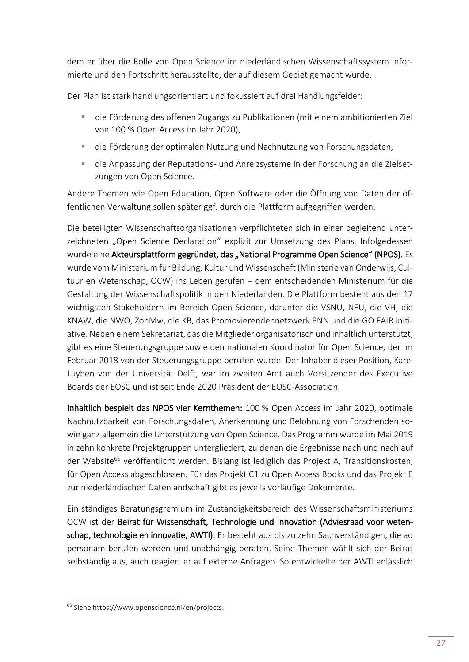dem er über die Rolle von Open Science im niederländischen Wissenschaftssystem informierte und den Fortschritt herausstellte, der auf diesem Gebiet gemacht wurde.

Der Plan ist stark handlungsorientiert und fokussiert auf drei Handlungsfelder:

- die Förderung des offenen Zugangs zu Publikationen (mit einem ambitionierten Ziel von 100 % Open Access im Jahr 2020),
- die Förderung der optimalen Nutzung und Nachnutzung von Forschungsdaten,
- die Anpassung der Reputations- und Anreizsysteme in der Forschung an die Zielsetzungen von Open Science.

Andere Themen wie Open Education, Open Software oder die Öffnung von Daten der öffentlichen Verwaltung sollen später ggf. durch die Plattform aufgegriffen werden.

Die beteiligten Wissenschaftsorganisationen verpflichteten sich in einer begleitend unterzeichneten "Open Science Declaration" explizit zur Umsetzung des Plans. Infolgedessen wurde eine Akteursplattform gegründet, das "National Programme Open Science" (NPOS). Es wurde vom Ministerium für Bildung, Kultur und Wissenschaft (Ministerie van Onderwijs, Cultuur en Wetenschap, OCW) ins Leben gerufen – dem entscheidenden Ministerium für die Gestaltung der Wissenschaftspolitik in den Niederlanden. Die Plattform besteht aus den 17 wichtigsten Stakeholdern im Bereich Open Science, darunter die VSNU, NFU, die VH, die KNAW, die NWO, ZonMw, die KB, das Promovierendennetzwerk PNN und die GO FAIR Initiative. Neben einem Sekretariat, das die Mitglieder organisatorisch und inhaltlich unterstützt, gibt es eine Steuerungsgruppe sowie den nationalen Koordinator für Open Science, der im Februar 2018 von der Steuerungsgruppe berufen wurde. Der Inhaber dieser Position, Karel Luyben von der Universität Delft, war im zweiten Amt auch Vorsitzender des Executive Boards der EOSC und ist seit Ende 2020 Präsident der EOSC-Association.

Inhaltlich bespielt das NPOS vier Kernthemen: 100 % Open Access im Jahr 2020, optimale Nachnutzbarkeit von Forschungsdaten, Anerkennung und Belohnung von Forschenden sowie ganz allgemein die Unterstützung von Open Science. Das Programm wurde im Mai 2019 in zehn konkrete Projektgruppen untergliedert, zu denen die Ergebnisse nach und nach auf der Website<sup>65</sup> veröffentlicht werden. Bislang ist lediglich das Projekt A, Transitionskosten, für Open Access abgeschlossen. Für das Projekt C1 zu Open Access Books und das Projekt E zur niederländischen Datenlandschaft gibt es jeweils vorläufige Dokumente.

Ein ständiges Beratungsgremium im Zuständigkeitsbereich des Wissenschaftsministeriums OCW ist der Beirat für Wissenschaft, Technologie und Innovation (Adviesraad voor wetenschap, technologie en innovatie, AWTI). Er besteht aus bis zu zehn Sachverständigen, die ad personam berufen werden und unabhängig beraten. Seine Themen wählt sich der Beirat selbständig aus, auch reagiert er auf externe Anfragen. So entwickelte der AWTI anlässlich

<sup>65</sup> Siehe [https://www.openscience.nl/en/projects.](https://www.openscience.nl/en/projects)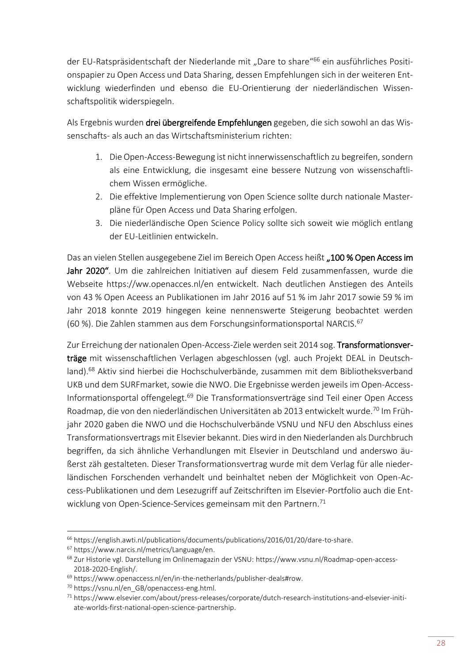der EU-Ratspräsidentschaft der Niederlande mit "Dare to share"<sup>66</sup> ein ausführliches Positionspapier zu Open Access und Data Sharing, dessen Empfehlungen sich in der weiteren Entwicklung wiederfinden und ebenso die EU-Orientierung der niederländischen Wissenschaftspolitik widerspiegeln.

Als Ergebnis wurden drei übergreifende Empfehlungen gegeben, die sich sowohl an das Wissenschafts- als auch an das Wirtschaftsministerium richten:

- 1. Die Open-Access-Bewegung ist nicht innerwissenschaftlich zu begreifen, sondern als eine Entwicklung, die insgesamt eine bessere Nutzung von wissenschaftlichem Wissen ermögliche.
- 2. Die effektive Implementierung von Open Science sollte durch nationale Masterpläne für Open Access und Data Sharing erfolgen.
- 3. Die niederländische Open Science Policy sollte sich soweit wie möglich entlang der EU-Leitlinien entwickeln.

Das an vielen Stellen ausgegebene Ziel im Bereich Open Access heißt "100 % Open Access im Jahr 2020". Um die zahlreichen Initiativen auf diesem Feld zusammenfassen, wurde die Webseite<https://ww.openacces.nl/en> entwickelt. Nach deutlichen Anstiegen des Anteils von 43 % Open Aceess an Publikationen im Jahr 2016 auf 51 % im Jahr 2017 sowie 59 % im Jahr 2018 konnte 2019 hingegen keine nennenswerte Steigerung beobachtet werden (60 %). Die Zahlen stammen aus dem Forschungsinformationsportal NARCIS.<sup>67</sup>

Zur Erreichung der nationalen Open-Access-Ziele werden seit 2014 sog. Transformationsverträge mit wissenschaftlichen Verlagen abgeschlossen (vgl. auch Projekt DEAL in Deutschland).<sup>68</sup> Aktiv sind hierbei die Hochschulverbände, zusammen mit dem Bibliotheksverband UKB und dem SURFmarket, sowie die NWO. Die Ergebnisse werden jeweils im Open-Access-Informationsportal offengelegt.<sup>69</sup> Die Transformationsverträge sind Teil einer Open Access Roadmap, die von den niederländischen Universitäten ab 2013 entwickelt wurde.<sup>70</sup> Im Frühjahr 2020 gaben die NWO und die Hochschulverbände VSNU und NFU den Abschluss eines Transformationsvertrags mit Elsevier bekannt. Dies wird in den Niederlanden als Durchbruch begriffen, da sich ähnliche Verhandlungen mit Elsevier in Deutschland und anderswo äußerst zäh gestalteten. Dieser Transformationsvertrag wurde mit dem Verlag für alle niederländischen Forschenden verhandelt und beinhaltet neben der Möglichkeit von Open-Access-Publikationen und dem Lesezugriff auf Zeitschriften im Elsevier-Portfolio auch die Entwicklung von Open-Science-Services gemeinsam mit den Partnern.<sup>71</sup>

<sup>66</sup> [https://english.awti.nl/publications/documents/publications/2016/01/20/dare-to-share.](https://english.awti.nl/publications/documents/publications/2016/01/20/dare-to-share)

<sup>67</sup> [https://www.narcis.nl/metrics/Language/en.](https://www.narcis.nl/metrics/Language/en)

<sup>68</sup> Zur Historie vgl. Darstellung im Onlinemagazin der VSNU: [https://www.vsnu.nl/Roadmap-open-access-](https://www.vsnu.nl/Roadmap-open-access-2018-2020-English/)[2018-2020-English/.](https://www.vsnu.nl/Roadmap-open-access-2018-2020-English/)

<sup>69</sup> [https://www.openaccess.nl/en/in-the-netherlands/publisher-deals#row.](https://www.openaccess.nl/en/in-the-netherlands/publisher-deals#row)

<sup>70</sup> [https://vsnu.nl/en\\_GB/openaccess-eng.html.](https://vsnu.nl/en_GB/openaccess-eng.html) 

<sup>71</sup> [https://www.elsevier.com/about/press-releases/corporate/dutch-research-institutions-and-elsevier-initi](https://www.elsevier.com/about/press-releases/corporate/dutch-research-institutions-and-elsevier-initiate-worlds-first-national-open-science-partnership)[ate-worlds-first-national-open-science-partnership.](https://www.elsevier.com/about/press-releases/corporate/dutch-research-institutions-and-elsevier-initiate-worlds-first-national-open-science-partnership)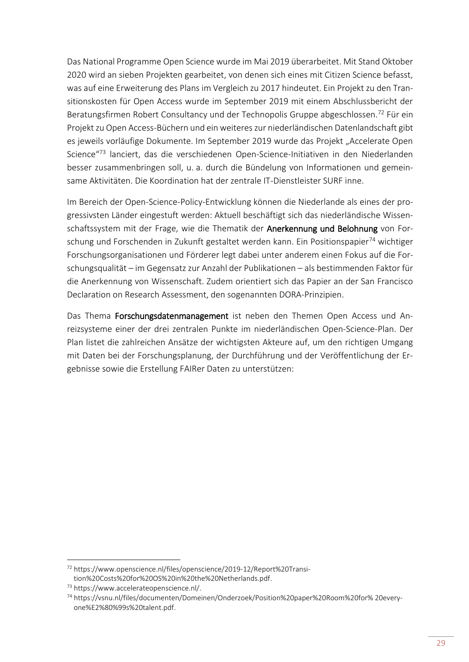Das National Programme Open Science wurde im Mai 2019 überarbeitet. Mit Stand Oktober 2020 wird an sieben Projekten gearbeitet, von denen sich eines mit Citizen Science befasst, was auf eine Erweiterung des Plans im Vergleich zu 2017 hindeutet. Ein Projekt zu den Transitionskosten für Open Access wurde im September 2019 mit einem Abschlussbericht der Beratungsfirmen Robert Consultancy und der Technopolis Gruppe abgeschlossen.<sup>72</sup> Für ein Projekt zu Open Access-Büchern und ein weiteres zur niederländischen Datenlandschaft gibt es jeweils vorläufige Dokumente. Im September 2019 wurde das Projekt "Accelerate Open Science<sup>"73</sup> lanciert, das die verschiedenen Open-Science-Initiativen in den Niederlanden besser zusammenbringen soll, u. a. durch die Bündelung von Informationen und gemeinsame Aktivitäten. Die Koordination hat der zentrale IT-Dienstleister SURF inne.

Im Bereich der Open-Science-Policy-Entwicklung können die Niederlande als eines der progressivsten Länder eingestuft werden: Aktuell beschäftigt sich das niederländische Wissenschaftssystem mit der Frage, wie die Thematik der Anerkennung und Belohnung von Forschung und Forschenden in Zukunft gestaltet werden kann. Ein Positionspapier<sup>74</sup> wichtiger Forschungsorganisationen und Förderer legt dabei unter anderem einen Fokus auf die Forschungsqualität – im Gegensatz zur Anzahl der Publikationen – als bestimmenden Faktor für die Anerkennung von Wissenschaft. Zudem orientiert sich das Papier an der San Francisco Declaration on Research Assessment, den sogenannten DORA-Prinzipien.

Das Thema Forschungsdatenmanagement ist neben den Themen Open Access und Anreizsysteme einer der drei zentralen Punkte im niederländischen Open-Science-Plan. Der Plan listet die zahlreichen Ansätze der wichtigsten Akteure auf, um den richtigen Umgang mit Daten bei der Forschungsplanung, der Durchführung und der Veröffentlichung der Ergebnisse sowie die Erstellung FAIRer Daten zu unterstützen:

 $\overline{a}$ 

<sup>72</sup> [https://www.openscience.nl/files/openscience/2019-12/Report%20Transi](https://www.openscience.nl/files/openscience/2019-12/Report%20Transition%20Costs%20for%20OS%20in%20the%20Netherlands.pdf)[tion%20Costs%20for%20OS%20in%20the%20Netherlands.pdf.](https://www.openscience.nl/files/openscience/2019-12/Report%20Transition%20Costs%20for%20OS%20in%20the%20Netherlands.pdf)

<sup>73</sup> [https://www.accelerateopenscience.nl/.](https://www.accelerateopenscience.nl/) 

<sup>74</sup> [https://vsnu.nl/files/documenten/Domeinen/Onderzoek/Position%20paper%20Room%20for% 20every](https://vsnu.nl/files/documenten/Domeinen/Onderzoek/Position%20paper%20Room%20for%25%2020everyone%E2%80%99s%20talent.pdf)[one%E2%80%99s%20talent.pdf.](https://vsnu.nl/files/documenten/Domeinen/Onderzoek/Position%20paper%20Room%20for%25%2020everyone%E2%80%99s%20talent.pdf)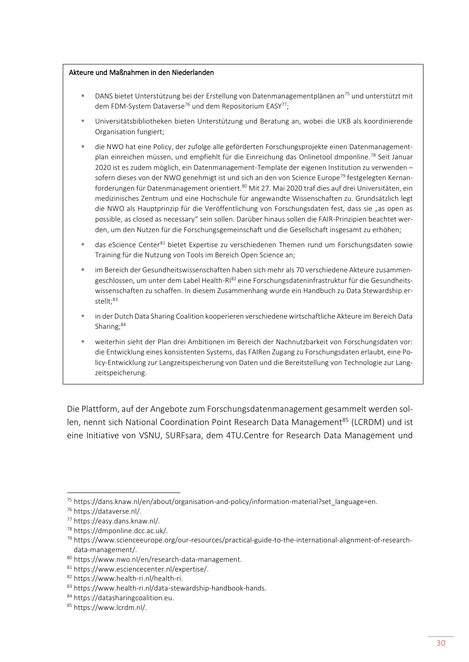#### Akteure und Maßnahmen in den Niederlanden

- DANS bietet Unterstützung bei der Erstellung von Datenmanagementplänen an<sup>75</sup> und unterstützt mit dem FDM-System Dataverse<sup>76</sup> und dem Repositorium EASY<sup>77</sup>;
- Universitätsbibliotheken bieten Unterstützung und Beratung an, wobei die UKB als koordinierende Organisation fungiert;
- die NWO hat eine Policy, der zufolge alle geförderten Forschungsprojekte einen Datenmanagementplan einreichen müssen, und empfiehlt für die Einreichung das Onlinetool dmponline.<sup>78</sup> Seit Januar 2020 ist es zudem möglich, ein Datenmanagement-Template der eigenen Institution zu verwenden – sofern dieses von der NWO genehmigt ist und sich an den von Science Europe<sup>79</sup> festgelegten Kernanforderungen für Datenmanagement orientiert.<sup>80</sup> Mit 27. Mai 2020 traf dies auf drei Universitäten, ein medizinisches Zentrum und eine Hochschule für angewandte Wissenschaften zu. Grundsätzlich legt die NWO als Hauptprinzip für die Veröffentlichung von Forschungsdaten fest, dass sie "as open as possible, as closed as necessary" sein sollen. Darüber hinaus sollen die FAIR-Prinzipien beachtet werden, um den Nutzen für die Forschungsgemeinschaft und die Gesellschaft insgesamt zu erhöhen;
- das eScience Center<sup>81</sup> bietet Expertise zu verschiedenen Themen rund um Forschungsdaten sowie Training für die Nutzung von Tools im Bereich Open Science an;
- im Bereich der Gesundheitswissenschaften haben sich mehr als 70 verschiedene Akteure zusammengeschlossen, um unter dem Label Health-RI<sup>82</sup> eine Forschungsdateninfrastruktur für die Gesundheitswissenschaften zu schaffen. In diesem Zusammenhang wurde ein Handbuch zu Data Stewardship erstellt:<sup>83</sup>
- in der Dutch Data Sharing Coalition kooperieren verschiedene wirtschaftliche Akteure im Bereich Data Sharing: $84$
- weiterhin sieht der Plan drei Ambitionen im Bereich der Nachnutzbarkeit von Forschungsdaten vor: die Entwicklung eines konsistenten Systems, das FAIRen Zugang zu Forschungsdaten erlaubt, eine Policy-Entwicklung zur Langzeitspeicherung von Daten und die Bereitstellung von Technologie zur Langzeitspeicherung.

Die Plattform, auf der Angebote zum Forschungsdatenmanagement gesammelt werden sollen, nennt sich National Coordination Point Research Data Management<sup>85</sup> (LCRDM) und ist eine Initiative von VSNU, SURFsara, dem 4TU.Centre for Research Data Management und

 $\overline{a}$ 

<sup>75</sup> [https://dans.knaw.nl/en/about/organisation-and-policy/information-material?set\\_language=en.](https://dans.knaw.nl/en/about/organisation-and-policy/information-material?set_language=en)

<sup>76</sup> [https://dataverse.nl/.](https://dataverse.nl/)

<sup>77</sup> [https://easy.dans.knaw.nl/.](https://easy.dans.knaw.nl/)

<sup>78</sup> [https://dmponline.dcc.ac.uk/.](https://dmponline.dcc.ac.uk/)

<sup>79</sup> [https://www.scienceeurope.org/our-resources/practical-guide-to-the-international-alignment-of-research](https://www.scienceeurope.org/our-resources/practical-guide-to-the-international-alignment-of-research-data-management/)[data-management/.](https://www.scienceeurope.org/our-resources/practical-guide-to-the-international-alignment-of-research-data-management/)

<sup>80</sup> [https://www.nwo.nl/en/research-data-management.](https://www.nwo.nl/en/research-data-management)

<sup>81</sup> [https://www.esciencecenter.nl/expertise/.](https://www.esciencecenter.nl/expertise/)

<sup>82</sup> [https://www.health-ri.nl/health-ri.](https://www.health-ri.nl/health-ri)

<sup>83</sup> [https://www.health-ri.nl/data-stewardship-handbook-hands.](https://www.health-ri.nl/data-stewardship-handbook-hands)

<sup>84</sup> [https://datasharingcoalition.eu.](https://datasharingcoalition.eu/)

<sup>85</sup> [https://www.lcrdm.nl/.](https://www.lcrdm.nl/)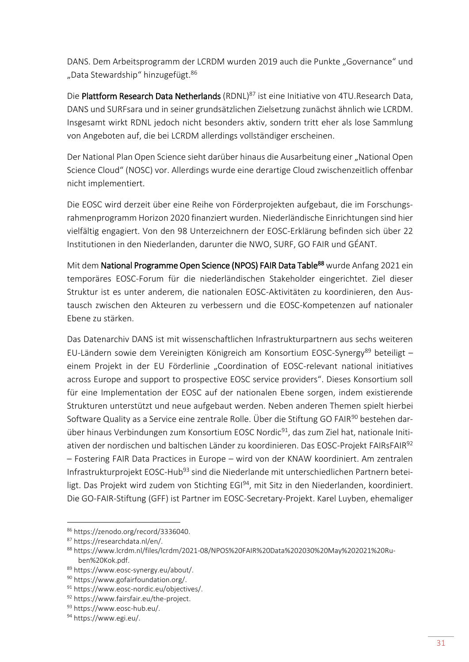DANS. Dem Arbeitsprogramm der LCRDM wurden 2019 auch die Punkte "Governance" und "Data Stewardship" hinzugefügt.<sup>86</sup>

Die Plattform Research Data Netherlands (RDNL)<sup>87</sup> ist eine Initiative von 4TU.Research Data, DANS und SURFsara und in seiner grundsätzlichen Zielsetzung zunächst ähnlich wie LCRDM. Insgesamt wirkt RDNL jedoch nicht besonders aktiv, sondern tritt eher als lose Sammlung von Angeboten auf, die bei LCRDM allerdings vollständiger erscheinen.

Der National Plan Open Science sieht darüber hinaus die Ausarbeitung einer "National Open Science Cloud" (NOSC) vor. Allerdings wurde eine derartige Cloud zwischenzeitlich offenbar nicht implementiert.

Die EOSC wird derzeit über eine Reihe von Förderprojekten aufgebaut, die im Forschungsrahmenprogramm Horizon 2020 finanziert wurden. Niederländische Einrichtungen sind hier vielfältig engagiert. Von den 98 Unterzeichnern der EOSC-Erklärung befinden sich über 22 Institutionen in den Niederlanden, darunter die NWO, SURF, GO FAIR und GÉANT.

Mit dem National Programme Open Science (NPOS) FAIR Data Table<sup>88</sup> wurde Anfang 2021 ein temporäres EOSC-Forum für die niederländischen Stakeholder eingerichtet. Ziel dieser Struktur ist es unter anderem, die nationalen EOSC-Aktivitäten zu koordinieren, den Austausch zwischen den Akteuren zu verbessern und die EOSC-Kompetenzen auf nationaler Ebene zu stärken.

Das Datenarchiv DANS ist mit wissenschaftlichen Infrastrukturpartnern aus sechs weiteren EU-Ländern sowie dem Vereinigten Königreich am Konsortium EOSC-Synergy<sup>89</sup> beteiligt – einem Projekt in der EU Förderlinie "Coordination of EOSC-relevant national initiatives across Europe and support to prospective EOSC service providers". Dieses Konsortium soll für eine Implementation der EOSC auf der nationalen Ebene sorgen, indem existierende Strukturen unterstützt und neue aufgebaut werden. Neben anderen Themen spielt hierbei Software Quality as a Service eine zentrale Rolle. Über die Stiftung GO FAIR<sup>90</sup> bestehen darüber hinaus Verbindungen zum Konsortium EOSC Nordic<sup>91</sup>, das zum Ziel hat, nationale Initiativen der nordischen und baltischen Länder zu koordinieren. Das EOSC-Projekt FAIRsFAIR<sup>92</sup> – Fostering FAIR Data Practices in Europe – wird von der KNAW koordiniert. Am zentralen Infrastrukturprojekt EOSC-Hub<sup>93</sup> sind die Niederlande mit unterschiedlichen Partnern beteiligt. Das Projekt wird zudem von Stichting EGI<sup>94</sup>, mit Sitz in den Niederlanden, koordiniert. Die GO-FAIR-Stiftung (GFF) ist Partner im EOSC-Secretary-Projekt. Karel Luyben, ehemaliger

<sup>86</sup> [https://zenodo.org/record/3336040.](https://zenodo.org/record/3336040)

<sup>87</sup> [https://researchdata.nl/en/.](https://researchdata.nl/en/)

<sup>88</sup> [https://www.lcrdm.nl/files/lcrdm/2021-08/NPOS%20FAIR%20Data%202030%20May%202021%20Ru](https://www.lcrdm.nl/files/lcrdm/2021-08/NPOS%20FAIR%20Data%202030%20May%202021%20Ruben%20Kok.pdf)[ben%20Kok.pdf.](https://www.lcrdm.nl/files/lcrdm/2021-08/NPOS%20FAIR%20Data%202030%20May%202021%20Ruben%20Kok.pdf) 

<sup>89</sup> [https://www.eosc-synergy.eu/about/.](https://www.eosc-synergy.eu/about/)

<sup>90</sup> [https://www.gofairfoundation.org/.](https://www.gofairfoundation.org/)

<sup>91</sup> [https://www.eosc-nordic.eu/objectives/.](https://www.eosc-nordic.eu/objectives/)

<sup>92</sup> [https://www.fairsfair.eu/the-project.](https://www.fairsfair.eu/the-project)

<sup>93</sup> [https://www.eosc-hub.eu/.](https://www.eosc-hub.eu/)

<sup>94</sup> [https://www.egi.eu/.](https://www.egi.eu/)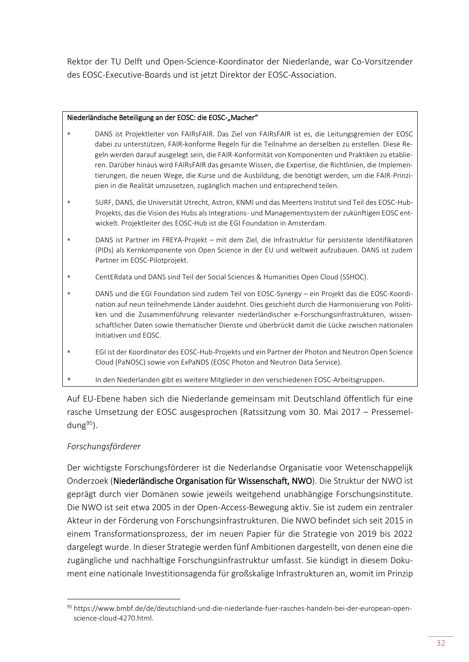Rektor der TU Delft und Open-Science-Koordinator der Niederlande, war Co-Vorsitzender des EOSC-Executive-Boards und ist jetzt Direktor der EOSC-Association.

#### Niederländische Beteiligung an der EOSC: die EOSC-"Macher"

- DANS ist Projektleiter von FAIRsFAIR. Das Ziel von FAIRsFAIR ist es, die Leitungsgremien der EOSC dabei zu unterstützen, FAIR-konforme Regeln für die Teilnahme an derselben zu erstellen. Diese Regeln werden darauf ausgelegt sein, die FAIR-Konformität von Komponenten und Praktiken zu etablieren. Darüber hinaus wird FAIRsFAIR das gesamte Wissen, die Expertise, die Richtlinien, die Implementierungen, die neuen Wege, die Kurse und die Ausbildung, die benötigt werden, um die FAIR-Prinzipien in die Realität umzusetzen, zugänglich machen und entsprechend teilen.
- SURF, DANS, die Universität Utrecht, Astron, KNMI und das Meertens Institut sind Teil des EOSC-Hub-Projekts, das die Vision des Hubs als Integrations- und Managementsystem der zukünftigen EOSC entwickelt. Projektleiter des EOSC-Hub ist die EGI Foundation in Amsterdam.
- DANS ist Partner im FREYA-Projekt mit dem Ziel, die Infrastruktur für persistente Identifikatoren (PIDs) als Kernkomponente von Open Science in der EU und weltweit aufzubauen. DANS ist zudem Partner im EOSC-Pilotprojekt.
- CentERdata und DANS sind Teil der Social Sciences & Humanities Open Cloud (SSHOC).
- DANS und die EGI Foundation sind zudem Teil von EOSC-Synergy ein Projekt das die EOSC-Koordination auf neun teilnehmende Länder ausdehnt. Dies geschieht durch die Harmonisierung von Politiken und die Zusammenführung relevanter niederländischer e-Forschungsinfrastrukturen, wissenschaftlicher Daten sowie thematischer Dienste und überbrückt damit die Lücke zwischen nationalen Initiativen und EOSC.
- EGI ist der Koordinator des EOSC-Hub-Projekts und ein Partner der Photon and Neutron Open Science Cloud (PaNOSC) sowie von ExPaNDS (EOSC Photon and Neutron Data Service).
- In den Niederlanden gibt es weitere Mitglieder in den verschiedenen EOSC-Arbeitsgruppen.

Auf EU-Ebene haben sich die Niederlande gemeinsam mit Deutschland öffentlich für eine rasche Umsetzung der EOSC ausgesprochen (Ratssitzung vom 30. Mai 2017 – Pressemeldung $95$ ).

## *Forschungsförderer*

**.** 

Der wichtigste Forschungsförderer ist die Nederlandse Organisatie voor Wetenschappelijk Onderzoek (Niederländische Organisation für Wissenschaft, NWO). Die Struktur der NWO ist geprägt durch vier Domänen sowie jeweils weitgehend unabhängige Forschungsinstitute. Die NWO ist seit etwa 2005 in der Open-Access-Bewegung aktiv. Sie ist zudem ein zentraler Akteur in der Förderung von Forschungsinfrastrukturen. Die NWO befindet sich seit 2015 in einem Transformationsprozess, der im neuen Papier für die Strategie von 2019 bis 2022 dargelegt wurde. In dieser Strategie werden fünf Ambitionen dargestellt, von denen eine die zugängliche und nachhaltige Forschungsinfrastruktur umfasst. Sie kündigt in diesem Dokument eine nationale Investitionsagenda für großskalige Infrastrukturen an, womit im Prinzip

<sup>95</sup> [https://www.bmbf.de/de/deutschland-und-die-niederlande-fuer-rasches-handeln-bei-der-european-open](https://www.bmbf.de/de/deutschland-und-die-niederlande-fuer-rasches-handeln-bei-der-european-open-science-cloud-4270.html)[science-cloud-4270.html.](https://www.bmbf.de/de/deutschland-und-die-niederlande-fuer-rasches-handeln-bei-der-european-open-science-cloud-4270.html)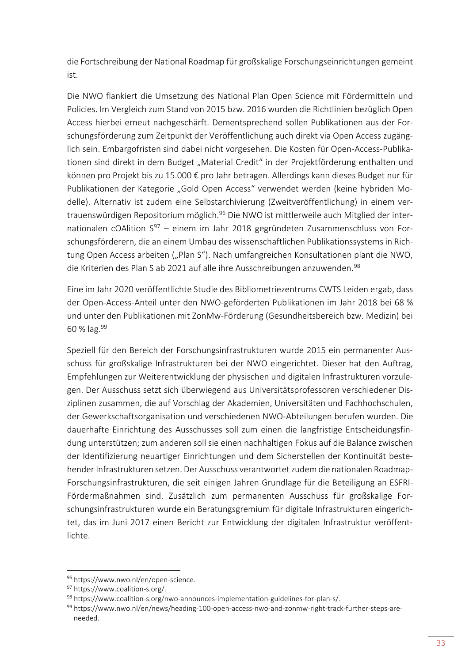die Fortschreibung der National Roadmap für großskalige Forschungseinrichtungen gemeint ist.

Die NWO flankiert die Umsetzung des National Plan Open Science mit Fördermitteln und Policies. Im Vergleich zum Stand von 2015 bzw. 2016 wurden die Richtlinien bezüglich Open Access hierbei erneut nachgeschärft. Dementsprechend sollen Publikationen aus der Forschungsförderung zum Zeitpunkt der Veröffentlichung auch direkt via Open Access zugänglich sein. Embargofristen sind dabei nicht vorgesehen. Die Kosten für Open-Access-Publikationen sind direkt in dem Budget "Material Credit" in der Projektförderung enthalten und können pro Projekt bis zu 15.000 € pro Jahr betragen. Allerdings kann dieses Budget nur für Publikationen der Kategorie "Gold Open Access" verwendet werden (keine hybriden Modelle). Alternativ ist zudem eine Selbstarchivierung (Zweitveröffentlichung) in einem vertrauenswürdigen Repositorium möglich.<sup>96</sup> Die NWO ist mittlerweile auch Mitglied der internationalen cOAlition  $S^{97}$  – einem im Jahr 2018 gegründeten Zusammenschluss von Forschungsförderern, die an einem Umbau des wissenschaftlichen Publikationssystems in Richtung Open Access arbeiten ("Plan S"). Nach umfangreichen Konsultationen plant die NWO, die Kriterien des Plan S ab 2021 auf alle ihre Ausschreibungen anzuwenden.<sup>98</sup>

Eine im Jahr 2020 veröffentlichte Studie des Bibliometriezentrums CWTS Leiden ergab, dass der Open-Access-Anteil unter den NWO-geförderten Publikationen im Jahr 2018 bei 68 % und unter den Publikationen mit ZonMw-Förderung (Gesundheitsbereich bzw. Medizin) bei 60 %  $\log^{99}$ 

Speziell für den Bereich der Forschungsinfrastrukturen wurde 2015 ein permanenter Ausschuss für großskalige Infrastrukturen bei der NWO eingerichtet. Dieser hat den Auftrag, Empfehlungen zur Weiterentwicklung der physischen und digitalen Infrastrukturen vorzulegen. Der Ausschuss setzt sich überwiegend aus Universitätsprofessoren verschiedener Disziplinen zusammen, die auf Vorschlag der Akademien, Universitäten und Fachhochschulen, der Gewerkschaftsorganisation und verschiedenen NWO-Abteilungen berufen wurden. Die dauerhafte Einrichtung des Ausschusses soll zum einen die langfristige Entscheidungsfindung unterstützen; zum anderen soll sie einen nachhaltigen Fokus auf die Balance zwischen der Identifizierung neuartiger Einrichtungen und dem Sicherstellen der Kontinuität bestehender Infrastrukturen setzen. Der Ausschuss verantwortet zudem die nationalen Roadmap-Forschungsinfrastrukturen, die seit einigen Jahren Grundlage für die Beteiligung an ESFRI-Fördermaßnahmen sind. Zusätzlich zum permanenten Ausschuss für großskalige Forschungsinfrastrukturen wurde ein Beratungsgremium für digitale Infrastrukturen eingerichtet, das im Juni 2017 einen Bericht zur Entwicklung der digitalen Infrastruktur veröffentlichte.

<sup>96</sup> [https://www.nwo.nl/en/open-science.](https://www.nwo.nl/en/open-science)

<sup>97</sup> [https://www.coalition-s.org/.](https://www.coalition-s.org/)

<sup>98</sup> [https://www.coalition-s.org/nwo-announces-implementation-guidelines-for-plan-s/.](https://www.coalition-s.org/nwo-announces-implementation-guidelines-for-plan-s/)

<sup>99</sup> [https://www.nwo.nl/en/news/heading-100-open-access-nwo-and-zonmw-right-track-further-steps-are](https://www.nwo.nl/en/news/heading-100-open-access-nwo-and-zonmw-right-track-further-steps-are-needed)[needed.](https://www.nwo.nl/en/news/heading-100-open-access-nwo-and-zonmw-right-track-further-steps-are-needed)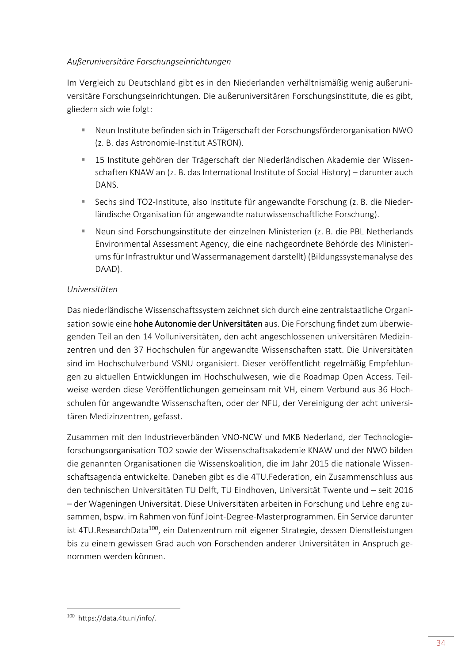#### *Außeruniversitäre Forschungseinrichtungen*

Im Vergleich zu Deutschland gibt es in den Niederlanden verhältnismäßig wenig außeruniversitäre Forschungseinrichtungen. Die außeruniversitären Forschungsinstitute, die es gibt, gliedern sich wie folgt:

- Neun Institute befinden sich in Trägerschaft der Forschungsförderorganisation NWO (z. B. das Astronomie-Institut ASTRON).
- 15 Institute gehören der Trägerschaft der Niederländischen Akademie der Wissenschaften KNAW an (z. B. das International Institute of Social History) – darunter auch DANS.
- Sechs sind TO2-Institute, also Institute für angewandte Forschung (z. B. die Niederländische Organisation für angewandte naturwissenschaftliche Forschung).
- Neun sind Forschungsinstitute der einzelnen Ministerien (z. B. die PBL Netherlands Environmental Assessment Agency, die eine nachgeordnete Behörde des Ministeriums für Infrastruktur und Wassermanagement darstellt) (Bildungssystemanalyse des DAAD).

#### *Universitäten*

Das niederländische Wissenschaftssystem zeichnet sich durch eine zentralstaatliche Organisation sowie eine hohe Autonomie der Universitäten aus. Die Forschung findet zum überwiegenden Teil an den 14 Volluniversitäten, den acht angeschlossenen universitären Medizinzentren und den 37 Hochschulen für angewandte Wissenschaften statt. Die Universitäten sind im Hochschulverbund VSNU organisiert. Dieser veröffentlicht regelmäßig Empfehlungen zu aktuellen Entwicklungen im Hochschulwesen, wie die Roadmap Open Access. Teilweise werden diese Veröffentlichungen gemeinsam mit VH, einem Verbund aus 36 Hochschulen für angewandte Wissenschaften, oder der NFU, der Vereinigung der acht universitären Medizinzentren, gefasst.

Zusammen mit den Industrieverbänden VNO-NCW und MKB Nederland, der Technologieforschungsorganisation TO2 sowie der Wissenschaftsakademie KNAW und der NWO bilden die genannten Organisationen die Wissenskoalition, die im Jahr 2015 die nationale Wissenschaftsagenda entwickelte. Daneben gibt es die 4TU.Federation, ein Zusammenschluss aus den technischen Universitäten TU Delft, TU Eindhoven, Universität Twente und – seit 2016 – der Wageningen Universität. Diese Universitäten arbeiten in Forschung und Lehre eng zusammen, bspw. im Rahmen von fünf Joint-Degree-Masterprogrammen. Ein Service darunter ist 4TU.ResearchData<sup>100</sup>, ein Datenzentrum mit eigener Strategie, dessen Dienstleistungen bis zu einem gewissen Grad auch von Forschenden anderer Universitäten in Anspruch genommen werden können.

**<sup>.</sup>** 100  [https://data.4tu.nl/info/.](https://data.4tu.nl/info/)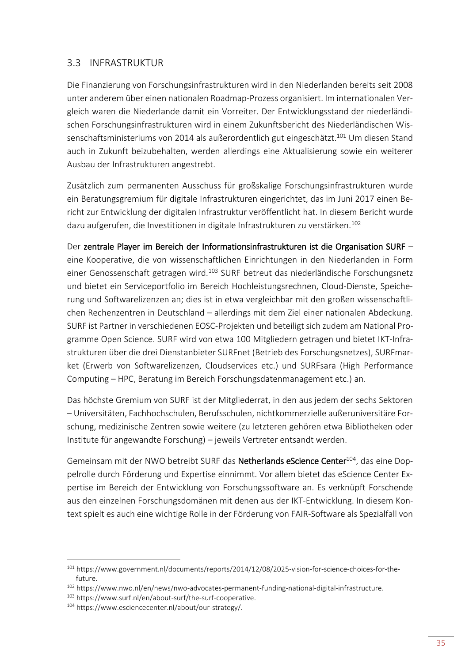## <span id="page-38-0"></span>3.3 INFRASTRUKTUR

Die Finanzierung von Forschungsinfrastrukturen wird in den Niederlanden bereits seit 2008 unter anderem über einen nationalen Roadmap-Prozess organisiert. Im internationalen Vergleich waren die Niederlande damit ein Vorreiter. Der Entwicklungsstand der niederländischen Forschungsinfrastrukturen wird in einem Zukunftsbericht des Niederländischen Wissenschaftsministeriums von 2014 als außerordentlich gut eingeschätzt.<sup>101</sup> Um diesen Stand auch in Zukunft beizubehalten, werden allerdings eine Aktualisierung sowie ein weiterer Ausbau der Infrastrukturen angestrebt.

Zusätzlich zum permanenten Ausschuss für großskalige Forschungsinfrastrukturen wurde ein Beratungsgremium für digitale Infrastrukturen eingerichtet, das im Juni 2017 einen Bericht zur Entwicklung der digitalen Infrastruktur veröffentlicht hat. In diesem Bericht wurde dazu aufgerufen, die Investitionen in digitale Infrastrukturen zu verstärken.<sup>102</sup>

Der zentrale Player im Bereich der Informationsinfrastrukturen ist die Organisation SURF – eine Kooperative, die von wissenschaftlichen Einrichtungen in den Niederlanden in Form einer Genossenschaft getragen wird.<sup>103</sup> SURF betreut das niederländische Forschungsnetz und bietet ein Serviceportfolio im Bereich Hochleistungsrechnen, Cloud-Dienste, Speicherung und Softwarelizenzen an; dies ist in etwa vergleichbar mit den großen wissenschaftlichen Rechenzentren in Deutschland – allerdings mit dem Ziel einer nationalen Abdeckung. SURF ist Partner in verschiedenen EOSC-Projekten und beteiligt sich zudem am National Programme Open Science. SURF wird von etwa 100 Mitgliedern getragen und bietet IKT-Infrastrukturen über die drei Dienstanbieter SURFnet (Betrieb des Forschungsnetzes), SURFmarket (Erwerb von Softwarelizenzen, Cloudservices etc.) und SURFsara (High Performance Computing – HPC, Beratung im Bereich Forschungsdatenmanagement etc.) an.

Das höchste Gremium von SURF ist der Mitgliederrat, in den aus jedem der sechs Sektoren – Universitäten, Fachhochschulen, Berufsschulen, nichtkommerzielle außeruniversitäre Forschung, medizinische Zentren sowie weitere (zu letzteren gehören etwa Bibliotheken oder Institute für angewandte Forschung) – jeweils Vertreter entsandt werden.

Gemeinsam mit der NWO betreibt SURF das Netherlands eScience Center<sup>104</sup>, das eine Doppelrolle durch Förderung und Expertise einnimmt. Vor allem bietet das eScience Center Expertise im Bereich der Entwicklung von Forschungssoftware an. Es verknüpft Forschende aus den einzelnen Forschungsdomänen mit denen aus der IKT-Entwicklung. In diesem Kontext spielt es auch eine wichtige Rolle in der Förderung von FAIR-Software als Spezialfall von

 $\overline{a}$ 

<sup>101</sup> [https://www.government.nl/documents/reports/2014/12/08/2025-vision-for-science-choices-for-the](https://www.government.nl/documents/reports/2014/12/08/2025-vision-for-science-choices-for-the-future)[future.](https://www.government.nl/documents/reports/2014/12/08/2025-vision-for-science-choices-for-the-future)

<sup>102</sup> [https://www.nwo.nl/en/news/nwo-advocates-permanent-funding-national-digital-infrastructure.](https://www.nwo.nl/en/news/nwo-advocates-permanent-funding-national-digital-infrastructure)

<sup>103</sup> [https://www.surf.nl/en/about-surf/the-surf-cooperative.](https://www.surf.nl/en/about-surf/the-surf-cooperative)

<sup>104</sup> [https://www.esciencecenter.nl/about/our-strategy/.](https://www.esciencecenter.nl/about/our-strategy/)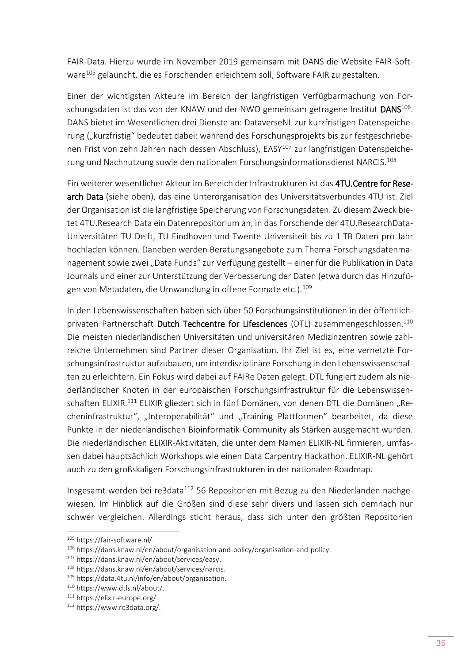FAIR-Data. Hierzu wurde im November 2019 gemeinsam mit DANS die Website FAIR-Software<sup>105</sup> gelauncht, die es Forschenden erleichtern soll, Software FAIR zu gestalten.

Einer der wichtigsten Akteure im Bereich der langfristigen Verfügbarmachung von Forschungsdaten ist das von der KNAW und der NWO gemeinsam getragene Institut DANS<sup>106</sup>. DANS bietet im Wesentlichen drei Dienste an: DataverseNL zur kurzfristigen Datenspeicherung ("kurzfristig" bedeutet dabei: während des Forschungsprojekts bis zur festgeschriebenen Frist von zehn Jahren nach dessen Abschluss), EASY<sup>107</sup> zur langfristigen Datenspeicherung und Nachnutzung sowie den nationalen Forschungsinformationsdienst NARCIS.<sup>108</sup>

Ein weiterer wesentlicher Akteur im Bereich der Infrastrukturen ist das 4TU.Centre for Research Data (siehe oben), das eine Unterorganisation des Universitätsverbundes 4TU ist. Ziel der Organisation ist die langfristige Speicherung von Forschungsdaten. Zu diesem Zweck bietet 4TU.Research Data ein Datenrepositorium an, in das Forschende der 4TU.ResearchData-Universitäten TU Delft, TU Eindhoven und Twente Universiteit bis zu 1 TB Daten pro Jahr hochladen können. Daneben werden Beratungsangebote zum Thema Forschungsdatenmanagement sowie zwei "Data Funds" zur Verfügung gestellt – einer für die Publikation in Data Journals und einer zur Unterstützung der Verbesserung der Daten (etwa durch das Hinzufügen von Metadaten, die Umwandlung in offene Formate etc.).<sup>109</sup>

In den Lebenswissenschaften haben sich über 50 Forschungsinstitutionen in der öffentlichprivaten Partnerschaft Dutch Techcentre for Lifesciences (DTL) zusammengeschlossen.<sup>110</sup> Die meisten niederländischen Universitäten und universitären Medizinzentren sowie zahlreiche Unternehmen sind Partner dieser Organisation. Ihr Ziel ist es, eine vernetzte Forschungsinfrastruktur aufzubauen, um interdisziplinäre Forschung in den Lebenswissenschaften zu erleichtern. Ein Fokus wird dabei auf FAIRe Daten gelegt. DTL fungiert zudem als niederländischer Knoten in der europäischen Forschungsinfrastruktur für die Lebenswissenschaften ELIXIR.<sup>111</sup> ELIXIR gliedert sich in fünf Domänen, von denen DTL die Domänen "Recheninfrastruktur", "Interoperabilität" und "Training Plattformen" bearbeitet, da diese Punkte in der niederländischen Bioinformatik-Community als Stärken ausgemacht wurden. Die niederländischen ELIXIR-Aktivitäten, die unter dem Namen ELIXIR-NL firmieren, umfassen dabei hauptsächlich Workshops wie einen Data Carpentry Hackathon. ELIXIR-NL gehört auch zu den großskaligen Forschungsinfrastrukturen in der nationalen Roadmap.

Insgesamt werden bei re3data<sup>112</sup> 56 Repositorien mit Bezug zu den Niederlanden nachgewiesen. Im Hinblick auf die Größen sind diese sehr divers und lassen sich demnach nur schwer vergleichen. Allerdings sticht heraus, dass sich unter den größten Repositorien

<sup>105</sup> [https://fair-software.nl/.](https://fair-software.nl/)

<sup>106</sup> [https://dans.knaw.nl/en/about/organisation-and-policy/organisation-and-policy.](https://dans.knaw.nl/en/about/organisation-and-policy/organisation-and-policy)

<sup>107</sup> [https://dans.knaw.nl/en/about/services/easy.](https://dans.knaw.nl/en/about/services/easy)

<sup>108</sup> [https://dans.knaw.nl/en/about/services/narcis.](https://dans.knaw.nl/en/about/services/narcis)

<sup>109</sup> [https://data.4tu.nl/info/en/about/organisation.](https://data.4tu.nl/info/en/about/organisation)

<sup>110</sup> [https://www.dtls.nl/about/.](https://www.dtls.nl/about/)

<sup>111</sup> [https://elixir-europe.org/.](https://elixir-europe.org/)

<sup>112</sup> [https://www.re3data.org/.](https://www.re3data.org/)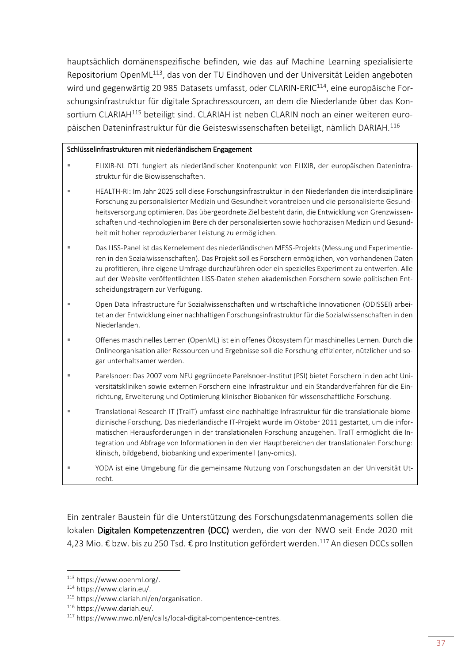hauptsächlich domänenspezifische befinden, wie das auf Machine Learning spezialisierte Repositorium OpenML<sup>113</sup>, das von der TU Eindhoven und der Universität Leiden angeboten wird und gegenwärtig 20 985 Datasets umfasst, oder CLARIN-ERIC<sup>114</sup>, eine europäische Forschungsinfrastruktur für digitale Sprachressourcen, an dem die Niederlande über das Konsortium CLARIAH<sup>115</sup> beteiligt sind. CLARIAH ist neben CLARIN noch an einer weiteren europäischen Dateninfrastruktur für die Geisteswissenschaften beteiligt, nämlich DARIAH.<sup>116</sup>

#### Schlüsselinfrastrukturen mit niederländischem Engagement

- ELIXIR-NL DTL fungiert als niederländischer Knotenpunkt von ELIXIR, der europäischen Dateninfrastruktur für die Biowissenschaften.
- HEALTH-RI: Im Jahr 2025 soll diese Forschungsinfrastruktur in den Niederlanden die interdisziplinäre Forschung zu personalisierter Medizin und Gesundheit vorantreiben und die personalisierte Gesundheitsversorgung optimieren. Das übergeordnete Ziel besteht darin, die Entwicklung von Grenzwissenschaften und -technologien im Bereich der personalisierten sowie hochpräzisen Medizin und Gesundheit mit hoher reproduzierbarer Leistung zu ermöglichen.
- Das LISS-Panel ist das Kernelement des niederländischen MESS-Projekts (Messung und Experimentieren in den Sozialwissenschaften). Das Projekt soll es Forschern ermöglichen, von vorhandenen Daten zu profitieren, ihre eigene Umfrage durchzuführen oder ein spezielles Experiment zu entwerfen. Alle auf der Website veröffentlichten LISS-Daten stehen akademischen Forschern sowie politischen Entscheidungsträgern zur Verfügung.
- Open Data Infrastructure für Sozialwissenschaften und wirtschaftliche Innovationen (ODISSEI) arbeitet an der Entwicklung einer nachhaltigen Forschungsinfrastruktur für die Sozialwissenschaften in den Niederlanden.
- Offenes maschinelles Lernen (OpenML) ist ein offenes Ökosystem für maschinelles Lernen. Durch die Onlineorganisation aller Ressourcen und Ergebnisse soll die Forschung effizienter, nützlicher und sogar unterhaltsamer werden.
- Parelsnoer: Das 2007 vom NFU gegründete Parelsnoer-Institut (PSI) bietet Forschern in den acht Universitätskliniken sowie externen Forschern eine Infrastruktur und ein Standardverfahren für die Einrichtung, Erweiterung und Optimierung klinischer Biobanken für wissenschaftliche Forschung.
- Translational Research IT (TraIT) umfasst eine nachhaltige Infrastruktur für die translationale biomedizinische Forschung. Das niederländische IT-Projekt wurde im Oktober 2011 gestartet, um die informatischen Herausforderungen in der translationalen Forschung anzugehen. TraIT ermöglicht die Integration und Abfrage von Informationen in den vier Hauptbereichen der translationalen Forschung: klinisch, bildgebend, biobanking und experimentell (any-omics).
- YODA ist eine Umgebung für die gemeinsame Nutzung von Forschungsdaten an der Universität Utrecht.

Ein zentraler Baustein für die Unterstützung des Forschungsdatenmanagements sollen die lokalen Digitalen Kompetenzzentren (DCC) werden, die von der NWO seit Ende 2020 mit 4,23 Mio. € bzw. bis zu 250 Tsd. € pro Institution gefördert werden.<sup>117</sup> An diesen DCCs sollen

<sup>113</sup> [https://www.openml.org/.](https://www.openml.org/)

<sup>114</sup> [https://www.clarin.eu/.](https://www.clarin.eu/)

<sup>115</sup> [https://www.clariah.nl/en/organisation.](https://www.clariah.nl/en/organisation)

<sup>116</sup> [https://www.dariah.eu/.](https://www.dariah.eu/)

<sup>117</sup> [https://www.nwo.nl/en/calls/local-digital-compentence-centres.](https://www.nwo.nl/en/calls/local-digital-compentence-centres)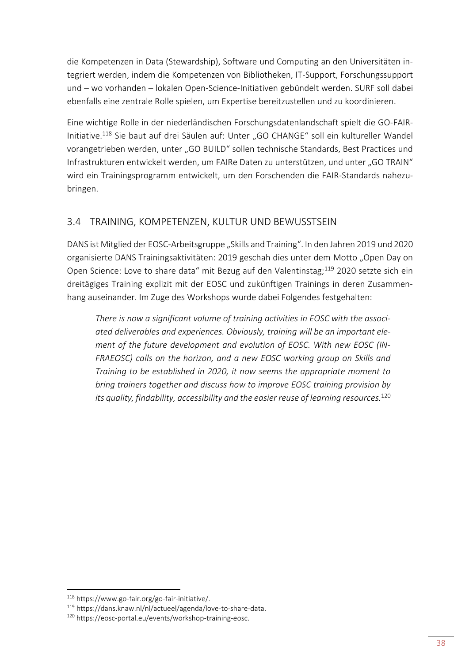die Kompetenzen in Data (Stewardship), Software und Computing an den Universitäten integriert werden, indem die Kompetenzen von Bibliotheken, IT-Support, Forschungssupport und – wo vorhanden – lokalen Open-Science-Initiativen gebündelt werden. SURF soll dabei ebenfalls eine zentrale Rolle spielen, um Expertise bereitzustellen und zu koordinieren.

Eine wichtige Rolle in der niederländischen Forschungsdatenlandschaft spielt die GO-FAIR-Initiative.<sup>118</sup> Sie baut auf drei Säulen auf: Unter "GO CHANGE" soll ein kultureller Wandel vorangetrieben werden, unter "GO BUILD" sollen technische Standards, Best Practices und Infrastrukturen entwickelt werden, um FAIRe Daten zu unterstützen, und unter "GO TRAIN" wird ein Trainingsprogramm entwickelt, um den Forschenden die FAIR-Standards nahezubringen.

# <span id="page-41-0"></span>3.4 TRAINING, KOMPETENZEN, KULTUR UND BEWUSSTSEIN

DANS ist Mitglied der EOSC-Arbeitsgruppe "Skills and Training". In den Jahren 2019 und 2020 organisierte DANS Trainingsaktivitäten: 2019 geschah dies unter dem Motto "Open Day on Open Science: Love to share data" mit Bezug auf den Valentinstag;<sup>119</sup> 2020 setzte sich ein dreitägiges Training explizit mit der EOSC und zukünftigen Trainings in deren Zusammenhang auseinander. Im Zuge des Workshops wurde dabei Folgendes festgehalten:

*There is now a significant volume of training activities in EOSC with the associated deliverables and experiences. Obviously, training will be an important element of the future development and evolution of EOSC. With new EOSC (IN-FRAEOSC) calls on the horizon, and a new EOSC working group on Skills and Training to be established in 2020, it now seems the appropriate moment to bring trainers together and discuss how to improve EOSC training provision by its quality, findability, accessibility and the easier reuse of learning resources.*<sup>120</sup>

<sup>118</sup> [https://www.go-fair.org/go-fair-initiative/.](https://www.go-fair.org/go-fair-initiative/)

<sup>119</sup> https://dans.knaw.nl/nl/actueel/agenda/love-to-share-data.

<sup>120</sup> [https://eosc-portal.eu/events/workshop-training-eosc.](https://eosc-portal.eu/events/workshop-training-eosc)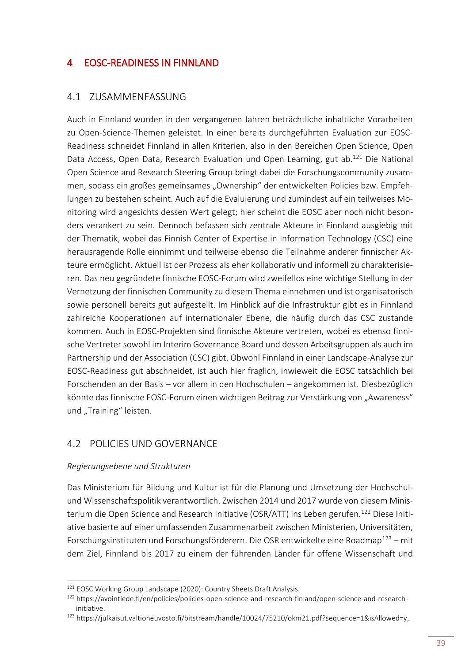## <span id="page-42-0"></span>4 EOSC-READINESS IN FINNLAND

#### <span id="page-42-1"></span>4.1 ZUSAMMENFASSUNG

Auch in Finnland wurden in den vergangenen Jahren beträchtliche inhaltliche Vorarbeiten zu Open-Science-Themen geleistet. In einer bereits durchgeführten Evaluation zur EOSC-Readiness schneidet Finnland in allen Kriterien, also in den Bereichen Open Science, Open Data Access, Open Data, Research Evaluation und Open Learning, gut ab.<sup>121</sup> Die National Open Science and Research Steering Group bringt dabei die Forschungscommunity zusammen, sodass ein großes gemeinsames "Ownership" der entwickelten Policies bzw. Empfehlungen zu bestehen scheint. Auch auf die Evaluierung und zumindest auf ein teilweises Monitoring wird angesichts dessen Wert gelegt; hier scheint die EOSC aber noch nicht besonders verankert zu sein. Dennoch befassen sich zentrale Akteure in Finnland ausgiebig mit der Thematik, wobei das Finnish Center of Expertise in Information Technology (CSC) eine herausragende Rolle einnimmt und teilweise ebenso die Teilnahme anderer finnischer Akteure ermöglicht. Aktuell ist der Prozess als eher kollaborativ und informell zu charakterisieren. Das neu gegründete finnische EOSC-Forum wird zweifellos eine wichtige Stellung in der Vernetzung der finnischen Community zu diesem Thema einnehmen und ist organisatorisch sowie personell bereits gut aufgestellt. Im Hinblick auf die Infrastruktur gibt es in Finnland zahlreiche Kooperationen auf internationaler Ebene, die häufig durch das CSC zustande kommen. Auch in EOSC-Projekten sind finnische Akteure vertreten, wobei es ebenso finnische Vertreter sowohl im Interim Governance Board und dessen Arbeitsgruppen als auch im Partnership und der Association (CSC) gibt. Obwohl Finnland in einer Landscape-Analyse zur EOSC-Readiness gut abschneidet, ist auch hier fraglich, inwieweit die EOSC tatsächlich bei Forschenden an der Basis – vor allem in den Hochschulen – angekommen ist. Diesbezüglich könnte das finnische EOSC-Forum einen wichtigen Beitrag zur Verstärkung von "Awareness" und "Training" leisten.

#### <span id="page-42-2"></span>4.2 POLICIES UND GOVERNANCE

#### *Regierungsebene und Strukturen*

**.** 

Das Ministerium für Bildung und Kultur ist für die Planung und Umsetzung der Hochschulund Wissenschaftspolitik verantwortlich. Zwischen 2014 und 2017 wurde von diesem Ministerium die Open Science and Research Initiative (OSR/ATT) ins Leben gerufen.<sup>122</sup> Diese Initiative basierte auf einer umfassenden Zusammenarbeit zwischen Ministerien, Universitäten, Forschungsinstituten und Forschungsförderern. Die OSR entwickelte eine Roadmap<sup>123</sup> – mit dem Ziel, Finnland bis 2017 zu einem der führenden Länder für offene Wissenschaft und

<sup>&</sup>lt;sup>121</sup> EOSC Working Group Landscape (2020): Country Sheets Draft Analysis.

<sup>122</sup> [https://avointiede.fi/en/policies/policies-open-science-and-research-finland/open-science-and-research](https://avointiede.fi/en/policies/policies-open-science-and-research-finland/open-science-and-research-initiative)[initiative.](https://avointiede.fi/en/policies/policies-open-science-and-research-finland/open-science-and-research-initiative)

<sup>123</sup> [https://julkaisut.valtioneuvosto.fi/bitstream/handle/10024/75210/okm21.pdf?sequence=1&isAllowed=y,](https://julkaisut.valtioneuvosto.fi/bitstream/handle/10024/75210/okm21.pdf?sequence=1&isAllowed=y).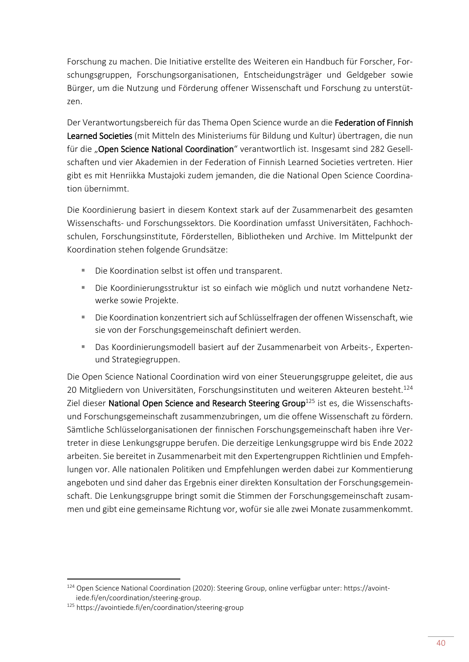Forschung zu machen. Die Initiative erstellte des Weiteren ein Handbuch für Forscher, Forschungsgruppen, Forschungsorganisationen, Entscheidungsträger und Geldgeber sowie Bürger, um die Nutzung und Förderung offener Wissenschaft und Forschung zu unterstützen.

Der Verantwortungsbereich für das Thema Open Science wurde an die Federation of Finnish Learned Societies (mit Mitteln des Ministeriums für Bildung und Kultur) übertragen, die nun für die "Open Science National Coordination" verantwortlich ist. Insgesamt sind 282 Gesellschaften und vier Akademien in der Federation of Finnish Learned Societies vertreten. Hier gibt es mit Henriikka Mustajoki zudem jemanden, die die National Open Science Coordination übernimmt.

Die Koordinierung basiert in diesem Kontext stark auf der Zusammenarbeit des gesamten Wissenschafts- und Forschungssektors. Die Koordination umfasst Universitäten, Fachhochschulen, Forschungsinstitute, Förderstellen, Bibliotheken und Archive. Im Mittelpunkt der Koordination stehen folgende Grundsätze:

- Die Koordination selbst ist offen und transparent.
- Die Koordinierungsstruktur ist so einfach wie möglich und nutzt vorhandene Netzwerke sowie Projekte.
- Die Koordination konzentriert sich auf Schlüsselfragen der offenen Wissenschaft, wie sie von der Forschungsgemeinschaft definiert werden.
- **■** Das Koordinierungsmodell basiert auf der Zusammenarbeit von Arbeits-, Expertenund Strategiegruppen.

Die Open Science National Coordination wird von einer Steuerungsgruppe geleitet, die aus 20 Mitgliedern von Universitäten, Forschungsinstituten und weiteren Akteuren besteht.<sup>124</sup> Ziel dieser National Open Science and Research Steering Group<sup>125</sup> ist es, die Wissenschaftsund Forschungsgemeinschaft zusammenzubringen, um die offene Wissenschaft zu fördern. Sämtliche Schlüsselorganisationen der finnischen Forschungsgemeinschaft haben ihre Vertreter in diese Lenkungsgruppe berufen. Die derzeitige Lenkungsgruppe wird bis Ende 2022 arbeiten. Sie bereitet in Zusammenarbeit mit den Expertengruppen Richtlinien und Empfehlungen vor. Alle nationalen Politiken und Empfehlungen werden dabei zur Kommentierung angeboten und sind daher das Ergebnis einer direkten Konsultation der Forschungsgemeinschaft. Die Lenkungsgruppe bringt somit die Stimmen der Forschungsgemeinschaft zusammen und gibt eine gemeinsame Richtung vor, wofür sie alle zwei Monate zusammenkommt.

 $\overline{a}$ 

<sup>124</sup> Open Science National Coordination (2020): Steering Group, online verfügbar unter: https://avointiede.fi/en/coordination/steering-group.

<sup>125</sup> <https://avointiede.fi/en/coordination/steering-group>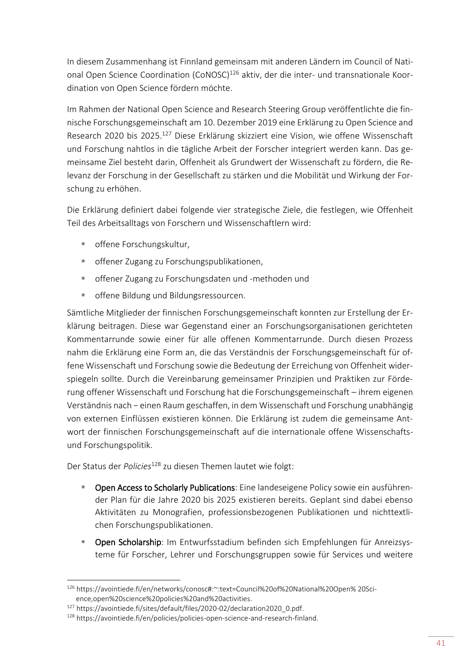In diesem Zusammenhang ist Finnland gemeinsam mit anderen Ländern im Council of National Open Science Coordination (CoNOSC)<sup>126</sup> aktiv, der die inter- und transnationale Koordination von Open Science fördern möchte.

Im Rahmen der National Open Science and Research Steering Group veröffentlichte die finnische Forschungsgemeinschaft am 10. Dezember 2019 eine Erklärung zu Open Science and Research 2020 bis 2025.<sup>127</sup> Diese Erklärung skizziert eine Vision, wie offene Wissenschaft und Forschung nahtlos in die tägliche Arbeit der Forscher integriert werden kann. Das gemeinsame Ziel besteht darin, Offenheit als Grundwert der Wissenschaft zu fördern, die Relevanz der Forschung in der Gesellschaft zu stärken und die Mobilität und Wirkung der Forschung zu erhöhen.

Die Erklärung definiert dabei folgende vier strategische Ziele, die festlegen, wie Offenheit Teil des Arbeitsalltags von Forschern und Wissenschaftlern wird:

- offene Forschungskultur,
- offener Zugang zu Forschungspublikationen,
- offener Zugang zu Forschungsdaten und -methoden und
- offene Bildung und Bildungsressourcen.

Sämtliche Mitglieder der finnischen Forschungsgemeinschaft konnten zur Erstellung der Erklärung beitragen. Diese war Gegenstand einer an Forschungsorganisationen gerichteten Kommentarrunde sowie einer für alle offenen Kommentarrunde. Durch diesen Prozess nahm die Erklärung eine Form an, die das Verständnis der Forschungsgemeinschaft für offene Wissenschaft und Forschung sowie die Bedeutung der Erreichung von Offenheit widerspiegeln sollte. Durch die Vereinbarung gemeinsamer Prinzipien und Praktiken zur Förderung offener Wissenschaft und Forschung hat die Forschungsgemeinschaft – ihrem eigenen Verständnis nach − einen Raum geschaffen, in dem Wissenschaft und Forschung unabhängig von externen Einflüssen existieren können. Die Erklärung ist zudem die gemeinsame Antwort der finnischen Forschungsgemeinschaft auf die internationale offene Wissenschaftsund Forschungspolitik.

Der Status der *Policies*<sup>128</sup> zu diesen Themen lautet wie folgt:

- **Open Access to Scholarly Publications:** Eine landeseigene Policy sowie ein ausführender Plan für die Jahre 2020 bis 2025 existieren bereits. Geplant sind dabei ebenso Aktivitäten zu Monografien, professionsbezogenen Publikationen und nichttextlichen Forschungspublikationen.
- **Open Scholarship:** Im Entwurfsstadium befinden sich Empfehlungen für Anreizsysteme für Forscher, Lehrer und Forschungsgruppen sowie für Services und weitere

<sup>126</sup> [https://avointiede.fi/en/networks/conosc#:~:text=Council%20of%20National%20Open% 20Sci](https://avointiede.fi/en/networks/conosc#:~:text=Council%20of%20National%20Open% 20Science,open%20science%20policies%20and%20activities)[ence,open%20science%20policies%20and%20activities.](https://avointiede.fi/en/networks/conosc#:~:text=Council%20of%20National%20Open% 20Science,open%20science%20policies%20and%20activities)

<sup>127</sup> [https://avointiede.fi/sites/default/files/2020-02/declaration2020\\_0.pdf.](https://avointiede.fi/sites/default/files/2020-02/declaration2020_0.pdf)

<sup>128</sup> [https://avointiede.fi/en/policies/policies-open-science-and-research-finland.](https://avointiede.fi/en/policies/policies-open-science-and-research-finland)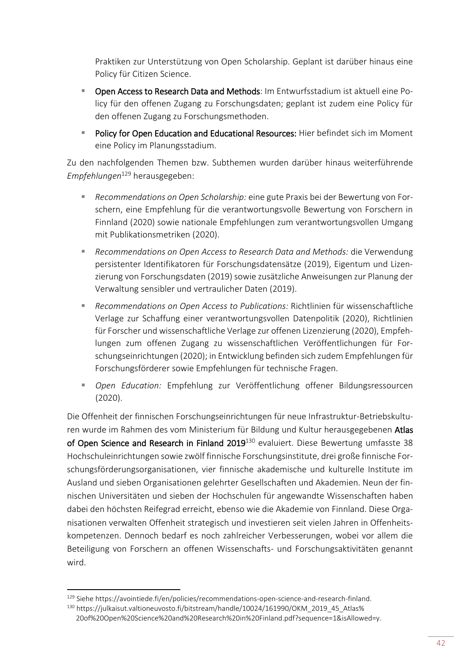Praktiken zur Unterstützung von Open Scholarship. Geplant ist darüber hinaus eine Policy für Citizen Science.

- Open Access to Research Data and Methods: Im Entwurfsstadium ist aktuell eine Policy für den offenen Zugang zu Forschungsdaten; geplant ist zudem eine Policy für den offenen Zugang zu Forschungsmethoden.
- **E** Policy for Open Education and Educational Resources: Hier befindet sich im Moment eine Policy im Planungsstadium.

Zu den nachfolgenden Themen bzw. Subthemen wurden darüber hinaus weiterführende *Empfehlungen*<sup>129</sup> herausgegeben:

- *Recommendations on Open Scholarship:* eine gute Praxis bei der Bewertung von Forschern, eine Empfehlung für die verantwortungsvolle Bewertung von Forschern in Finnland (2020) sowie nationale Empfehlungen zum verantwortungsvollen Umgang mit Publikationsmetriken (2020).
- *Recommendations on Open Access to Research Data and Methods: die Verwendung* persistenter Identifikatoren für Forschungsdatensätze (2019), Eigentum und Lizenzierung von Forschungsdaten (2019) sowie zusätzliche Anweisungen zur Planung der Verwaltung sensibler und vertraulicher Daten (2019).
- *Recommendations on Open Access to Publications:* Richtlinien für wissenschaftliche Verlage zur Schaffung einer verantwortungsvollen Datenpolitik (2020), Richtlinien für Forscher und wissenschaftliche Verlage zur offenen Lizenzierung (2020), Empfehlungen zum offenen Zugang zu wissenschaftlichen Veröffentlichungen für Forschungseinrichtungen (2020); in Entwicklung befinden sich zudem Empfehlungen für Forschungsförderer sowie Empfehlungen für technische Fragen.
- *Open Education:* Empfehlung zur Veröffentlichung offener Bildungsressourcen (2020).

Die Offenheit der finnischen Forschungseinrichtungen für neue Infrastruktur-Betriebskulturen wurde im Rahmen des vom Ministerium für Bildung und Kultur herausgegebenen Atlas of Open Science and Research in Finland 2019<sup>130</sup> evaluiert. Diese Bewertung umfasste 38 Hochschuleinrichtungen sowie zwölf finnische Forschungsinstitute, drei große finnische Forschungsförderungsorganisationen, vier finnische akademische und kulturelle Institute im Ausland und sieben Organisationen gelehrter Gesellschaften und Akademien. Neun der finnischen Universitäten und sieben der Hochschulen für angewandte Wissenschaften haben dabei den höchsten Reifegrad erreicht, ebenso wie die Akademie von Finnland. Diese Organisationen verwalten Offenheit strategisch und investieren seit vielen Jahren in Offenheitskompetenzen. Dennoch bedarf es noch zahlreicher Verbesserungen, wobei vor allem die Beteiligung von Forschern an offenen Wissenschafts- und Forschungsaktivitäten genannt wird.

<sup>129</sup> Siehe [https://avointiede.fi/en/policies/recommendations-open-science-and-research-finland.](https://avointiede.fi/en/policies/recommendations-open-science-and-research-finland)

<sup>130</sup> [https://julkaisut.valtioneuvosto.fi/bitstream/handle/10024/161990/OKM\\_2019\\_45\\_Atlas%](https://julkaisut.valtioneuvosto.fi/bitstream/handle/10024/161990/OKM_2019_45_Atlas%25%2020of%20Open%20Science%20and%20Research%20in%20Finland.pdf?sequence=1&isAllowed=y)  [20of%20Open%20Science%20and%20Research%20in%20Finland.pdf?sequence=1&isAllowed=y.](https://julkaisut.valtioneuvosto.fi/bitstream/handle/10024/161990/OKM_2019_45_Atlas%25%2020of%20Open%20Science%20and%20Research%20in%20Finland.pdf?sequence=1&isAllowed=y)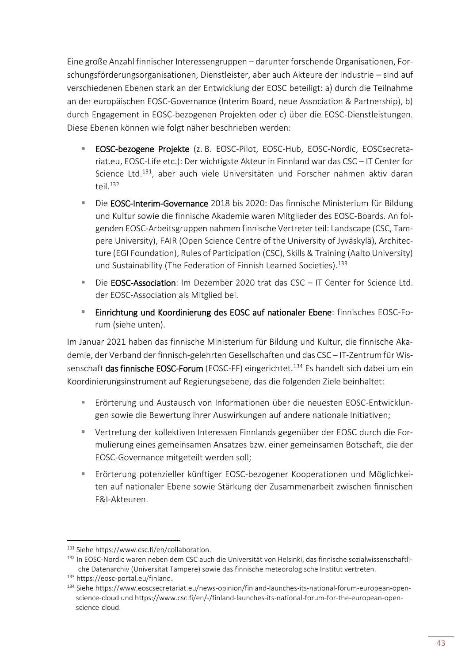Eine große Anzahl finnischer Interessengruppen – darunter forschende Organisationen, Forschungsförderungsorganisationen, Dienstleister, aber auch Akteure der Industrie – sind auf verschiedenen Ebenen stark an der Entwicklung der EOSC beteiligt: a) durch die Teilnahme an der europäischen EOSC-Governance (Interim Board, neue Association & Partnership), b) durch Engagement in EOSC-bezogenen Projekten oder c) über die EOSC-Dienstleistungen. Diese Ebenen können wie folgt näher beschrieben werden:

- EOSC-bezogene Projekte (z. B. EOSC-Pilot, EOSC-Hub, EOSC-Nordic, EOSCsecretariat.eu, EOSC-Life etc.): Der wichtigste Akteur in Finnland war das CSC – IT Center for Science Ltd.<sup>131</sup>, aber auch viele Universitäten und Forscher nahmen aktiv daran teil  $132$
- **E** Die EOSC-Interim-Governance 2018 bis 2020: Das finnische Ministerium für Bildung und Kultur sowie die finnische Akademie waren Mitglieder des EOSC-Boards. An folgenden EOSC-Arbeitsgruppen nahmen finnische Vertreter teil: Landscape (CSC, Tampere University), FAIR (Open Science Centre of the University of Jyväskylä), Architecture (EGI Foundation), Rules of Participation (CSC), Skills & Training (Aalto University) und Sustainability (The Federation of Finnish Learned Societies).<sup>133</sup>
- Die **EOSC-Association**: Im Dezember 2020 trat das CSC IT Center for Science Ltd. der EOSC-Association als Mitglied bei.
- Einrichtung und Koordinierung des EOSC auf nationaler Ebene: finnisches EOSC-Forum (siehe unten).

Im Januar 2021 haben das finnische Ministerium für Bildung und Kultur, die finnische Akademie, der Verband der finnisch-gelehrten Gesellschaften und das CSC – IT-Zentrum für Wissenschaft das finnische EOSC-Forum (EOSC-FF) eingerichtet.<sup>134</sup> Es handelt sich dabei um ein Koordinierungsinstrument auf Regierungsebene, das die folgenden Ziele beinhaltet:

- Erörterung und Austausch von Informationen über die neuesten EOSC-Entwicklungen sowie die Bewertung ihrer Auswirkungen auf andere nationale Initiativen;
- Vertretung der kollektiven Interessen Finnlands gegenüber der EOSC durch die Formulierung eines gemeinsamen Ansatzes bzw. einer gemeinsamen Botschaft, die der EOSC-Governance mitgeteilt werden soll;
- Erörterung potenzieller künftiger EOSC-bezogener Kooperationen und Möglichkeiten auf nationaler Ebene sowie Stärkung der Zusammenarbeit zwischen finnischen F&I-Akteuren.

<sup>131</sup> Siehe [https://www.csc.fi/en/collaboration.](https://www.csc.fi/en/collaboration)

<sup>132</sup> In EOSC-Nordic waren neben dem CSC auch die Universität von Helsinki, das finnische sozialwissenschaftliche Datenarchiv (Universität Tampere) sowie das finnische meteorologische Institut vertreten.

<sup>133</sup> [https://eosc-portal.eu/finland.](https://eosc-portal.eu/finland)

<sup>134</sup> Siehe [https://www.eoscsecretariat.eu/news-opinion/finland-launches-its-national-forum-european-open](https://www.eoscsecretariat.eu/news-opinion/finland-launches-its-national-forum-european-open-science-cloud)[science-cloud](https://www.eoscsecretariat.eu/news-opinion/finland-launches-its-national-forum-european-open-science-cloud) und [https://www.csc.fi/en/-/finland-launches-its-national-forum-for-the-european-open](https://www.csc.fi/en/-/finland-launches-its-national-forum-for-the-european-open-science-cloud)[science-cloud.](https://www.csc.fi/en/-/finland-launches-its-national-forum-for-the-european-open-science-cloud)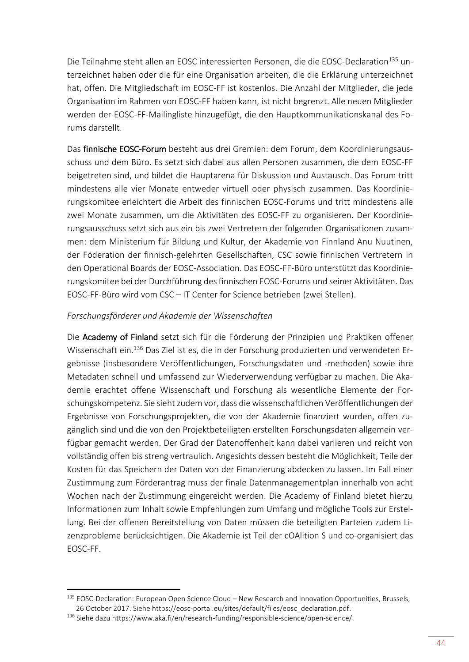Die Teilnahme steht allen an EOSC interessierten Personen, die die EOSC-Declaration<sup>135</sup> unterzeichnet haben oder die für eine Organisation arbeiten, die die Erklärung unterzeichnet hat, offen. Die Mitgliedschaft im EOSC-FF ist kostenlos. Die Anzahl der Mitglieder, die jede Organisation im Rahmen von EOSC-FF haben kann, ist nicht begrenzt. Alle neuen Mitglieder werden der EOSC-FF-Mailingliste hinzugefügt, die den Hauptkommunikationskanal des Forums darstellt.

Das finnische EOSC-Forum besteht aus drei Gremien: dem Forum, dem Koordinierungsausschuss und dem Büro. Es setzt sich dabei aus allen Personen zusammen, die dem EOSC-FF beigetreten sind, und bildet die Hauptarena für Diskussion und Austausch. Das Forum tritt mindestens alle vier Monate entweder virtuell oder physisch zusammen. Das Koordinierungskomitee erleichtert die Arbeit des finnischen EOSC-Forums und tritt mindestens alle zwei Monate zusammen, um die Aktivitäten des EOSC-FF zu organisieren. Der Koordinierungsausschuss setzt sich aus ein bis zwei Vertretern der folgenden Organisationen zusammen: dem Ministerium für Bildung und Kultur, der Akademie von Finnland Anu Nuutinen, der Föderation der finnisch-gelehrten Gesellschaften, CSC sowie finnischen Vertretern in den Operational Boards der EOSC-Association. Das EOSC-FF-Büro unterstützt das Koordinierungskomitee bei der Durchführung des finnischen EOSC-Forums und seiner Aktivitäten. Das EOSC-FF-Büro wird vom CSC – IT Center for Science betrieben (zwei Stellen).

#### *Forschungsförderer und Akademie der Wissenschaften*

Die Academy of Finland setzt sich für die Förderung der Prinzipien und Praktiken offener Wissenschaft ein.<sup>136</sup> Das Ziel ist es, die in der Forschung produzierten und verwendeten Ergebnisse (insbesondere Veröffentlichungen, Forschungsdaten und -methoden) sowie ihre Metadaten schnell und umfassend zur Wiederverwendung verfügbar zu machen. Die Akademie erachtet offene Wissenschaft und Forschung als wesentliche Elemente der Forschungskompetenz. Sie sieht zudem vor, dass die wissenschaftlichen Veröffentlichungen der Ergebnisse von Forschungsprojekten, die von der Akademie finanziert wurden, offen zugänglich sind und die von den Projektbeteiligten erstellten Forschungsdaten allgemein verfügbar gemacht werden. Der Grad der Datenoffenheit kann dabei variieren und reicht von vollständig offen bis streng vertraulich. Angesichts dessen besteht die Möglichkeit, Teile der Kosten für das Speichern der Daten von der Finanzierung abdecken zu lassen. Im Fall einer Zustimmung zum Förderantrag muss der finale Datenmanagementplan innerhalb von acht Wochen nach der Zustimmung eingereicht werden. Die Academy of Finland bietet hierzu Informationen zum Inhalt sowie Empfehlungen zum Umfang und mögliche Tools zur Erstellung. Bei der offenen Bereitstellung von Daten müssen die beteiligten Parteien zudem Lizenzprobleme berücksichtigen. Die Akademie ist Teil der cOAlition S und co-organisiert das EOSC-FF.

<sup>135</sup> EOSC-Declaration: European Open Science Cloud - New Research and Innovation Opportunities, Brussels, 26 October 2017. Siehe [https://eosc-portal.eu/sites/default/files/eosc\\_declaration.pdf.](https://eosc-portal.eu/sites/default/files/eosc_declaration.pdf)

<sup>136</sup> Siehe daz[u https://www.aka.fi/en/research-funding/responsible-science/open-science/.](https://www.aka.fi/en/research-funding/responsible-science/open-science/)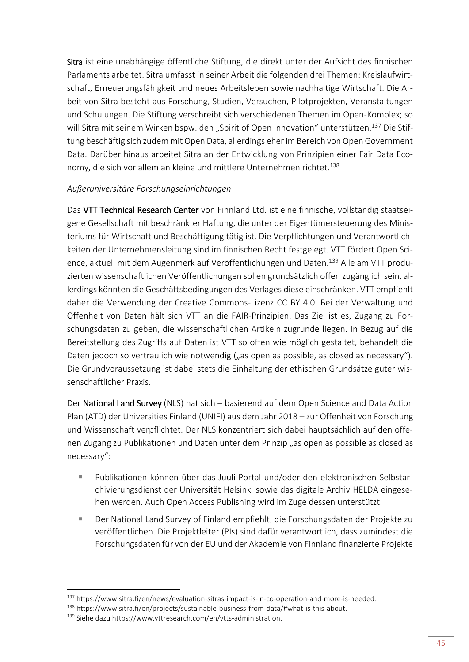Sitra ist eine unabhängige öffentliche Stiftung, die direkt unter der Aufsicht des finnischen Parlaments arbeitet. Sitra umfasst in seiner Arbeit die folgenden drei Themen: Kreislaufwirtschaft, Erneuerungsfähigkeit und neues Arbeitsleben sowie nachhaltige Wirtschaft. Die Arbeit von Sitra besteht aus Forschung, Studien, Versuchen, Pilotprojekten, Veranstaltungen und Schulungen. Die Stiftung verschreibt sich verschiedenen Themen im Open-Komplex; so will Sitra mit seinem Wirken bspw. den "Spirit of Open Innovation" unterstützen.<sup>137</sup> Die Stiftung beschäftig sich zudem mit Open Data, allerdings eher im Bereich von Open Government Data. Darüber hinaus arbeitet Sitra an der Entwicklung von Prinzipien einer Fair Data Economy, die sich vor allem an kleine und mittlere Unternehmen richtet.<sup>138</sup>

#### *Außeruniversitäre Forschungseinrichtungen*

Das VTT Technical Research Center von Finnland Ltd. ist eine finnische, vollständig staatseigene Gesellschaft mit beschränkter Haftung, die unter der Eigentümersteuerung des Ministeriums für Wirtschaft und Beschäftigung tätig ist. Die Verpflichtungen und Verantwortlichkeiten der Unternehmensleitung sind im finnischen Recht festgelegt. VTT fördert Open Science, aktuell mit dem Augenmerk auf Veröffentlichungen und Daten.<sup>139</sup> Alle am VTT produzierten wissenschaftlichen Veröffentlichungen sollen grundsätzlich offen zugänglich sein, allerdings könnten die Geschäftsbedingungen des Verlages diese einschränken. VTT empfiehlt daher die Verwendung der Creative Commons-Lizenz CC BY 4.0. Bei der Verwaltung und Offenheit von Daten hält sich VTT an die FAIR-Prinzipien. Das Ziel ist es, Zugang zu Forschungsdaten zu geben, die wissenschaftlichen Artikeln zugrunde liegen. In Bezug auf die Bereitstellung des Zugriffs auf Daten ist VTT so offen wie möglich gestaltet, behandelt die Daten jedoch so vertraulich wie notwendig ("as open as possible, as closed as necessary"). Die Grundvoraussetzung ist dabei stets die Einhaltung der ethischen Grundsätze guter wissenschaftlicher Praxis.

Der National Land Survey (NLS) hat sich – basierend auf dem Open Science and Data Action Plan (ATD) der Universities Finland (UNIFI) aus dem Jahr 2018 – zur Offenheit von Forschung und Wissenschaft verpflichtet. Der NLS konzentriert sich dabei hauptsächlich auf den offenen Zugang zu Publikationen und Daten unter dem Prinzip "as open as possible as closed as necessary":

- Publikationen können über das Juuli-Portal und/oder den elektronischen Selbstarchivierungsdienst der Universität Helsinki sowie das digitale Archiv HELDA eingesehen werden. Auch Open Access Publishing wird im Zuge dessen unterstützt.
- Der National Land Survey of Finland empfiehlt, die Forschungsdaten der Projekte zu veröffentlichen. Die Projektleiter (PIs) sind dafür verantwortlich, dass zumindest die Forschungsdaten für von der EU und der Akademie von Finnland finanzierte Projekte

<sup>137</sup> https://www.sitra.fi/en/news/evaluation-sitras-impact-is-in-co-operation-and-more-is-needed.

<sup>138</sup> https://www.sitra.fi/en/projects/sustainable-business-from-data/#what-is-this-about.

<sup>139</sup> Siehe daz[u https://www.vttresearch.com/en/vtts-administration.](https://www.vttresearch.com/en/vtts-administration)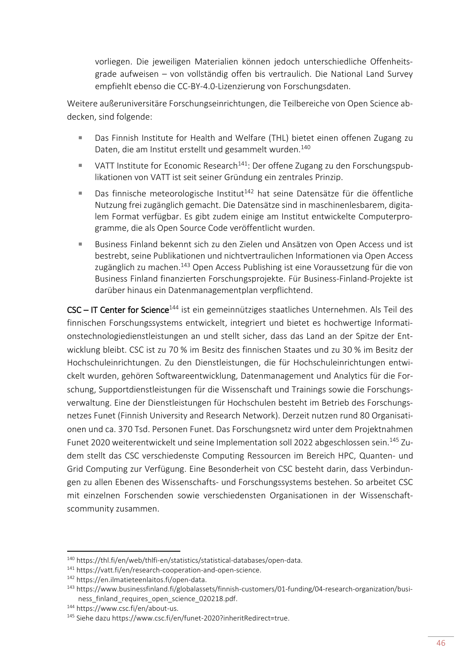vorliegen. Die jeweiligen Materialien können jedoch unterschiedliche Offenheitsgrade aufweisen – von vollständig offen bis vertraulich. Die National Land Survey empfiehlt ebenso die CC-BY-4.0-Lizenzierung von Forschungsdaten.

Weitere außeruniversitäre Forschungseinrichtungen, die Teilbereiche von Open Science abdecken, sind folgende:

- Das Finnish Institute for Health and Welfare (THL) bietet einen offenen Zugang zu Daten, die am Institut erstellt und gesammelt wurden.<sup>140</sup>
- VATT Institute for Economic Research<sup>141</sup>: Der offene Zugang zu den Forschungspublikationen von VATT ist seit seiner Gründung ein zentrales Prinzip.
- Das finnische meteorologische Institut<sup>142</sup> hat seine Datensätze für die öffentliche Nutzung frei zugänglich gemacht. Die Datensätze sind in maschinenlesbarem, digitalem Format verfügbar. Es gibt zudem einige am Institut entwickelte Computerprogramme, die als Open Source Code veröffentlicht wurden.
- Business Finland bekennt sich zu den Zielen und Ansätzen von Open Access und ist bestrebt, seine Publikationen und nichtvertraulichen Informationen via Open Access zugänglich zu machen.<sup>143</sup> Open Access Publishing ist eine Voraussetzung für die von Business Finland finanzierten Forschungsprojekte. Für Business-Finland-Projekte ist darüber hinaus ein Datenmanagementplan verpflichtend.

CSC - IT Center for Science<sup>144</sup> ist ein gemeinnütziges staatliches Unternehmen. Als Teil des finnischen Forschungssystems entwickelt, integriert und bietet es hochwertige Informationstechnologiedienstleistungen an und stellt sicher, dass das Land an der Spitze der Entwicklung bleibt. CSC ist zu 70 % im Besitz des finnischen Staates und zu 30 % im Besitz der Hochschuleinrichtungen. Zu den Dienstleistungen, die für Hochschuleinrichtungen entwickelt wurden, gehören Softwareentwicklung, Datenmanagement und Analytics für die Forschung, Supportdienstleistungen für die Wissenschaft und Trainings sowie die Forschungsverwaltung. Eine der Dienstleistungen für Hochschulen besteht im Betrieb des Forschungsnetzes Funet (Finnish University and Research Network). Derzeit nutzen rund 80 Organisationen und ca. 370 Tsd. Personen Funet. Das Forschungsnetz wird unter dem Projektnahmen Funet 2020 weiterentwickelt und seine Implementation soll 2022 abgeschlossen sein.<sup>145</sup> Zudem stellt das CSC verschiedenste Computing Ressourcen im Bereich HPC, Quanten- und Grid Computing zur Verfügung. Eine Besonderheit von CSC besteht darin, dass Verbindungen zu allen Ebenen des Wissenschafts- und Forschungssystems bestehen. So arbeitet CSC mit einzelnen Forschenden sowie verschiedensten Organisationen in der Wissenschaftscommunity zusammen.

<sup>140</sup> [https://thl.fi/en/web/thlfi-en/statistics/statistical-databases/open-data.](https://thl.fi/en/web/thlfi-en/statistics/statistical-databases/open-data)

<sup>141</sup> [https://vatt.fi/en/research-cooperation-and-open-science.](https://vatt.fi/en/research-cooperation-and-open-science)

<sup>142</sup> [https://en.ilmatieteenlaitos.fi/open-data.](https://en.ilmatieteenlaitos.fi/open-data)

<sup>&</sup>lt;sup>143</sup> [https://www.businessfinland.fi/globalassets/finnish-customers/01-funding/04-research-organization/busi](https://www.businessfinland.fi/globalassets/finnish-customers/01-funding/04-research-organization/business_finland_requires_open_science_020218.pdf)[ness\\_finland\\_requires\\_open\\_science\\_020218.pdf.](https://www.businessfinland.fi/globalassets/finnish-customers/01-funding/04-research-organization/business_finland_requires_open_science_020218.pdf)

<sup>144</sup> [https://www.csc.fi/en/about-us.](https://www.csc.fi/en/about-us)

<sup>145</sup> Siehe daz[u https://www.csc.fi/en/funet-2020?inheritRedirect=true.](https://www.csc.fi/en/funet-2020?inheritRedirect=true)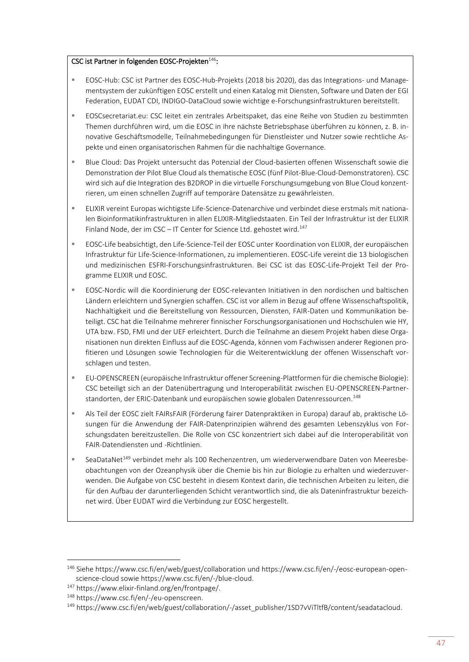#### CSC ist Partner in folgenden EOSC-Projekten<sup>146</sup>:

- EOSC-Hub: CSC ist Partner des EOSC-Hub-Projekts (2018 bis 2020), das das Integrations- und Managementsystem der zukünftigen EOSC erstellt und einen Katalog mit Diensten, Software und Daten der EGI Federation, EUDAT CDI, INDIGO-DataCloud sowie wichtige e-Forschungsinfrastrukturen bereitstellt.
- EOSCsecretariat.eu: CSC leitet ein zentrales Arbeitspaket, das eine Reihe von Studien zu bestimmten Themen durchführen wird, um die EOSC in ihre nächste Betriebsphase überführen zu können, z. B. innovative Geschäftsmodelle, Teilnahmebedingungen für Dienstleister und Nutzer sowie rechtliche Aspekte und einen organisatorischen Rahmen für die nachhaltige Governance.
- Blue Cloud: Das Projekt untersucht das Potenzial der Cloud-basierten offenen Wissenschaft sowie die Demonstration der Pilot Blue Cloud als thematische EOSC (fünf Pilot-Blue-Cloud-Demonstratoren). CSC wird sich auf die Integration des B2DROP in die virtuelle Forschungsumgebung von Blue Cloud konzentrieren, um einen schnellen Zugriff auf temporäre Datensätze zu gewährleisten.
- **ELIXIR vereint Europas wichtigste Life-Science-Datenarchive und verbindet diese erstmals mit nationa**len Bioinformatikinfrastrukturen in allen ELIXIR-Mitgliedstaaten. Ein Teil der Infrastruktur ist der ELIXIR Finland Node, der im CSC – IT Center for Science Ltd. gehostet wird.<sup>147</sup>
- EOSC-Life beabsichtigt, den Life-Science-Teil der EOSC unter Koordination von ELIXIR, der europäischen Infrastruktur für Life-Science-Informationen, zu implementieren. EOSC-Life vereint die 13 biologischen und medizinischen ESFRI-Forschungsinfrastrukturen. Bei CSC ist das EOSC-Life-Projekt Teil der Programme ELIXIR und EOSC.
- EOSC-Nordic will die Koordinierung der EOSC-relevanten Initiativen in den nordischen und baltischen Ländern erleichtern und Synergien schaffen. CSC ist vor allem in Bezug auf offene Wissenschaftspolitik, Nachhaltigkeit und die Bereitstellung von Ressourcen, Diensten, FAIR-Daten und Kommunikation beteiligt. CSC hat die Teilnahme mehrerer finnischer Forschungsorganisationen und Hochschulen wie HY, UTA bzw. FSD, FMI und der UEF erleichtert. Durch die Teilnahme an diesem Projekt haben diese Organisationen nun direkten Einfluss auf die EOSC-Agenda, können vom Fachwissen anderer Regionen profitieren und Lösungen sowie Technologien für die Weiterentwicklung der offenen Wissenschaft vorschlagen und testen.
- EU-OPENSCREEN (europäische Infrastruktur offener Screening-Plattformen für die chemische Biologie): CSC beteiligt sich an der Datenübertragung und Interoperabilität zwischen EU-OPENSCREEN-Partnerstandorten, der ERIC-Datenbank und europäischen sowie globalen Datenressourcen.<sup>148</sup>
- Als Teil der EOSC zielt FAIRsFAIR (Förderung fairer Datenpraktiken in Europa) darauf ab, praktische Lösungen für die Anwendung der FAIR-Datenprinzipien während des gesamten Lebenszyklus von Forschungsdaten bereitzustellen. Die Rolle von CSC konzentriert sich dabei auf die Interoperabilität von FAIR-Datendiensten und -Richtlinien.
- SeaDataNet<sup>149</sup> verbindet mehr als 100 Rechenzentren, um wiederverwendbare Daten von Meeresbeobachtungen von der Ozeanphysik über die Chemie bis hin zur Biologie zu erhalten und wiederzuverwenden. Die Aufgabe von CSC besteht in diesem Kontext darin, die technischen Arbeiten zu leiten, die für den Aufbau der darunterliegenden Schicht verantwortlich sind, die als Dateninfrastruktur bezeichnet wird. Über EUDAT wird die Verbindung zur EOSC hergestellt.

 $\overline{a}$ 

<sup>146</sup> Siehe<https://www.csc.fi/en/web/guest/collaboration> und [https://www.csc.fi/en/-/eosc-european-open](https://www.csc.fi/en/-/eosc-european-open-science-cloud)[science-cloud](https://www.csc.fi/en/-/eosc-european-open-science-cloud) sowie [https://www.csc.fi/en/-/blue-cloud.](https://www.csc.fi/en/-/blue-cloud)

<sup>147</sup> [https://www.elixir-finland.org/en/frontpage/.](https://www.elixir-finland.org/en/frontpage/)

<sup>148</sup> [https://www.csc.fi/en/-/eu-openscreen.](https://www.csc.fi/en/-/eu-openscreen)

<sup>149</sup> [https://www.csc.fi/en/web/guest/collaboration/-/asset\\_publisher/1SD7vViTltfB/content/seadatacloud.](https://www.csc.fi/en/web/guest/collaboration/-/asset_publisher/1SD7vViTltfB/content/seadatacloud)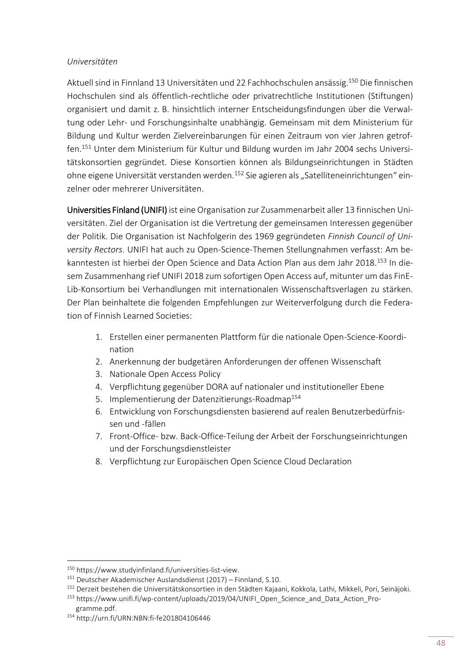#### *Universitäten*

Aktuell sind in Finnland 13 Universitäten und 22 Fachhochschulen ansässig.<sup>150</sup> Die finnischen Hochschulen sind als öffentlich-rechtliche oder privatrechtliche Institutionen (Stiftungen) organisiert und damit z. B. hinsichtlich interner Entscheidungsfindungen über die Verwaltung oder Lehr- und Forschungsinhalte unabhängig. Gemeinsam mit dem Ministerium für Bildung und Kultur werden Zielvereinbarungen für einen Zeitraum von vier Jahren getroffen.<sup>151</sup> Unter dem Ministerium für Kultur und Bildung wurden im Jahr 2004 sechs Universitätskonsortien gegründet. Diese Konsortien können als Bildungseinrichtungen in Städten ohne eigene Universität verstanden werden.<sup>152</sup> Sie agieren als "Satelliteneinrichtungen" einzelner oder mehrerer Universitäten.

Universities Finland (UNIFI) ist eine Organisation zur Zusammenarbeit aller 13 finnischen Universitäten. Ziel der Organisation ist die Vertretung der gemeinsamen Interessen gegenüber der Politik. Die Organisation ist Nachfolgerin des 1969 gegründeten *Finnish Council of University Rectors*. UNIFI hat auch zu Open-Science-Themen Stellungnahmen verfasst: Am bekanntesten ist hierbei der Open Science and Data Action Plan aus dem Jahr 2018.<sup>153</sup> In diesem Zusammenhang rief UNIFI 2018 zum sofortigen Open Access auf, mitunter um das FinE-Lib-Konsortium bei Verhandlungen mit internationalen Wissenschaftsverlagen zu stärken. Der Plan beinhaltete die folgenden Empfehlungen zur Weiterverfolgung durch die Federation of Finnish Learned Societies:

- 1. Erstellen einer permanenten Plattform für die nationale Open-Science-Koordination
- 2. Anerkennung der budgetären Anforderungen der offenen Wissenschaft
- 3. Nationale Open Access Policy
- 4. Verpflichtung gegenüber DORA auf nationaler und institutioneller Ebene
- 5. Implementierung der Datenzitierungs-Roadmap<sup>154</sup>
- 6. Entwicklung von Forschungsdiensten basierend auf realen Benutzerbedürfnissen und -fällen
- 7. Front-Office- bzw. Back-Office-Teilung der Arbeit der Forschungseinrichtungen und der Forschungsdienstleister
- 8. Verpflichtung zur Europäischen Open Science Cloud Declaration

<sup>150</sup> https://www.studyinfinland.fi/universities-list-view.

<sup>151</sup> Deutscher Akademischer Auslandsdienst (2017) – Finnland, S.10.

<sup>152</sup> Derzeit bestehen die Universitätskonsortien in den Städten Kajaani, Kokkola, Lathi, Mikkeli, Pori, Seinäjoki.

<sup>153</sup> [https://www.unifi.fi/wp-content/uploads/2019/04/UNIFI\\_Open\\_Science\\_and\\_Data\\_Action\\_Pro-](https://www.unifi.fi/wp-content/uploads/2019/04/UNIFI_Open_Science_and_Data_Action_Programme.pdf)

[gramme.pdf.](https://www.unifi.fi/wp-content/uploads/2019/04/UNIFI_Open_Science_and_Data_Action_Programme.pdf)

<sup>154</sup> <http://urn.fi/URN:NBN:fi-fe201804106446>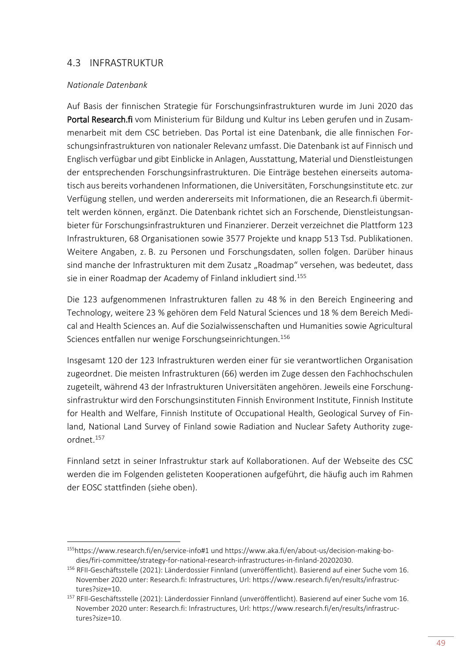## <span id="page-52-0"></span>4.3 INFRASTRUKTUR

#### *Nationale Datenbank*

**.** 

Auf Basis der finnischen Strategie für Forschungsinfrastrukturen wurde im Juni 2020 das Portal Research.fi vom Ministerium für Bildung und Kultur ins Leben gerufen und in Zusammenarbeit mit dem CSC betrieben. Das Portal ist eine Datenbank, die alle finnischen Forschungsinfrastrukturen von nationaler Relevanz umfasst. Die Datenbank ist auf Finnisch und Englisch verfügbar und gibt Einblicke in Anlagen, Ausstattung, Material und Dienstleistungen der entsprechenden Forschungsinfrastrukturen. Die Einträge bestehen einerseits automatisch aus bereits vorhandenen Informationen, die Universitäten, Forschungsinstitute etc. zur Verfügung stellen, und werden andererseits mit Informationen, die an Research.fi übermittelt werden können, ergänzt. Die Datenbank richtet sich an Forschende, Dienstleistungsanbieter für Forschungsinfrastrukturen und Finanzierer. Derzeit verzeichnet die Plattform 123 Infrastrukturen, 68 Organisationen sowie 3577 Projekte und knapp 513 Tsd. Publikationen. Weitere Angaben, z. B. zu Personen und Forschungsdaten, sollen folgen. Darüber hinaus sind manche der Infrastrukturen mit dem Zusatz "Roadmap" versehen, was bedeutet, dass sie in einer Roadmap der Academy of Finland inkludiert sind.<sup>155</sup>

Die 123 aufgenommenen Infrastrukturen fallen zu 48 % in den Bereich Engineering and Technology, weitere 23 % gehören dem Feld Natural Sciences und 18 % dem Bereich Medical and Health Sciences an. Auf die Sozialwissenschaften und Humanities sowie Agricultural Sciences entfallen nur wenige Forschungseinrichtungen.<sup>156</sup>

Insgesamt 120 der 123 Infrastrukturen werden einer für sie verantwortlichen Organisation zugeordnet. Die meisten Infrastrukturen (66) werden im Zuge dessen den Fachhochschulen zugeteilt, während 43 der Infrastrukturen Universitäten angehören. Jeweils eine Forschungsinfrastruktur wird den Forschungsinstituten Finnish Environment Institute, Finnish Institute for Health and Welfare, Finnish Institute of Occupational Health, Geological Survey of Finland, National Land Survey of Finland sowie Radiation and Nuclear Safety Authority zugeordnet.<sup>157</sup>

Finnland setzt in seiner Infrastruktur stark auf Kollaborationen. Auf der Webseite des CSC werden die im Folgenden gelisteten Kooperationen aufgeführt, die häufig auch im Rahmen der EOSC stattfinden (siehe oben).

<sup>155</sup><https://www.research.fi/en/service-info#1> und [https://www.aka.fi/en/about-us/decision-making-bo](https://www.aka.fi/en/about-us/decision-making-bodies/firi-committee/strategy-for-national-research-infrastructures-in-finland-20202030)[dies/firi-committee/strategy-for-national-research-infrastructures-in-finland-20202030.](https://www.aka.fi/en/about-us/decision-making-bodies/firi-committee/strategy-for-national-research-infrastructures-in-finland-20202030)

<sup>156</sup> RFII-Geschäftsstelle (2021): Länderdossier Finnland (unveröffentlicht). Basierend auf einer Suche vom 16. November 2020 unter: Research.fi: Infrastructures, Url: https://www.research.fi/en/results/infrastructures?size=10.

<sup>&</sup>lt;sup>157</sup> RFII-Geschäftsstelle (2021): Länderdossier Finnland (unveröffentlicht). Basierend auf einer Suche vom 16. November 2020 unter: Research.fi: Infrastructures, Url: https://www.research.fi/en/results/infrastructures?size=10.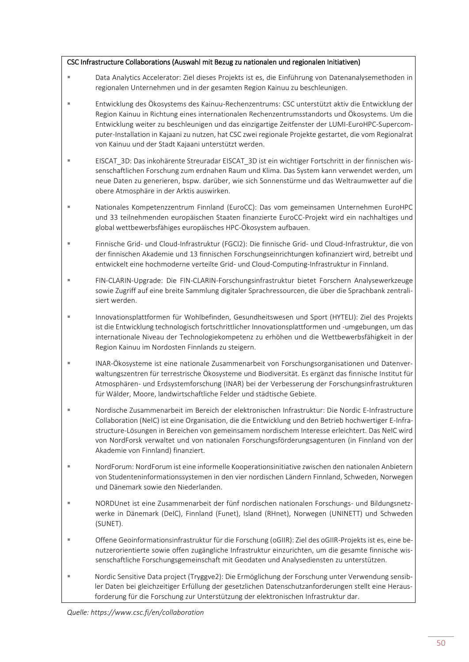#### CSC Infrastructure Collaborations (Auswahl mit Bezug zu nationalen und regionalen Initiativen)

- Data Analytics Accelerator: Ziel dieses Projekts ist es, die Einführung von Datenanalysemethoden in regionalen Unternehmen und in der gesamten Region Kainuu zu beschleunigen.
- Entwicklung des Ökosystems des Kainuu-Rechenzentrums: CSC unterstützt aktiv die Entwicklung der Region Kainuu in Richtung eines internationalen Rechenzentrumsstandorts und Ökosystems. Um die Entwicklung weiter zu beschleunigen und das einzigartige Zeitfenster der LUMI-EuroHPC-Supercomputer-Installation in Kajaani zu nutzen, hat CSC zwei regionale Projekte gestartet, die vom Regionalrat von Kainuu und der Stadt Kajaani unterstützt werden.
- **EISCAT\_3D: Das inkohärente Streuradar EISCAT\_3D ist ein wichtiger Fortschritt in der finnischen wis**senschaftlichen Forschung zum erdnahen Raum und Klima. Das System kann verwendet werden, um neue Daten zu generieren, bspw. darüber, wie sich Sonnenstürme und das Weltraumwetter auf die obere Atmosphäre in der Arktis auswirken.
- Nationales Kompetenzzentrum Finnland (EuroCC): Das vom gemeinsamen Unternehmen EuroHPC und 33 teilnehmenden europäischen Staaten finanzierte EuroCC-Projekt wird ein nachhaltiges und global wettbewerbsfähiges europäisches HPC-Ökosystem aufbauen.
- Finnische Grid- und Cloud-Infrastruktur (FGCI2): Die finnische Grid- und Cloud-Infrastruktur, die von der finnischen Akademie und 13 finnischen Forschungseinrichtungen kofinanziert wird, betreibt und entwickelt eine hochmoderne verteilte Grid- und Cloud-Computing-Infrastruktur in Finnland.
- FIN-CLARIN-Upgrade: Die FIN-CLARIN-Forschungsinfrastruktur bietet Forschern Analysewerkzeuge sowie Zugriff auf eine breite Sammlung digitaler Sprachressourcen, die über die Sprachbank zentralisiert werden.
- Innovationsplattformen für Wohlbefinden, Gesundheitswesen und Sport (HYTELI): Ziel des Projekts ist die Entwicklung technologisch fortschrittlicher Innovationsplattformen und -umgebungen, um das internationale Niveau der Technologiekompetenz zu erhöhen und die Wettbewerbsfähigkeit in der Region Kainuu im Nordosten Finnlands zu steigern.
- INAR-Ökosysteme ist eine nationale Zusammenarbeit von Forschungsorganisationen und Datenverwaltungszentren für terrestrische Ökosysteme und Biodiversität. Es ergänzt das finnische Institut für Atmosphären- und Erdsystemforschung (INAR) bei der Verbesserung der Forschungsinfrastrukturen für Wälder, Moore, landwirtschaftliche Felder und städtische Gebiete.
- Nordische Zusammenarbeit im Bereich der elektronischen Infrastruktur: Die Nordic E-Infrastructure Collaboration (NeIC) ist eine Organisation, die die Entwicklung und den Betrieb hochwertiger E-Infrastructure-Lösungen in Bereichen von gemeinsamem nordischem Interesse erleichtert. Das NeIC wird von NordForsk verwaltet und von nationalen Forschungsförderungsagenturen (in Finnland von der Akademie von Finnland) finanziert.
- NordForum: NordForum ist eine informelle Kooperationsinitiative zwischen den nationalen Anbietern von Studenteninformationssystemen in den vier nordischen Ländern Finnland, Schweden, Norwegen und Dänemark sowie den Niederlanden.
- NORDUnet ist eine Zusammenarbeit der fünf nordischen nationalen Forschungs- und Bildungsnetzwerke in Dänemark (DeIC), Finnland (Funet), Island (RHnet), Norwegen (UNINETT) und Schweden (SUNET).
- Offene Geoinformationsinfrastruktur für die Forschung (oGIIR): Ziel des oGIIR-Projekts ist es, eine benutzerorientierte sowie offen zugängliche Infrastruktur einzurichten, um die gesamte finnische wissenschaftliche Forschungsgemeinschaft mit Geodaten und Analysediensten zu unterstützen.
- Nordic Sensitive Data project (Tryggve2): Die Ermöglichung der Forschung unter Verwendung sensibler Daten bei gleichzeitiger Erfüllung der gesetzlichen Datenschutzanforderungen stellt eine Herausforderung für die Forschung zur Unterstützung der elektronischen Infrastruktur dar.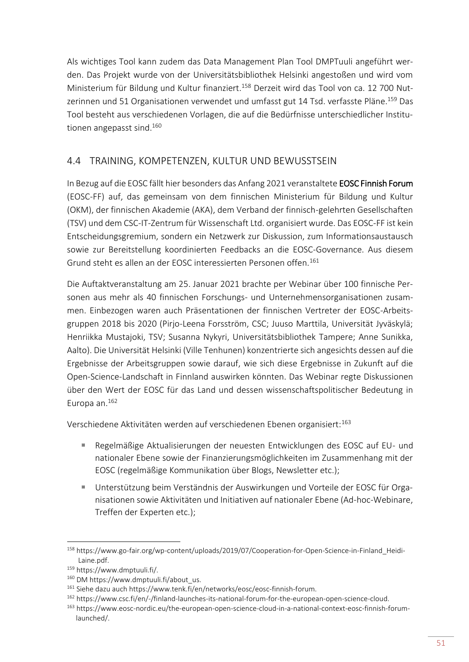Als wichtiges Tool kann zudem das Data Management Plan Tool DMPTuuli angeführt werden. Das Projekt wurde von der Universitätsbibliothek Helsinki angestoßen und wird vom Ministerium für Bildung und Kultur finanziert.<sup>158</sup> Derzeit wird das Tool von ca. 12 700 Nutzerinnen und 51 Organisationen verwendet und umfasst gut 14 Tsd. verfasste Pläne.<sup>159</sup> Das Tool besteht aus verschiedenen Vorlagen, die auf die Bedürfnisse unterschiedlicher Institutionen angepasst sind.<sup>160</sup>

# <span id="page-54-0"></span>4.4 TRAINING, KOMPETENZEN, KULTUR UND BEWUSSTSEIN

In Bezug auf die EOSC fällt hier besonders das Anfang 2021 veranstaltete EOSC Finnish Forum (EOSC-FF) auf, das gemeinsam von dem finnischen Ministerium für Bildung und Kultur (OKM), der finnischen Akademie (AKA), dem Verband der finnisch-gelehrten Gesellschaften (TSV) und dem CSC-IT-Zentrum für Wissenschaft Ltd. organisiert wurde. Das EOSC-FF ist kein Entscheidungsgremium, sondern ein Netzwerk zur Diskussion, zum Informationsaustausch sowie zur Bereitstellung koordinierten Feedbacks an die EOSC-Governance. Aus diesem Grund steht es allen an der EOSC interessierten Personen offen.<sup>161</sup>

Die Auftaktveranstaltung am 25. Januar 2021 brachte per Webinar über 100 finnische Personen aus mehr als 40 finnischen Forschungs- und Unternehmensorganisationen zusammen. Einbezogen waren auch Präsentationen der finnischen Vertreter der EOSC-Arbeitsgruppen 2018 bis 2020 (Pirjo-Leena Forsström, CSC; Juuso Marttila, Universität Jyväskylä; Henriikka Mustajoki, TSV; Susanna Nykyri, Universitätsbibliothek Tampere; Anne Sunikka, Aalto). Die Universität Helsinki (Ville Tenhunen) konzentrierte sich angesichts dessen auf die Ergebnisse der Arbeitsgruppen sowie darauf, wie sich diese Ergebnisse in Zukunft auf die Open-Science-Landschaft in Finnland auswirken könnten. Das Webinar regte Diskussionen über den Wert der EOSC für das Land und dessen wissenschaftspolitischer Bedeutung in Europa an.<sup>162</sup>

Verschiedene Aktivitäten werden auf verschiedenen Ebenen organisiert:<sup>163</sup>

- Regelmäßige Aktualisierungen der neuesten Entwicklungen des EOSC auf EU- und nationaler Ebene sowie der Finanzierungsmöglichkeiten im Zusammenhang mit der EOSC (regelmäßige Kommunikation über Blogs, Newsletter etc.);
- Unterstützung beim Verständnis der Auswirkungen und Vorteile der EOSC für Organisationen sowie Aktivitäten und Initiativen auf nationaler Ebene (Ad-hoc-Webinare, Treffen der Experten etc.);

<sup>158</sup> [https://www.go-fair.org/wp-content/uploads/2019/07/Cooperation-for-Open-Science-in-Finland\\_Heidi-](https://www.go-fair.org/wp-content/uploads/2019/07/Cooperation-for-Open-Science-in-Finland_Heidi-Laine.pdf)[Laine.pdf.](https://www.go-fair.org/wp-content/uploads/2019/07/Cooperation-for-Open-Science-in-Finland_Heidi-Laine.pdf)

<sup>159</sup> https://www.dmptuuli.fi/.

<sup>160</sup> DM https://www.dmptuuli.fi/about\_us.

<sup>161</sup> Siehe dazu auch [https://www.tenk.fi/en/networks/eosc/eosc-finnish-forum.](https://www.tenk.fi/en/networks/eosc/eosc-finnish-forum)

<sup>162</sup> [https://www.csc.fi/en/-/finland-launches-its-national-forum-for-the-european-open-science-cloud.](https://www.csc.fi/en/-/finland-launches-its-national-forum-for-the-european-open-science-cloud)

<sup>163</sup> [https://www.eosc-nordic.eu/the-european-open-science-cloud-in-a-national-context-eosc-finnish-forum](https://www.eosc-nordic.eu/the-european-open-science-cloud-in-a-national-context-eosc-finnish-forum-launched/)[launched/.](https://www.eosc-nordic.eu/the-european-open-science-cloud-in-a-national-context-eosc-finnish-forum-launched/)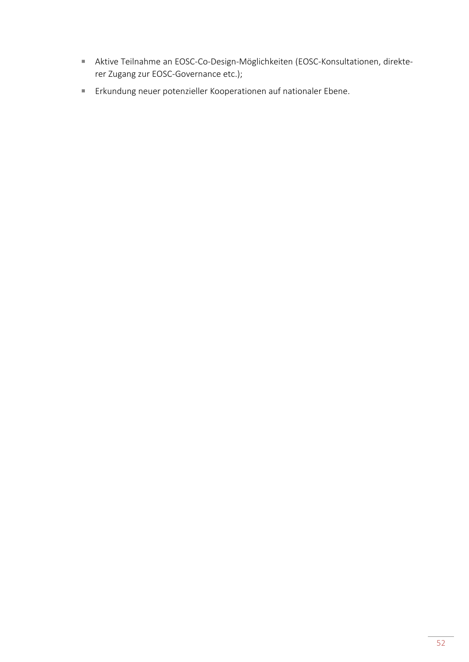- Aktive Teilnahme an EOSC-Co-Design-Möglichkeiten (EOSC-Konsultationen, direkterer Zugang zur EOSC-Governance etc.);
- Erkundung neuer potenzieller Kooperationen auf nationaler Ebene.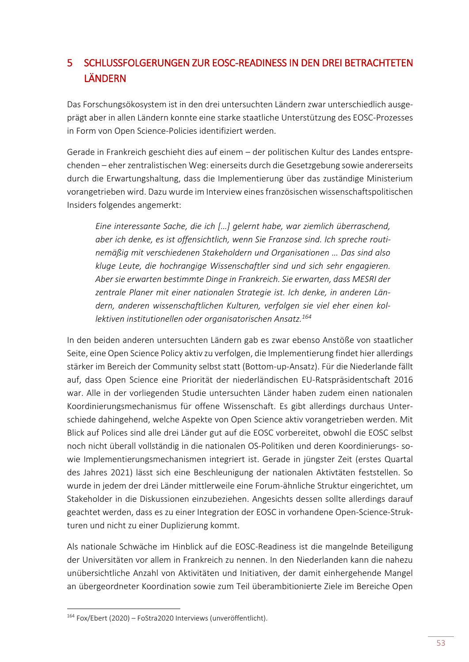# <span id="page-56-0"></span>5 SCHLUSSFOLGERUNGEN ZUR EOSC-READINESS IN DEN DREI BETRACHTETEN LÄNDERN

Das Forschungsökosystem ist in den drei untersuchten Ländern zwar unterschiedlich ausgeprägt aber in allen Ländern konnte eine starke staatliche Unterstützung des EOSC-Prozesses in Form von Open Science-Policies identifiziert werden.

Gerade in Frankreich geschieht dies auf einem – der politischen Kultur des Landes entsprechenden – eher zentralistischen Weg: einerseits durch die Gesetzgebung sowie andererseits durch die Erwartungshaltung, dass die Implementierung über das zuständige Ministerium vorangetrieben wird. Dazu wurde im Interview eines französischen wissenschaftspolitischen Insiders folgendes angemerkt:

*Eine interessante Sache, die ich […] gelernt habe, war ziemlich überraschend, aber ich denke, es ist offensichtlich, wenn Sie Franzose sind. Ich spreche routinemäßig mit verschiedenen Stakeholdern und Organisationen … Das sind also kluge Leute, die hochrangige Wissenschaftler sind und sich sehr engagieren. Aber sie erwarten bestimmte Dinge in Frankreich. Sie erwarten, dass MESRI der zentrale Planer mit einer nationalen Strategie ist. Ich denke, in anderen Ländern, anderen wissenschaftlichen Kulturen, verfolgen sie viel eher einen kollektiven institutionellen oder organisatorischen Ansatz.<sup>164</sup>*

In den beiden anderen untersuchten Ländern gab es zwar ebenso Anstöße von staatlicher Seite, eine Open Science Policy aktiv zu verfolgen, die Implementierung findet hier allerdings stärker im Bereich der Community selbst statt (Bottom-up-Ansatz). Für die Niederlande fällt auf, dass Open Science eine Priorität der niederländischen EU-Ratspräsidentschaft 2016 war. Alle in der vorliegenden Studie untersuchten Länder haben zudem einen nationalen Koordinierungsmechanismus für offene Wissenschaft. Es gibt allerdings durchaus Unterschiede dahingehend, welche Aspekte von Open Science aktiv vorangetrieben werden. Mit Blick auf Polices sind alle drei Länder gut auf die EOSC vorbereitet, obwohl die EOSC selbst noch nicht überall vollständig in die nationalen OS-Politiken und deren Koordinierungs- sowie Implementierungsmechanismen integriert ist. Gerade in jüngster Zeit (erstes Quartal des Jahres 2021) lässt sich eine Beschleunigung der nationalen Aktivtäten feststellen. So wurde in jedem der drei Länder mittlerweile eine Forum-ähnliche Struktur eingerichtet, um Stakeholder in die Diskussionen einzubeziehen. Angesichts dessen sollte allerdings darauf geachtet werden, dass es zu einer Integration der EOSC in vorhandene Open-Science-Strukturen und nicht zu einer Duplizierung kommt.

Als nationale Schwäche im Hinblick auf die EOSC-Readiness ist die mangelnde Beteiligung der Universitäten vor allem in Frankreich zu nennen. In den Niederlanden kann die nahezu unübersichtliche Anzahl von Aktivitäten und Initiativen, der damit einhergehende Mangel an übergeordneter Koordination sowie zum Teil überambitionierte Ziele im Bereiche Open

<sup>164</sup> Fox/Ebert (2020) – FoStra2020 Interviews (unveröffentlicht).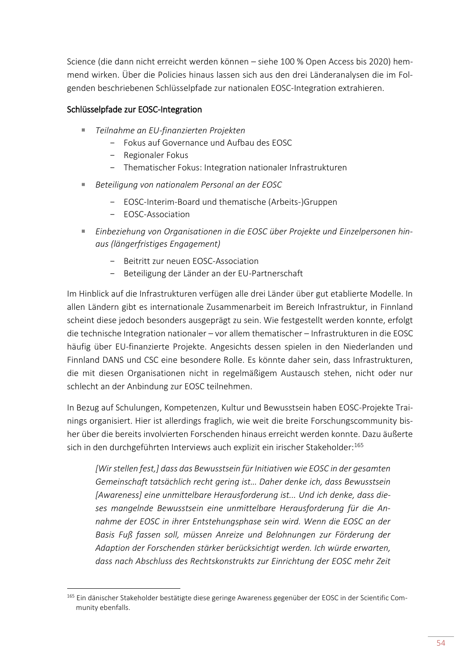Science (die dann nicht erreicht werden können – siehe 100 % Open Access bis 2020) hemmend wirken. Über die Policies hinaus lassen sich aus den drei Länderanalysen die im Folgenden beschriebenen Schlüsselpfade zur nationalen EOSC-Integration extrahieren.

## Schlüsselpfade zur EOSC-Integration

- *Teilnahme an EU-finanzierten Projekten*
	- Fokus auf Governance und Aufbau des EOSC
	- Regionaler Fokus
	- Thematischer Fokus: Integration nationaler Infrastrukturen
- *Beteiligung von nationalem Personal an der EOSC* 
	- EOSC-Interim-Board und thematische (Arbeits-)Gruppen
	- EOSC-Association

**.** 

- Einbeziehung von Organisationen in die EOSC über Projekte und Einzelpersonen hin*aus (längerfristiges Engagement)*
	- Beitritt zur neuen EOSC-Association
	- Beteiligung der Länder an der EU-Partnerschaft

Im Hinblick auf die Infrastrukturen verfügen alle drei Länder über gut etablierte Modelle. In allen Ländern gibt es internationale Zusammenarbeit im Bereich Infrastruktur, in Finnland scheint diese jedoch besonders ausgeprägt zu sein. Wie festgestellt werden konnte, erfolgt die technische Integration nationaler – vor allem thematischer – Infrastrukturen in die EOSC häufig über EU-finanzierte Projekte. Angesichts dessen spielen in den Niederlanden und Finnland DANS und CSC eine besondere Rolle. Es könnte daher sein, dass Infrastrukturen, die mit diesen Organisationen nicht in regelmäßigem Austausch stehen, nicht oder nur schlecht an der Anbindung zur EOSC teilnehmen.

In Bezug auf Schulungen, Kompetenzen, Kultur und Bewusstsein haben EOSC-Projekte Trainings organisiert. Hier ist allerdings fraglich, wie weit die breite Forschungscommunity bisher über die bereits involvierten Forschenden hinaus erreicht werden konnte. Dazu äußerte sich in den durchgeführten Interviews auch explizit ein irischer Stakeholder:165

*[Wir stellen fest,] dass das Bewusstsein für Initiativen wie EOSC in der gesamten Gemeinschaft tatsächlich recht gering ist… Daher denke ich, dass Bewusstsein [Awareness] eine unmittelbare Herausforderung ist... Und ich denke, dass dieses mangelnde Bewusstsein eine unmittelbare Herausforderung für die Annahme der EOSC in ihrer Entstehungsphase sein wird. Wenn die EOSC an der Basis Fuß fassen soll, müssen Anreize und Belohnungen zur Förderung der Adaption der Forschenden stärker berücksichtigt werden. Ich würde erwarten, dass nach Abschluss des Rechtskonstrukts zur Einrichtung der EOSC mehr Zeit* 

<sup>165</sup> Ein dänischer Stakeholder bestätigte diese geringe Awareness gegenüber der EOSC in der Scientific Community ebenfalls.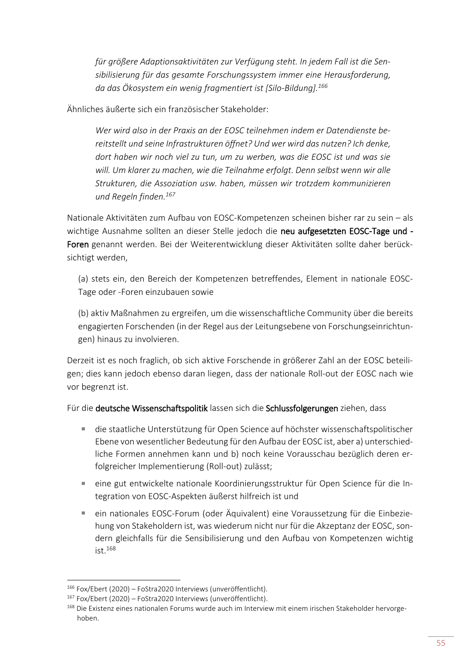*für größere Adaptionsaktivitäten zur Verfügung steht. In jedem Fall ist die Sensibilisierung für das gesamte Forschungssystem immer eine Herausforderung, da das Ökosystem ein wenig fragmentiert ist [Silo-Bildung].<sup>166</sup>*

Ähnliches äußerte sich ein französischer Stakeholder:

*Wer wird also in der Praxis an der EOSC teilnehmen indem er Datendienste bereitstellt und seine Infrastrukturen öffnet? Und wer wird das nutzen? Ich denke, dort haben wir noch viel zu tun, um zu werben, was die EOSC ist und was sie will. Um klarer zu machen, wie die Teilnahme erfolgt. Denn selbst wenn wir alle Strukturen, die Assoziation usw. haben, müssen wir trotzdem kommunizieren und Regeln finden.<sup>167</sup>*

Nationale Aktivitäten zum Aufbau von EOSC-Kompetenzen scheinen bisher rar zu sein – als wichtige Ausnahme sollten an dieser Stelle jedoch die neu aufgesetzten EOSC-Tage und -Foren genannt werden. Bei der Weiterentwicklung dieser Aktivitäten sollte daher berücksichtigt werden,

(a) stets ein, den Bereich der Kompetenzen betreffendes, Element in nationale EOSC-Tage oder -Foren einzubauen sowie

(b) aktiv Maßnahmen zu ergreifen, um die wissenschaftliche Community über die bereits engagierten Forschenden (in der Regel aus der Leitungsebene von Forschungseinrichtungen) hinaus zu involvieren.

Derzeit ist es noch fraglich, ob sich aktive Forschende in größerer Zahl an der EOSC beteiligen; dies kann jedoch ebenso daran liegen, dass der nationale Roll-out der EOSC nach wie vor begrenzt ist.

Für die deutsche Wissenschaftspolitik lassen sich die Schlussfolgerungen ziehen, dass

- die staatliche Unterstützung für Open Science auf höchster wissenschaftspolitischer Ebene von wesentlicher Bedeutung für den Aufbau der EOSC ist, aber a) unterschiedliche Formen annehmen kann und b) noch keine Vorausschau bezüglich deren erfolgreicher Implementierung (Roll-out) zulässt;
- eine gut entwickelte nationale Koordinierungsstruktur für Open Science für die Integration von EOSC-Aspekten äußerst hilfreich ist und
- ein nationales EOSC-Forum (oder Äquivalent) eine Voraussetzung für die Einbeziehung von Stakeholdern ist, was wiederum nicht nur für die Akzeptanz der EOSC, sondern gleichfalls für die Sensibilisierung und den Aufbau von Kompetenzen wichtig ist.<sup>168</sup>

<sup>166</sup> Fox/Ebert (2020) – FoStra2020 Interviews (unveröffentlicht).

<sup>167</sup> Fox/Ebert (2020) – FoStra2020 Interviews (unveröffentlicht).

<sup>168</sup> Die Existenz eines nationalen Forums wurde auch im Interview mit einem irischen Stakeholder hervorgehoben.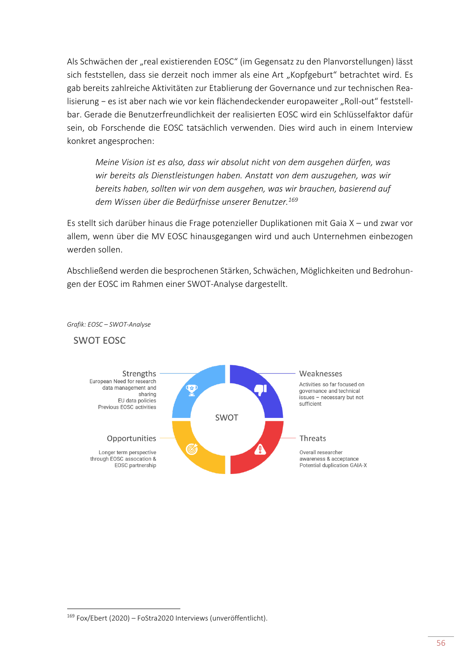Als Schwächen der "real existierenden EOSC" (im Gegensatz zu den Planvorstellungen) lässt sich feststellen, dass sie derzeit noch immer als eine Art "Kopfgeburt" betrachtet wird. Es gab bereits zahlreiche Aktivitäten zur Etablierung der Governance und zur technischen Realisierung − es ist aber nach wie vor kein flächendeckender europaweiter "Roll-out" feststellbar. Gerade die Benutzerfreundlichkeit der realisierten EOSC wird ein Schlüsselfaktor dafür sein, ob Forschende die EOSC tatsächlich verwenden. Dies wird auch in einem Interview konkret angesprochen:

*Meine Vision ist es also, dass wir absolut nicht von dem ausgehen dürfen, was wir bereits als Dienstleistungen haben. Anstatt von dem auszugehen, was wir bereits haben, sollten wir von dem ausgehen, was wir brauchen, basierend auf dem Wissen über die Bedürfnisse unserer Benutzer.<sup>169</sup>*

Es stellt sich darüber hinaus die Frage potenzieller Duplikationen mit Gaia X – und zwar vor allem, wenn über die MV EOSC hinausgegangen wird und auch Unternehmen einbezogen werden sollen.

Abschließend werden die besprochenen Stärken, Schwächen, Möglichkeiten und Bedrohungen der EOSC im Rahmen einer SWOT-Analyse dargestellt.



*Grafik: EOSC – SWOT-Analyse*

**SWOT EOSC** 

<sup>169</sup> Fox/Ebert (2020) – FoStra2020 Interviews (unveröffentlicht).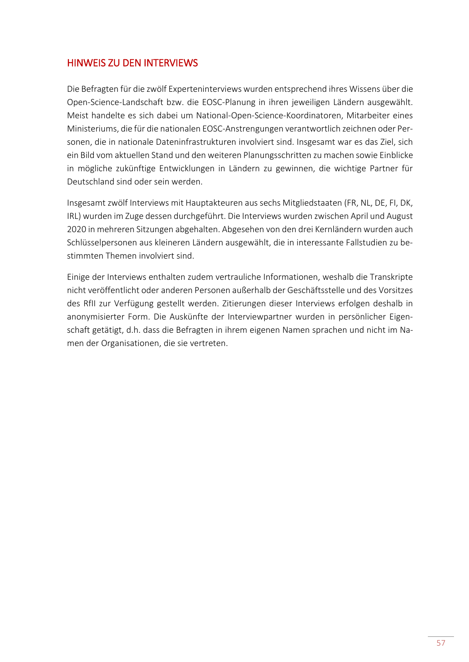# <span id="page-60-0"></span>HINWEIS ZU DEN INTERVIEWS

Die Befragten für die zwölf Experteninterviews wurden entsprechend ihres Wissens über die Open-Science-Landschaft bzw. die EOSC-Planung in ihren jeweiligen Ländern ausgewählt. Meist handelte es sich dabei um National-Open-Science-Koordinatoren, Mitarbeiter eines Ministeriums, die für die nationalen EOSC-Anstrengungen verantwortlich zeichnen oder Personen, die in nationale Dateninfrastrukturen involviert sind. Insgesamt war es das Ziel, sich ein Bild vom aktuellen Stand und den weiteren Planungsschritten zu machen sowie Einblicke in mögliche zukünftige Entwicklungen in Ländern zu gewinnen, die wichtige Partner für Deutschland sind oder sein werden.

Insgesamt zwölf Interviews mit Hauptakteuren aus sechs Mitgliedstaaten (FR, NL, DE, FI, DK, IRL) wurden im Zuge dessen durchgeführt. Die Interviews wurden zwischen April und August 2020 in mehreren Sitzungen abgehalten. Abgesehen von den drei Kernländern wurden auch Schlüsselpersonen aus kleineren Ländern ausgewählt, die in interessante Fallstudien zu bestimmten Themen involviert sind.

Einige der Interviews enthalten zudem vertrauliche Informationen, weshalb die Transkripte nicht veröffentlicht oder anderen Personen außerhalb der Geschäftsstelle und des Vorsitzes des RfII zur Verfügung gestellt werden. Zitierungen dieser Interviews erfolgen deshalb in anonymisierter Form. Die Auskünfte der Interviewpartner wurden in persönlicher Eigenschaft getätigt, d.h. dass die Befragten in ihrem eigenen Namen sprachen und nicht im Namen der Organisationen, die sie vertreten.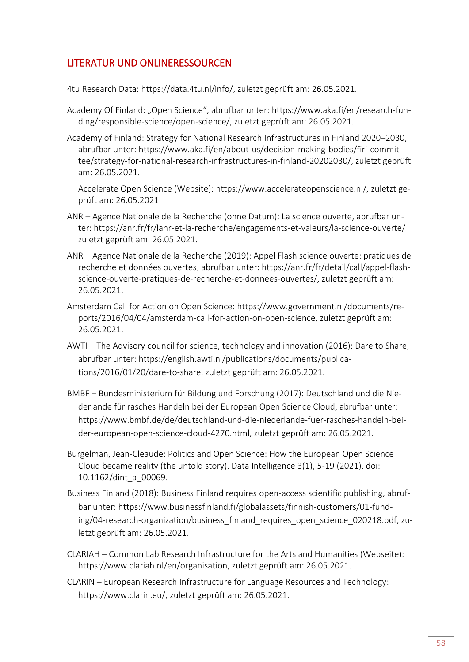# <span id="page-61-0"></span>LITERATUR UND ONLINERESSOURCEN

4tu Research Data: [https://data.4tu.nl/info/,](https://data.4tu.nl/info/) zuletzt geprüft am: 26.05.2021.

- Academy Of Finland: "Open Science", abrufbar unter: [https://www.aka.fi/en/research-fun](https://www.aka.fi/en/research-funding/responsible-science/open-science/)[ding/responsible-science/open-science/,](https://www.aka.fi/en/research-funding/responsible-science/open-science/) zuletzt geprüft am: 26.05.2021.
- Academy of Finland: Strategy for National Research Infrastructures in Finland 2020–2030, abrufbar unter: [https://www.aka.fi/en/about-us/decision-making-bodies/firi-commit](https://www.aka.fi/en/about-us/decision-making-bodies/firi-committee/strategy-for-national-research-infrastructures-in-finland-20202030/)[tee/strategy-for-national-research-infrastructures-in-finland-20202030/,](https://www.aka.fi/en/about-us/decision-making-bodies/firi-committee/strategy-for-national-research-infrastructures-in-finland-20202030/) zuletzt geprüft am: 26.05.2021.

Accelerate Open Science (Website): [https://www.accelerateopenscience.nl/,](https://www.accelerateopenscience.nl/) zuletzt geprüft am: 26.05.2021.

- ANR Agence Nationale de la Recherche (ohne Datum): La science ouverte, abrufbar unter: <https://anr.fr/fr/lanr-et-la-recherche/engagements-et-valeurs/la-science-ouverte/> zuletzt geprüft am: 26.05.2021.
- ANR Agence Nationale de la Recherche (2019): Appel Flash science ouverte: pratiques de recherche et données ouvertes, abrufbar unter: [https://anr.fr/fr/detail/call/appel-flash](https://anr.fr/fr/detail/call/appel-flash-science-ouverte-pratiques-de-recherche-et-donnees-ouvertes/)[science-ouverte-pratiques-de-recherche-et-donnees-ouvertes/,](https://anr.fr/fr/detail/call/appel-flash-science-ouverte-pratiques-de-recherche-et-donnees-ouvertes/) zuletzt geprüft am: 26.05.2021.
- Amsterdam Call for Action on Open Science: [https://www.government.nl/documents/re](https://www.government.nl/documents/reports/2016/04/04/amsterdam-call-for-action-on-open-science)[ports/2016/04/04/amsterdam-call-for-action-on-open-science,](https://www.government.nl/documents/reports/2016/04/04/amsterdam-call-for-action-on-open-science) zuletzt geprüft am: 26.05.2021.
- AWTI The Advisory council for science, technology and innovation (2016): Dare to Share, abrufbar unter: [https://english.awti.nl/publications/documents/publica](https://english.awti.nl/publications/documents/publications/2016/01/20/dare-to-share)[tions/2016/01/20/dare-to-share,](https://english.awti.nl/publications/documents/publications/2016/01/20/dare-to-share) zuletzt geprüft am: 26.05.2021.
- BMBF Bundesministerium für Bildung und Forschung (2017): Deutschland und die Niederlande für rasches Handeln bei der European Open Science Cloud, abrufbar unter: [https://www.bmbf.de/de/deutschland-und-die-niederlande-fuer-rasches-handeln-bei](https://www.bmbf.de/de/deutschland-und-die-niederlande-fuer-rasches-handeln-bei-der-european-open-science-cloud-4270.html)[der-european-open-science-cloud-4270.html,](https://www.bmbf.de/de/deutschland-und-die-niederlande-fuer-rasches-handeln-bei-der-european-open-science-cloud-4270.html) zuletzt geprüft am: 26.05.2021.
- Burgelman, Jean-Cleaude: Politics and Open Science: How the European Open Science Cloud became reality (the untold story). Data Intelligence 3(1), 5-19 (2021). doi: 10.1162/dint\_a\_00069.
- Business Finland (2018): Business Finland requires open-access scientific publishing, abrufbar unter: [https://www.businessfinland.fi/globalassets/finnish-customers/01-fund](https://www.businessfinland.fi/globalassets/finnish-customers/01-funding/04-research-organization/business_finland_requires_open_science_020218.pdf)[ing/04-research-organization/business\\_finland\\_requires\\_open\\_science\\_020218.pdf,](https://www.businessfinland.fi/globalassets/finnish-customers/01-funding/04-research-organization/business_finland_requires_open_science_020218.pdf) zuletzt geprüft am: 26.05.2021.
- CLARIAH Common Lab Research Infrastructure for the Arts and Humanities (Webseite): [https://www.clariah.nl/en/organisation,](https://www.clariah.nl/en/organisation) zuletzt geprüft am: 26.05.2021.
- CLARIN European Research Infrastructure for Language Resources and Technology: [https://www.clarin.eu/,](https://www.clarin.eu/) zuletzt geprüft am: 26.05.2021.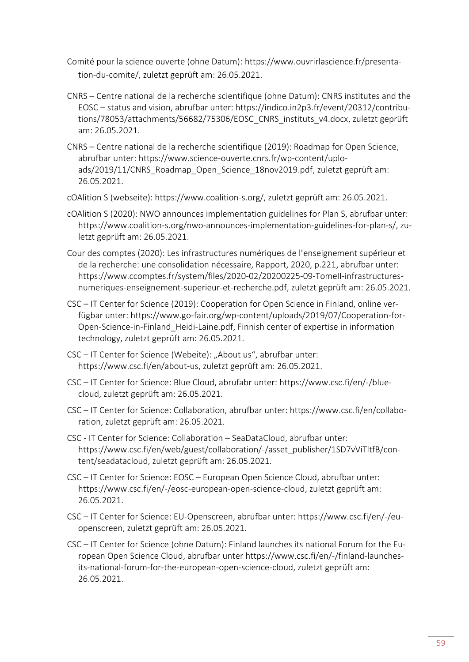- Comité pour la science ouverte (ohne Datum): [https://www.ouvrirlascience.fr/presenta](https://www.ouvrirlascience.fr/presentation-du-comite/)[tion-du-comite/,](https://www.ouvrirlascience.fr/presentation-du-comite/) zuletzt geprüft am: 26.05.2021.
- CNRS Centre national de la recherche scientifique (ohne Datum): CNRS institutes and the EOSC – status and vision, abrufbar unter: [https://indico.in2p3.fr/event/20312/contribu](https://indico.in2p3.fr/event/20312/contributions/78053/attachments/56682/75306/EOSC_CNRS_instituts_v4.docx)[tions/78053/attachments/56682/75306/EOSC\\_CNRS\\_instituts\\_v4.docx,](https://indico.in2p3.fr/event/20312/contributions/78053/attachments/56682/75306/EOSC_CNRS_instituts_v4.docx) zuletzt geprüft am: 26.05.2021.
- CNRS Centre national de la recherche scientifique (2019): Roadmap for Open Science, abrufbar unter: [https://www.science-ouverte.cnrs.fr/wp-content/uplo](https://www.science-ouverte.cnrs.fr/wp-content/uploads/2019/11/CNRS_Roadmap_Open_Science_18nov2019.pdf)[ads/2019/11/CNRS\\_Roadmap\\_Open\\_Science\\_18nov2019.pdf,](https://www.science-ouverte.cnrs.fr/wp-content/uploads/2019/11/CNRS_Roadmap_Open_Science_18nov2019.pdf) zuletzt geprüft am: 26.05.2021.
- cOAlition S (webseite): [https://www.coalition-s.org/,](https://www.coalition-s.org/) zuletzt geprüft am: 26.05.2021.
- cOAlition S (2020): NWO announces implementation guidelines for Plan S, abrufbar unter: [https://www.coalition-s.org/nwo-announces-implementation-guidelines-for-plan-s/,](https://www.coalition-s.org/nwo-announces-implementation-guidelines-for-plan-s/) zuletzt geprüft am: 26.05.2021.
- Cour des comptes (2020): Les infrastructures numériques de l'enseignement supérieur et de la recherche: une consolidation nécessaire, Rapport, 2020, p.221, abrufbar unter: [https://www.ccomptes.fr/system/files/2020-02/20200225-09-TomeII-infrastructures](https://www.ccomptes.fr/system/files/2020-02/20200225-09-TomeII-infrastructures-numeriques-enseignement-superieur-et-recherche.pdf)[numeriques-enseignement-superieur-et-recherche.pdf,](https://www.ccomptes.fr/system/files/2020-02/20200225-09-TomeII-infrastructures-numeriques-enseignement-superieur-et-recherche.pdf) zuletzt geprüft am: 26.05.2021.
- CSC IT Center for Science (2019): Cooperation for Open Science in Finland, online verfügbar unter: [https://www.go-fair.org/wp-content/uploads/2019/07/Cooperation-for-](https://www.go-fair.org/wp-content/uploads/2019/07/Cooperation-for-Open-Science-in-Finland_Heidi-Laine.pdf)[Open-Science-in-Finland\\_Heidi-Laine.pdf,](https://www.go-fair.org/wp-content/uploads/2019/07/Cooperation-for-Open-Science-in-Finland_Heidi-Laine.pdf) Finnish center of expertise in information technology, zuletzt geprüft am: 26.05.2021.
- CSC IT Center for Science (Webeite): "About us", abrufbar unter: [https://www.csc.fi/en/about-us,](https://www.csc.fi/en/about-us) zuletzt geprüft am: 26.05.2021.
- CSC IT Center for Science: Blue Cloud, abrufabr unter: [https://www.csc.fi/en/-/blue](https://www.csc.fi/en/-/blue-cloud)[cloud,](https://www.csc.fi/en/-/blue-cloud) zuletzt geprüft am: 26.05.2021.
- CSC IT Center for Science: Collaboration, abrufbar unter: [https://www.csc.fi/en/collabo](https://www.csc.fi/en/collaboration)[ration,](https://www.csc.fi/en/collaboration) zuletzt geprüft am: 26.05.2021.
- CSC IT Center for Science: Collaboration SeaDataCloud, abrufbar unter: [https://www.csc.fi/en/web/guest/collaboration/-/asset\\_publisher/1SD7vViTltfB/con](https://www.csc.fi/en/web/guest/collaboration/-/asset_publisher/1SD7vViTltfB/content/seadatacloud)[tent/seadatacloud,](https://www.csc.fi/en/web/guest/collaboration/-/asset_publisher/1SD7vViTltfB/content/seadatacloud) zuletzt geprüft am: 26.05.2021.
- CSC IT Center for Science: EOSC European Open Science Cloud, abrufbar unter: [https://www.csc.fi/en/-/eosc-european-open-science-cloud,](https://www.csc.fi/en/-/eosc-european-open-science-cloud) zuletzt geprüft am: 26.05.2021.
- CSC IT Center for Science: EU-Openscreen, abrufbar unter: [https://www.csc.fi/en/-/eu](https://www.csc.fi/en/-/eu-openscreen)[openscreen,](https://www.csc.fi/en/-/eu-openscreen) zuletzt geprüft am: 26.05.2021.
- CSC IT Center for Science (ohne Datum): Finland launches its national Forum for the European Open Science Cloud, abrufbar unter [https://www.csc.fi/en/-/finland-launches](https://www.csc.fi/en/-/finland-launches-its-national-forum-for-the-european-open-science-cloud)[its-national-forum-for-the-european-open-science-cloud,](https://www.csc.fi/en/-/finland-launches-its-national-forum-for-the-european-open-science-cloud) zuletzt geprüft am: 26.05.2021.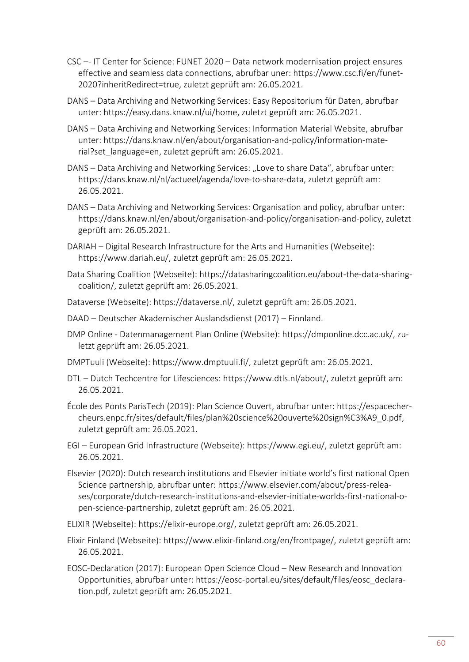- CSC –- IT Center for Science: FUNET 2020 Data network modernisation project ensures effective and seamless data connections, abrufbar uner: [https://www.csc.fi/en/funet-](https://www.csc.fi/en/funet-2020?inheritRedirect=true)[2020?inheritRedirect=true,](https://www.csc.fi/en/funet-2020?inheritRedirect=true) zuletzt geprüft am: 26.05.2021.
- DANS Data Archiving and Networking Services: Easy Repositorium für Daten, abrufbar unter: [https://easy.dans.knaw.nl/ui/home,](https://easy.dans.knaw.nl/ui/home) zuletzt geprüft am: 26.05.2021.
- DANS Data Archiving and Networking Services: Information Material Website, abrufbar unter: [https://dans.knaw.nl/en/about/organisation-and-policy/information-mate](https://dans.knaw.nl/en/about/organisation-and-policy/information-material?set_language=en)[rial?set\\_language=en,](https://dans.knaw.nl/en/about/organisation-and-policy/information-material?set_language=en) zuletzt geprüft am: 26.05.2021.
- DANS Data Archiving and Networking Services: "Love to share Data", abrufbar unter: [https://dans.knaw.nl/nl/actueel/agenda/love-to-share-data,](https://dans.knaw.nl/nl/actueel/agenda/love-to-share-data) zuletzt geprüft am: 26.05.2021.
- DANS Data Archiving and Networking Services: Organisation and policy, abrufbar unter: [https://dans.knaw.nl/en/about/organisation-and-policy/organisation-and-policy,](https://dans.knaw.nl/en/about/organisation-and-policy/organisation-and-policy) zuletzt geprüft am: 26.05.2021.
- DARIAH Digital Research Infrastructure for the Arts and Humanities (Webseite): [https://www.dariah.eu/,](https://www.dariah.eu/) zuletzt geprüft am: 26.05.2021.
- Data Sharing Coalition (Webseite): [https://datasharingcoalition.eu/about-the-data-sharing](https://datasharingcoalition.eu/about-the-data-sharing-coalition/)[coalition/,](https://datasharingcoalition.eu/about-the-data-sharing-coalition/) zuletzt geprüft am: 26.05.2021.
- Dataverse (Webseite): [https://dataverse.nl/,](https://dataverse.nl/) zuletzt geprüft am: 26.05.2021.
- DAAD Deutscher Akademischer Auslandsdienst (2017) Finnland.
- DMP Online Datenmanagement Plan Online (Website): [https://dmponline.dcc.ac.uk/,](https://dmponline.dcc.ac.uk/) zuletzt geprüft am: 26.05.2021.
- DMPTuuli (Webseite): [https://www.dmptuuli.fi/,](https://www.dmptuuli.fi/) zuletzt geprüft am: 26.05.2021.
- DTL Dutch Techcentre for Lifesciences: [https://www.dtls.nl/about/,](https://www.dtls.nl/about/) zuletzt geprüft am: 26.05.2021.
- École des Ponts ParisTech (2019): Plan Science Ouvert, abrufbar unter: [https://espacecher](https://espacechercheurs.enpc.fr/sites/default/files/plan%20science%20ouverte%20sign%C3%A9_0.pdf)[cheurs.enpc.fr/sites/default/files/plan%20science%20ouverte%20sign%C3%A9\\_0.pdf,](https://espacechercheurs.enpc.fr/sites/default/files/plan%20science%20ouverte%20sign%C3%A9_0.pdf) zuletzt geprüft am: 26.05.2021.
- EGI European Grid Infrastructure (Webseite): [https://www.egi.eu/,](https://www.egi.eu/) zuletzt geprüft am: 26.05.2021.
- Elsevier (2020): Dutch research institutions and Elsevier initiate world's first national Open Science partnership, abrufbar unter: [https://www.elsevier.com/about/press-relea](https://www.elsevier.com/about/press-releases/corporate/dutch-research-institutions-and-elsevier-initiate-worlds-first-national-open-science-partnership)[ses/corporate/dutch-research-institutions-and-elsevier-initiate-worlds-first-national-o](https://www.elsevier.com/about/press-releases/corporate/dutch-research-institutions-and-elsevier-initiate-worlds-first-national-open-science-partnership)[pen-science-partnership,](https://www.elsevier.com/about/press-releases/corporate/dutch-research-institutions-and-elsevier-initiate-worlds-first-national-open-science-partnership) zuletzt geprüft am: 26.05.2021.
- ELIXIR (Webseite): [https://elixir-europe.org/,](https://elixir-europe.org/) zuletzt geprüft am: 26.05.2021.
- Elixir Finland (Webseite): [https://www.elixir-finland.org/en/frontpage/,](https://www.elixir-finland.org/en/frontpage/) zuletzt geprüft am: 26.05.2021.
- EOSC-Declaration (2017): European Open Science Cloud New Research and Innovation Opportunities, abrufbar unter: [https://eosc-portal.eu/sites/default/files/eosc\\_declara](https://eosc-portal.eu/sites/default/files/eosc_declaration.pdf)[tion.pdf,](https://eosc-portal.eu/sites/default/files/eosc_declaration.pdf) zuletzt geprüft am: 26.05.2021.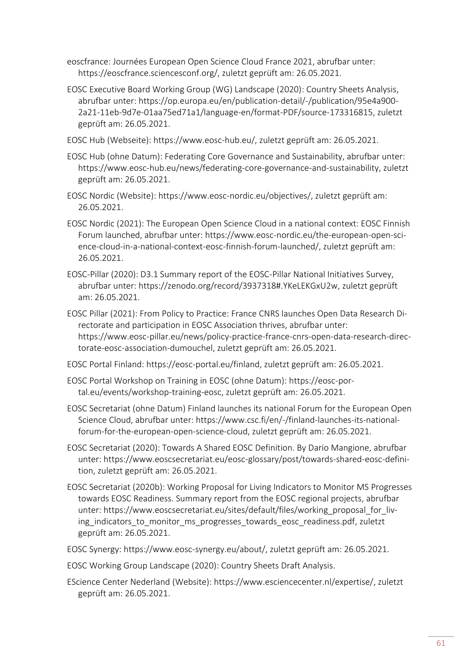eoscfrance: Journées European Open Science Cloud France 2021, abrufbar unter: [https://eoscfrance.sciencesconf.org/,](https://eoscfrance.sciencesconf.org/) zuletzt geprüft am: 26.05.2021.

- EOSC Executive Board Working Group (WG) Landscape (2020): Country Sheets Analysis, abrufbar unter: [https://op.europa.eu/en/publication-detail/-/publication/95e4a900-](https://op.europa.eu/en/publication-detail/-/publication/95e4a900-2a21-11eb-9d7e-01aa75ed71a1/language-en/format-PDF/source-173316815) [2a21-11eb-9d7e-01aa75ed71a1/language-en/format-PDF/source-173316815,](https://op.europa.eu/en/publication-detail/-/publication/95e4a900-2a21-11eb-9d7e-01aa75ed71a1/language-en/format-PDF/source-173316815) zuletzt geprüft am: 26.05.2021.
- EOSC Hub (Webseite): [https://www.eosc-hub.eu/,](https://www.eosc-hub.eu/) zuletzt geprüft am: 26.05.2021.
- EOSC Hub (ohne Datum): Federating Core Governance and Sustainability, abrufbar unter: [https://www.eosc-hub.eu/news/federating-core-governance-and-sustainability,](https://www.eosc-hub.eu/news/federating-core-governance-and-sustainability) zuletzt geprüft am: 26.05.2021.
- EOSC Nordic (Website): [https://www.eosc-nordic.eu/objectives/,](https://www.eosc-nordic.eu/objectives/) zuletzt geprüft am: 26.05.2021.
- EOSC Nordic (2021): The European Open Science Cloud in a national context: EOSC Finnish Forum launched, abrufbar unter: [https://www.eosc-nordic.eu/the-european-open-sci](https://www.eosc-nordic.eu/the-european-open-science-cloud-in-a-national-context-eosc-finnish-forum-launched/)[ence-cloud-in-a-national-context-eosc-finnish-forum-launched/,](https://www.eosc-nordic.eu/the-european-open-science-cloud-in-a-national-context-eosc-finnish-forum-launched/) zuletzt geprüft am: 26.05.2021.
- EOSC-Pillar (2020): D3.1 Summary report of the EOSC-Pillar National Initiatives Survey, abrufbar unter: [https://zenodo.org/record/3937318#.YKeLEKGxU2w,](https://zenodo.org/record/3937318#.YKeLEKGxU2w) zuletzt geprüft am: 26.05.2021.
- EOSC Pillar (2021): From Policy to Practice: France CNRS launches Open Data Research Directorate and participation in EOSC Association thrives, abrufbar unter: [https://www.eosc-pillar.eu/news/policy-practice-france-cnrs-open-data-research-direc](https://www.eosc-pillar.eu/news/policy-practice-france-cnrs-open-data-research-directorate-eosc-association-dumouchel)[torate-eosc-association-dumouchel,](https://www.eosc-pillar.eu/news/policy-practice-france-cnrs-open-data-research-directorate-eosc-association-dumouchel) zuletzt geprüft am: 26.05.2021.
- EOSC Portal Finland: [https://eosc-portal.eu/finland,](https://eosc-portal.eu/finland) zuletzt geprüft am: 26.05.2021.
- EOSC Portal Workshop on Training in EOSC (ohne Datum): [https://eosc-por](https://eosc-portal.eu/events/workshop-training-eosc)[tal.eu/events/workshop-training-eosc,](https://eosc-portal.eu/events/workshop-training-eosc) zuletzt geprüft am: 26.05.2021.
- EOSC Secretariat (ohne Datum) Finland launches its national Forum for the European Open Science Cloud, abrufbar unter: [https://www.csc.fi/en/-/finland-launches-its-national](https://www.csc.fi/en/-/finland-launches-its-national-forum-for-the-european-open-science-cloud)[forum-for-the-european-open-science-cloud,](https://www.csc.fi/en/-/finland-launches-its-national-forum-for-the-european-open-science-cloud) zuletzt geprüft am: 26.05.2021.
- EOSC Secretariat (2020): Towards A Shared EOSC Definition. By Dario Mangione, abrufbar unter: [https://www.eoscsecretariat.eu/eosc-glossary/post/towards-shared-eosc-defini](https://www.eoscsecretariat.eu/eosc-glossary/post/towards-shared-eosc-definition)[tion,](https://www.eoscsecretariat.eu/eosc-glossary/post/towards-shared-eosc-definition) zuletzt geprüft am: 26.05.2021.
- EOSC Secretariat (2020b): Working Proposal for Living Indicators to Monitor MS Progresses towards EOSC Readiness. Summary report from the EOSC regional projects, abrufbar unter: [https://www.eoscsecretariat.eu/sites/default/files/working\\_proposal\\_for\\_liv](https://www.eoscsecretariat.eu/sites/default/files/working_proposal_for_living_indicators_to_monitor_ms_progresses_towards_eosc_readiness.pdf)ing indicators to monitor ms progresses towards eosc readiness.pdf, zuletzt geprüft am: 26.05.2021.
- EOSC Synergy: [https://www.eosc-synergy.eu/about/,](https://www.eosc-synergy.eu/about/) zuletzt geprüft am: 26.05.2021.
- EOSC Working Group Landscape (2020): Country Sheets Draft Analysis.
- EScience Center Nederland (Website): [https://www.esciencecenter.nl/expertise/,](https://www.esciencecenter.nl/expertise/) zuletzt geprüft am: 26.05.2021.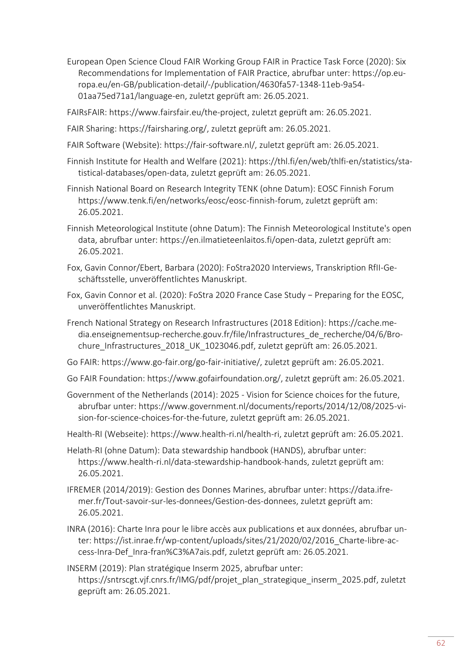- European Open Science Cloud FAIR Working Group FAIR in Practice Task Force (2020): Six Recommendations for Implementation of FAIR Practice, abrufbar unter: [https://op.eu](https://op.europa.eu/en-GB/publication-detail/-/publication/4630fa57-1348-11eb-9a54-01aa75ed71a1/language-en)[ropa.eu/en-GB/publication-detail/-/publication/4630fa57-1348-11eb-9a54-](https://op.europa.eu/en-GB/publication-detail/-/publication/4630fa57-1348-11eb-9a54-01aa75ed71a1/language-en) [01aa75ed71a1/language-en,](https://op.europa.eu/en-GB/publication-detail/-/publication/4630fa57-1348-11eb-9a54-01aa75ed71a1/language-en) zuletzt geprüft am: 26.05.2021.
- FAIRsFAIR: [https://www.fairsfair.eu/the-project,](https://www.fairsfair.eu/the-project) zuletzt geprüft am: 26.05.2021.
- FAIR Sharing: [https://fairsharing.org/,](https://fairsharing.org/) zuletzt geprüft am: 26.05.2021.
- FAIR Software (Website): [https://fair-software.nl/,](https://fair-software.nl/) zuletzt geprüft am: 26.05.2021.
- Finnish Institute for Health and Welfare (2021): [https://thl.fi/en/web/thlfi-en/statistics/sta](https://thl.fi/en/web/thlfi-en/statistics/statistical-databases/open-data)[tistical-databases/open-data,](https://thl.fi/en/web/thlfi-en/statistics/statistical-databases/open-data) zuletzt geprüft am: 26.05.2021.
- Finnish National Board on Research Integrity TENK (ohne Datum): EOSC Finnish Forum [https://www.tenk.fi/en/networks/eosc/eosc-finnish-forum,](https://www.tenk.fi/en/networks/eosc/eosc-finnish-forum) zuletzt geprüft am: 26.05.2021.
- Finnish Meteorological Institute (ohne Datum): The Finnish Meteorological Institute's open data, abrufbar unter: [https://en.ilmatieteenlaitos.fi/open-data,](https://en.ilmatieteenlaitos.fi/open-data) zuletzt geprüft am: 26.05.2021.
- Fox, Gavin Connor/Ebert, Barbara (2020): FoStra2020 Interviews, Transkription RfII-Geschäftsstelle, unveröffentlichtes Manuskript.
- Fox, Gavin Connor et al. (2020): FoStra 2020 France Case Study − Preparing for the EOSC, unveröffentlichtes Manuskript.
- French National Strategy on Research Infrastructures (2018 Edition): [https://cache.me](https://cache.media.enseignementsup-recherche.gouv.fr/file/Infrastructures_de_recherche/04/6/Brochure_Infrastructures_2018_UK_1023046.pdf)[dia.enseignementsup-recherche.gouv.fr/file/Infrastructures\\_de\\_recherche/04/6/Bro](https://cache.media.enseignementsup-recherche.gouv.fr/file/Infrastructures_de_recherche/04/6/Brochure_Infrastructures_2018_UK_1023046.pdf)[chure\\_Infrastructures\\_2018\\_UK\\_1023046.pdf,](https://cache.media.enseignementsup-recherche.gouv.fr/file/Infrastructures_de_recherche/04/6/Brochure_Infrastructures_2018_UK_1023046.pdf) zuletzt geprüft am: 26.05.2021.
- Go FAIR: [https://www.go-fair.org/go-fair-initiative/,](https://www.go-fair.org/go-fair-initiative/) zuletzt geprüft am: 26.05.2021.
- Go FAIR Foundation: [https://www.gofairfoundation.org/,](https://www.gofairfoundation.org/) zuletzt geprüft am: 26.05.2021.
- Government of the Netherlands (2014): 2025 Vision for Science choices for the future, abrufbar unter: [https://www.government.nl/documents/reports/2014/12/08/2025-vi](https://www.government.nl/documents/reports/2014/12/08/2025-vision-for-science-choices-for-the-future)[sion-for-science-choices-for-the-future,](https://www.government.nl/documents/reports/2014/12/08/2025-vision-for-science-choices-for-the-future) zuletzt geprüft am: 26.05.2021.
- Health-RI (Webseite): [https://www.health-ri.nl/health-ri,](https://www.health-ri.nl/health-ri) zuletzt geprüft am: 26.05.2021.
- Helath-RI (ohne Datum): Data stewardship handbook (HANDS), abrufbar unter: [https://www.health-ri.nl/data-stewardship-handbook-hands,](https://www.health-ri.nl/data-stewardship-handbook-hands) zuletzt geprüft am: 26.05.2021.
- IFREMER (2014/2019): Gestion des Donnes Marines, abrufbar unter: [https://data.ifre](https://data.ifremer.fr/Tout-savoir-sur-les-donnees/Gestion-des-donnees)[mer.fr/Tout-savoir-sur-les-donnees/Gestion-des-donnees,](https://data.ifremer.fr/Tout-savoir-sur-les-donnees/Gestion-des-donnees) zuletzt geprüft am: 26.05.2021.
- INRA (2016): Charte Inra pour le libre accès aux publications et aux données, abrufbar unter: [https://ist.inrae.fr/wp-content/uploads/sites/21/2020/02/2016\\_Charte-libre-ac](https://ist.inrae.fr/wp-content/uploads/sites/21/2020/02/2016_Charte-libre-access-Inra-Def_Inra-fran%C3%A7ais.pdf)[cess-Inra-Def\\_Inra-fran%C3%A7ais.pdf,](https://ist.inrae.fr/wp-content/uploads/sites/21/2020/02/2016_Charte-libre-access-Inra-Def_Inra-fran%C3%A7ais.pdf) zuletzt geprüft am: 26.05.2021.
- INSERM (2019): Plan stratégique Inserm 2025, abrufbar unter: [https://sntrscgt.vjf.cnrs.fr/IMG/pdf/projet\\_plan\\_strategique\\_inserm\\_2025.pdf,](https://sntrscgt.vjf.cnrs.fr/IMG/pdf/projet_plan_strategique_inserm_2025.pdf) zuletzt geprüft am: 26.05.2021.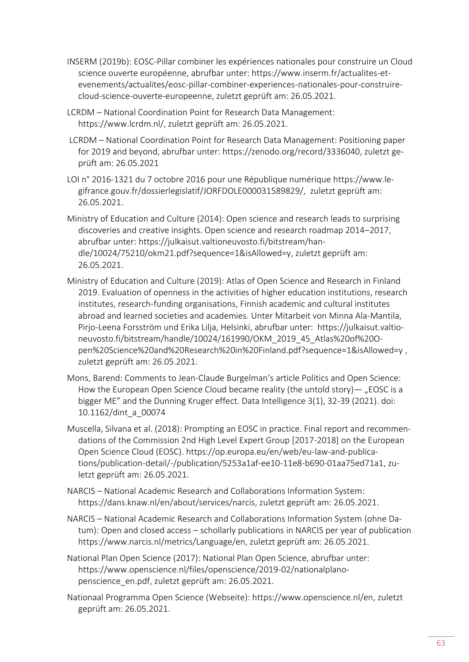- INSERM (2019b): EOSC-Pillar combiner les expériences nationales pour construire un Cloud science ouverte européenne, abrufbar unter: [https://www.inserm.fr/actualites-et](https://www.inserm.fr/actualites-et-evenements/actualites/eosc-pillar-combiner-experiences-nationales-pour-construire-cloud-science-ouverte-europeenne)[evenements/actualites/eosc-pillar-combiner-experiences-nationales-pour-construire](https://www.inserm.fr/actualites-et-evenements/actualites/eosc-pillar-combiner-experiences-nationales-pour-construire-cloud-science-ouverte-europeenne)[cloud-science-ouverte-europeenne,](https://www.inserm.fr/actualites-et-evenements/actualites/eosc-pillar-combiner-experiences-nationales-pour-construire-cloud-science-ouverte-europeenne) zuletzt geprüft am: 26.05.2021.
- LCRDM National Coordination Point for Research Data Management: [https://www.lcrdm.nl/,](https://www.lcrdm.nl/) zuletzt geprüft am: 26.05.2021.
- LCRDM National Coordination Point for Research Data Management: Positioning paper for 2019 and beyond, abrufbar unter: [https://zenodo.org/record/3336040,](https://zenodo.org/record/3336040) zuletzt geprüft am: 26.05.2021
- LOI n° 2016-1321 du 7 octobre 2016 pour une République numérique [https://www.le](https://www.legifrance.gouv.fr/dossierlegislatif/JORFDOLE000031589829/)[gifrance.gouv.fr/dossierlegislatif/JORFDOLE000031589829/,](https://www.legifrance.gouv.fr/dossierlegislatif/JORFDOLE000031589829/) zuletzt geprüft am: 26.05.2021.
- Ministry of Education and Culture (2014): Open science and research leads to surprising discoveries and creative insights. Open science and research roadmap 2014–2017, abrufbar unter: [https://julkaisut.valtioneuvosto.fi/bitstream/han](https://julkaisut.valtioneuvosto.fi/bitstream/handle/10024/75210/okm21.pdf?sequence=1&isAllowed=y)[dle/10024/75210/okm21.pdf?sequence=1&isAllowed=y,](https://julkaisut.valtioneuvosto.fi/bitstream/handle/10024/75210/okm21.pdf?sequence=1&isAllowed=y) zuletzt geprüft am: 26.05.2021.
- Ministry of Education and Culture (2019): Atlas of Open Science and Research in Finland 2019. Evaluation of openness in the activities of higher education institutions, research institutes, research-funding organisations, Finnish academic and cultural institutes abroad and learned societies and academies. Unter Mitarbeit von Minna Ala-Mantila, Pirjo-Leena Forsström und Erika Lilja, Helsinki, abrufbar unter: [https://julkaisut.valtio](https://julkaisut.valtioneuvosto.fi/bitstream/handle/10024/161990/OKM_2019_45_Atlas%20of%20Open%20Science%20and%20Research%20in%20Finland.pdf?sequence=1&isAllowed=y)[neuvosto.fi/bitstream/handle/10024/161990/OKM\\_2019\\_45\\_Atlas%20of%20O](https://julkaisut.valtioneuvosto.fi/bitstream/handle/10024/161990/OKM_2019_45_Atlas%20of%20Open%20Science%20and%20Research%20in%20Finland.pdf?sequence=1&isAllowed=y)[pen%20Science%20and%20Research%20in%20Finland.pdf?sequence=1&isAllowed=y](https://julkaisut.valtioneuvosto.fi/bitstream/handle/10024/161990/OKM_2019_45_Atlas%20of%20Open%20Science%20and%20Research%20in%20Finland.pdf?sequence=1&isAllowed=y) , zuletzt geprüft am: 26.05.2021.
- Mons, Barend: Comments to Jean-Claude Burgelman's article Politics and Open Science: How the European Open Science Cloud became reality (the untold story)  $-$  "EOSC is a bigger ME" and the Dunning Kruger effect. Data Intelligence 3(1), 32-39 (2021). doi: 10.1162/dint\_a\_00074
- Muscella, Silvana et al. (2018): Prompting an EOSC in practice. Final report and recommendations of the Commission 2nd High Level Expert Group [2017-2018] on the European Open Science Cloud (EOSC). [https://op.europa.eu/en/web/eu-law-and-publica](https://op.europa.eu/en/web/eu-law-and-publications/publication-detail/-/publication/5253a1af-ee10-11e8-b690-01aa75ed71a1)[tions/publication-detail/-/publication/5253a1af-ee10-11e8-b690-01aa75ed71a1,](https://op.europa.eu/en/web/eu-law-and-publications/publication-detail/-/publication/5253a1af-ee10-11e8-b690-01aa75ed71a1) zuletzt geprüft am: 26.05.2021.
- NARCIS National Academic Research and Collaborations Information System: [https://dans.knaw.nl/en/about/services/narcis,](https://dans.knaw.nl/en/about/services/narcis) zuletzt geprüft am: 26.05.2021.
- NARCIS National Academic Research and Collaborations Information System (ohne Datum): Open and closed access – schollarly publications in NARCIS per year of publication [https://www.narcis.nl/metrics/Language/en,](https://www.narcis.nl/metrics/Language/en) zuletzt geprüft am: 26.05.2021.
- National Plan Open Science (2017): National Plan Open Science, abrufbar unter: [https://www.openscience.nl/files/openscience/2019-02/nationalplano](https://www.openscience.nl/files/openscience/2019-02/nationalplanopenscience_en.pdf)[penscience\\_en.pdf,](https://www.openscience.nl/files/openscience/2019-02/nationalplanopenscience_en.pdf) zuletzt geprüft am: 26.05.2021.
- Nationaal Programma Open Science (Webseite): [https://www.openscience.nl/en,](https://www.openscience.nl/en) zuletzt geprüft am: 26.05.2021.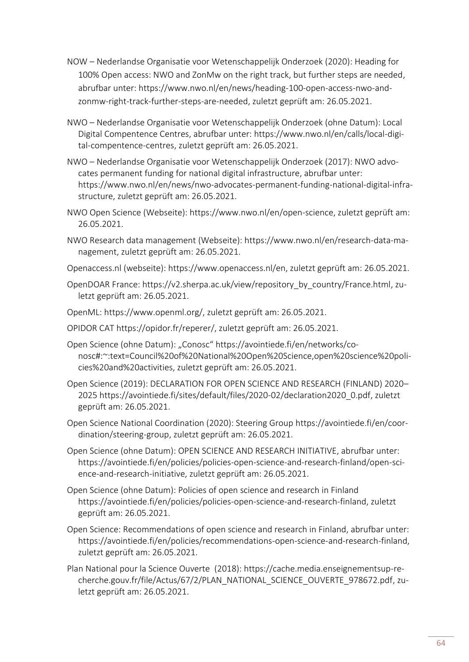- NOW Nederlandse Organisatie voor Wetenschappelijk Onderzoek (2020): Heading for 100% Open access: NWO and ZonMw on the right track, but further steps are needed, abrufbar unter: [https://www.nwo.nl/en/news/heading-100-open-access-nwo-and](https://www.nwo.nl/en/news/heading-100-open-access-nwo-and-zonmw-right-track-further-steps-are-needed)[zonmw-right-track-further-steps-are-needed,](https://www.nwo.nl/en/news/heading-100-open-access-nwo-and-zonmw-right-track-further-steps-are-needed) zuletzt geprüft am: 26.05.2021.
- NWO Nederlandse Organisatie voor Wetenschappelijk Onderzoek (ohne Datum): Local Digital Compentence Centres, abrufbar unter: [https://www.nwo.nl/en/calls/local-digi](https://www.nwo.nl/en/calls/local-digital-compentence-centres)[tal-compentence-centres,](https://www.nwo.nl/en/calls/local-digital-compentence-centres) zuletzt geprüft am: 26.05.2021.
- NWO Nederlandse Organisatie voor Wetenschappelijk Onderzoek (2017): NWO advocates permanent funding for national digital infrastructure, abrufbar unter: [https://www.nwo.nl/en/news/nwo-advocates-permanent-funding-national-digital-infra](https://www.nwo.nl/en/news/nwo-advocates-permanent-funding-national-digital-infrastructure)[structure,](https://www.nwo.nl/en/news/nwo-advocates-permanent-funding-national-digital-infrastructure) zuletzt geprüft am: 26.05.2021.
- NWO Open Science (Webseite): [https://www.nwo.nl/en/open-science,](https://www.nwo.nl/en/open-science) zuletzt geprüft am: 26.05.2021.
- NWO Research data management (Webseite): [https://www.nwo.nl/en/research-data-ma](https://www.nwo.nl/en/research-data-management)[nagement,](https://www.nwo.nl/en/research-data-management) zuletzt geprüft am: 26.05.2021.
- Openaccess.nl (webseite): [https://www.openaccess.nl/en,](https://www.openaccess.nl/en) zuletzt geprüft am: 26.05.2021.
- OpenDOAR France: [https://v2.sherpa.ac.uk/view/repository\\_by\\_country/France.html,](https://v2.sherpa.ac.uk/view/repository_by_country/France.html) zuletzt geprüft am: 26.05.2021.
- OpenML: [https://www.openml.org/,](https://www.openml.org/) zuletzt geprüft am: 26.05.2021.
- OPIDOR CAT [https://opidor.fr/reperer/,](https://opidor.fr/reperer/) zuletzt geprüft am: 26.05.2021.
- Open Science (ohne Datum): "Conosc" [https://avointiede.fi/en/networks/co](https://avointiede.fi/en/networks/conosc#:~:text=Council%20of%20National%20Open%20Science,open%20science%20policies%20and%20activities)[nosc#:~:text=Council%20of%20National%20Open%20Science,open%20science%20poli](https://avointiede.fi/en/networks/conosc#:~:text=Council%20of%20National%20Open%20Science,open%20science%20policies%20and%20activities)[cies%20and%20activities,](https://avointiede.fi/en/networks/conosc#:~:text=Council%20of%20National%20Open%20Science,open%20science%20policies%20and%20activities) zuletzt geprüft am: 26.05.2021.
- Open Science (2019): DECLARATION FOR OPEN SCIENCE AND RESEARCH (FINLAND) 2020– 2025 [https://avointiede.fi/sites/default/files/2020-02/declaration2020\\_0.pdf,](https://avointiede.fi/sites/default/files/2020-02/declaration2020_0.pdf) zuletzt geprüft am: 26.05.2021.
- Open Science National Coordination (2020): Steering Group [https://avointiede.fi/en/coor](https://avointiede.fi/en/coordination/steering-group)[dination/steering-group,](https://avointiede.fi/en/coordination/steering-group) zuletzt geprüft am: 26.05.2021.
- Open Science (ohne Datum): OPEN SCIENCE AND RESEARCH INITIATIVE, abrufbar unter: [https://avointiede.fi/en/policies/policies-open-science-and-research-finland/open-sci](https://avointiede.fi/en/policies/policies-open-science-and-research-finland/open-science-and-research-initiative)[ence-and-research-initiative,](https://avointiede.fi/en/policies/policies-open-science-and-research-finland/open-science-and-research-initiative) zuletzt geprüft am: 26.05.2021.
- Open Science (ohne Datum): Policies of open science and research in Finland [https://avointiede.fi/en/policies/policies-open-science-and-research-finland,](https://avointiede.fi/en/policies/policies-open-science-and-research-finland) zuletzt geprüft am: 26.05.2021.
- Open Science: Recommendations of open science and research in Finland, abrufbar unter: [https://avointiede.fi/en/policies/recommendations-open-science-and-research-finland,](https://avointiede.fi/en/policies/recommendations-open-science-and-research-finland) zuletzt geprüft am: 26.05.2021.
- Plan National pour la Science Ouverte (2018): [https://cache.media.enseignementsup-re](https://cache.media.enseignementsup-recherche.gouv.fr/file/Actus/67/2/PLAN_NATIONAL_SCIENCE_OUVERTE_978672.pdf)[cherche.gouv.fr/file/Actus/67/2/PLAN\\_NATIONAL\\_SCIENCE\\_OUVERTE\\_978672.pdf,](https://cache.media.enseignementsup-recherche.gouv.fr/file/Actus/67/2/PLAN_NATIONAL_SCIENCE_OUVERTE_978672.pdf) zuletzt geprüft am: 26.05.2021.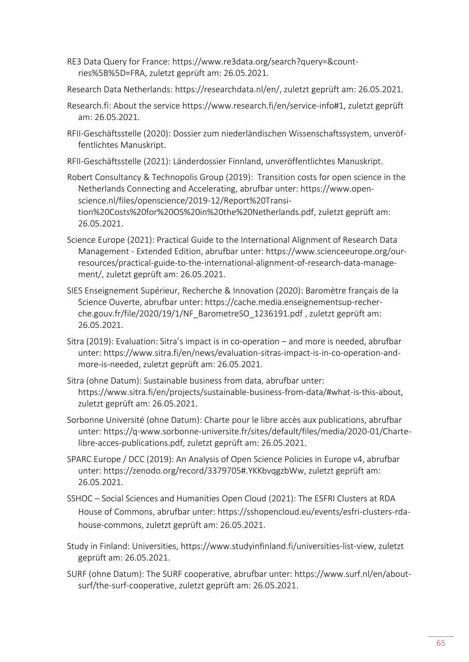- RE3 Data Query for France: [https://www.re3data.org/search?query=&count](https://www.re3data.org/search?query=&countries%5B%5D=FRA)[ries%5B%5D=FRA,](https://www.re3data.org/search?query=&countries%5B%5D=FRA) zuletzt geprüft am: 26.05.2021.
- Research Data Netherlands: [https://researchdata.nl/en/,](https://researchdata.nl/en/) zuletzt geprüft am: 26.05.2021.
- Research.fi: About the service [https://www.research.fi/en/service-info#1,](https://www.research.fi/en/service-info#1) zuletzt geprüft am: 26.05.2021.
- RFII-Geschäftsstelle (2020): Dossier zum niederländischen Wissenschaftssystem, unveröffentlichtes Manuskript.
- RFII-Geschäftsstelle (2021): Länderdossier Finnland, unveröffentlichtes Manuskript.

Robert Consultancy & Technopolis Group (2019): Transition costs for open science in the Netherlands Connecting and Accelerating, abrufbar unter: [https://www.open](https://www.openscience.nl/files/openscience/2019-12/Report%20Transition%20Costs%20for%20OS%20in%20the%20Netherlands.pdf)[science.nl/files/openscience/2019-12/Report%20Transi](https://www.openscience.nl/files/openscience/2019-12/Report%20Transition%20Costs%20for%20OS%20in%20the%20Netherlands.pdf)[tion%20Costs%20for%20OS%20in%20the%20Netherlands.pdf,](https://www.openscience.nl/files/openscience/2019-12/Report%20Transition%20Costs%20for%20OS%20in%20the%20Netherlands.pdf) zuletzt geprüft am: 26.05.2021.

- Science Europe (2021): Practical Guide to the International Alignment of Research Data Management - Extended Edition, abrufbar unter: [https://www.scienceeurope.org/our](https://www.scienceeurope.org/our-resources/practical-guide-to-the-international-alignment-of-research-data-management/)[resources/practical-guide-to-the-international-alignment-of-research-data-manage](https://www.scienceeurope.org/our-resources/practical-guide-to-the-international-alignment-of-research-data-management/)[ment/,](https://www.scienceeurope.org/our-resources/practical-guide-to-the-international-alignment-of-research-data-management/) zuletzt geprüft am: 26.05.2021.
- SIES Enseignement Supérieur, Recherche & Innovation (2020): Baromètre français de la Science Ouverte, abrufbar unter: [https://cache.media.enseignementsup-recher](https://cache.media.enseignementsup-recherche.gouv.fr/file/2020/19/1/NF_BarometreSO_1236191.pdf)[che.gouv.fr/file/2020/19/1/NF\\_BarometreSO\\_1236191.pdf](https://cache.media.enseignementsup-recherche.gouv.fr/file/2020/19/1/NF_BarometreSO_1236191.pdf) , zuletzt geprüft am: 26.05.2021.
- Sitra (2019): Evaluation: Sitra's impact is in co-operation and more is needed, abrufbar unter: [https://www.sitra.fi/en/news/evaluation-sitras-impact-is-in-co-operation-and](https://www.sitra.fi/en/news/evaluation-sitras-impact-is-in-co-operation-and-more-is-needed)[more-is-needed,](https://www.sitra.fi/en/news/evaluation-sitras-impact-is-in-co-operation-and-more-is-needed) zuletzt geprüft am: 26.05.2021.
- Sitra (ohne Datum): Sustainable business from data, abrufbar unter: [https://www.sitra.fi/en/projects/sustainable-business-from-data/#what-is-this-about,](https://www.sitra.fi/en/projects/sustainable-business-from-data/#what-is-this-about) zuletzt geprüft am: 26.05.2021.
- Sorbonne Université (ohne Datum): Charte pour le libre accès aux publications, abrufbar unter: [https://q-www.sorbonne-universite.fr/sites/default/files/media/2020-01/Charte](https://q-www.sorbonne-universite.fr/sites/default/files/media/2020-01/Charte-libre-acces-publications.pdf)[libre-acces-publications.pdf,](https://q-www.sorbonne-universite.fr/sites/default/files/media/2020-01/Charte-libre-acces-publications.pdf) zuletzt geprüft am: 26.05.2021.
- SPARC Europe / DCC (2019): An Analysis of Open Science Policies in Europe v4, abrufbar unter: [https://zenodo.org/record/3379705#.YKKbvqgzbWw,](https://zenodo.org/record/3379705#.YKKbvqgzbWw) zuletzt geprüft am: 26.05.2021.
- SSHOC Social Sciences and Humanities Open Cloud (2021): The ESFRI Clusters at RDA House of Commons, abrufbar unter: [https://sshopencloud.eu/events/esfri-clusters-rda](https://sshopencloud.eu/events/esfri-clusters-rda-house-commons)[house-commons,](https://sshopencloud.eu/events/esfri-clusters-rda-house-commons) zuletzt geprüft am: 26.05.2021.
- Study in Finland: Universities, [https://www.studyinfinland.fi/universities-list-view,](https://www.studyinfinland.fi/universities-list-view) zuletzt geprüft am: 26.05.2021.
- SURF (ohne Datum): The SURF cooperative, abrufbar unter: [https://www.surf.nl/en/about](https://www.surf.nl/en/about-surf/the-surf-cooperative)[surf/the-surf-cooperative,](https://www.surf.nl/en/about-surf/the-surf-cooperative) zuletzt geprüft am: 26.05.2021.